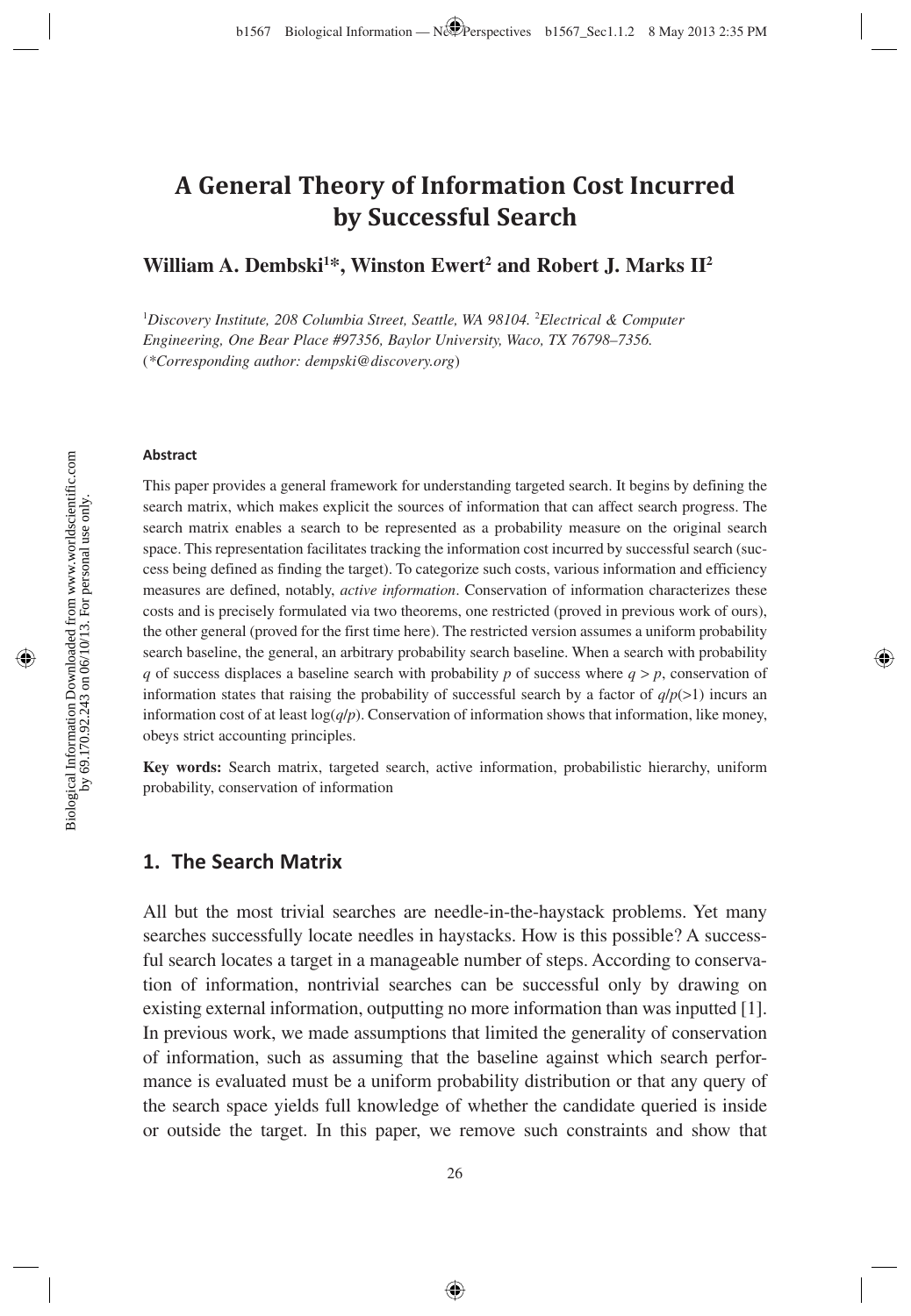# **A General Theory of Information Cost Incurred by Successful Search**

**William A. Dembski<sup>1\*</sup>, Winston Ewert<sup>2</sup> and Robert J. Marks II<sup>2</sup>** 

<sup>1</sup>Discovery Institute, 208 Columbia Street, Seattle, WA 98104. <sup>2</sup>Electrical & Computer *Engineering, One Bear Place #97356, Baylor University, Waco, TX 76798–7356.*  (*\*Corresponding author: dempski@discovery.org*)

#### **Abstract**

This paper provides a general framework for understanding targeted search. It begins by defining the search matrix, which makes explicit the sources of information that can affect search progress. The search matrix enables a search to be represented as a probability measure on the original search space. This representation facilitates tracking the information cost incurred by successful search (success being defined as finding the target). To categorize such costs, various information and efficiency measures are defined, notably, *active information*. Conservation of information characterizes these costs and is precisely formulated via two theorems, one restricted (proved in previous work of ours), the other general (proved for the first time here). The restricted version assumes a uniform probability search baseline, the general, an arbitrary probability search baseline. When a search with probability *q* of success displaces a baseline search with probability *p* of success where  $q > p$ , conservation of information states that raising the probability of successful search by a factor of  $q/p(>1)$  incurs an information cost of at least  $log(q/p)$ . Conservation of information shows that information, like money, obeys strict accounting principles.

**Key words:** Search matrix, targeted search, active information, probabilistic hierarchy, uniform probability, conservation of information

### **1. The Search Matrix**

All but the most trivial searches are needle-in-the-haystack problems. Yet many searches successfully locate needles in haystacks. How is this possible? A successful search locates a target in a manageable number of steps. According to conservation of information, nontrivial searches can be successful only by drawing on existing external information, outputting no more information than was inputted [1]. In previous work, we made assumptions that limited the generality of conservation of information, such as assuming that the baseline against which search performance is evaluated must be a uniform probability distribution or that any query of the search space yields full knowledge of whether the candidate queried is inside or outside the target. In this paper, we remove such constraints and show that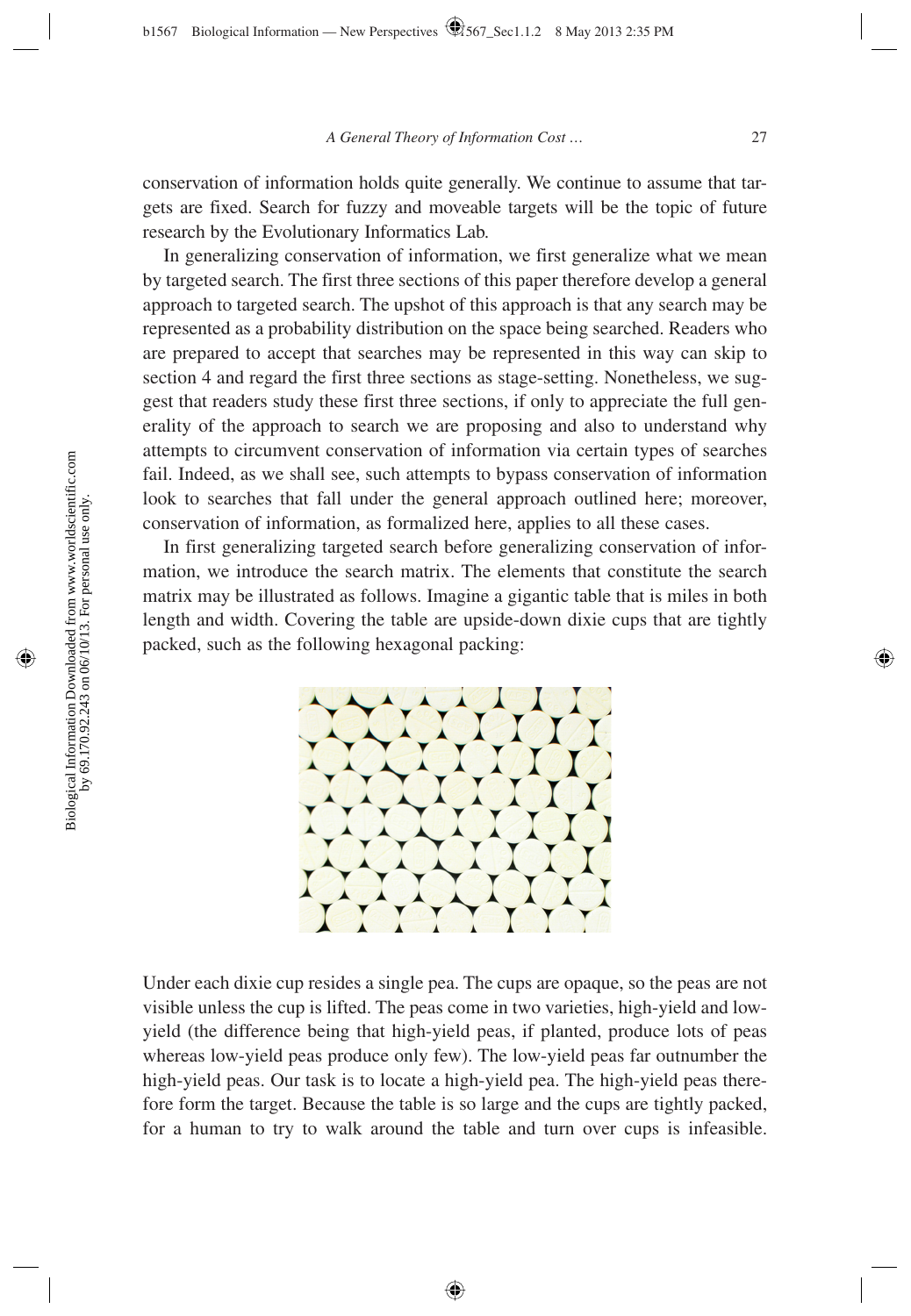conservation of information holds quite generally. We continue to assume that targets are fixed. Search for fuzzy and moveable targets will be the topic of future research by the Evolutionary Informatics Lab.

In generalizing conservation of information, we first generalize what we mean by targeted search. The first three sections of this paper therefore develop a general approach to targeted search. The upshot of this approach is that any search may be represented as a probability distribution on the space being searched. Readers who are prepared to accept that searches may be represented in this way can skip to section 4 and regard the first three sections as stage-setting. Nonetheless, we suggest that readers study these first three sections, if only to appreciate the full generality of the approach to search we are proposing and also to understand why attempts to circumvent conservation of information via certain types of searches fail. Indeed, as we shall see, such attempts to bypass conservation of information look to searches that fall under the general approach outlined here; moreover, conservation of information, as formalized here, applies to all these cases.

In first generalizing targeted search before generalizing conservation of information, we introduce the search matrix. The elements that constitute the search matrix may be illustrated as follows. Imagine a gigantic table that is miles in both length and width. Covering the table are upside-down dixie cups that are tightly packed, such as the following hexagonal packing:



Under each dixie cup resides a single pea. The cups are opaque, so the peas are not visible unless the cup is lifted. The peas come in two varieties, high-yield and lowyield (the difference being that high-yield peas, if planted, produce lots of peas whereas low-yield peas produce only few). The low-yield peas far outnumber the high-yield peas. Our task is to locate a high-yield pea. The high-yield peas therefore form the target. Because the table is so large and the cups are tightly packed, for a human to try to walk around the table and turn over cups is infeasible.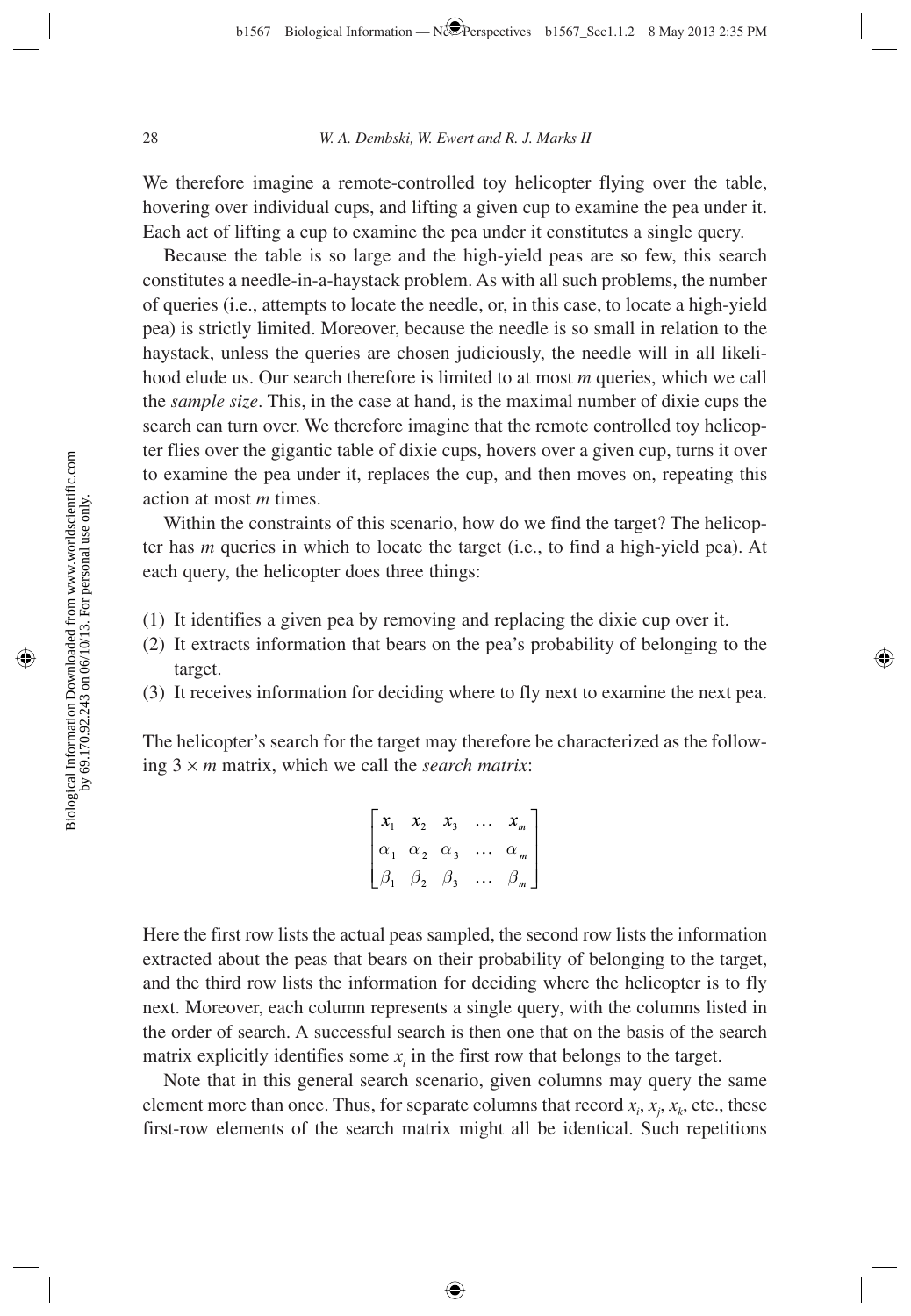We therefore imagine a remote-controlled toy helicopter flying over the table, hovering over individual cups, and lifting a given cup to examine the pea under it. Each act of lifting a cup to examine the pea under it constitutes a single query.

Because the table is so large and the high-yield peas are so few, this search constitutes a needle-in-a-haystack problem. As with all such problems, the number of queries (i.e., attempts to locate the needle, or, in this case, to locate a high-yield pea) is strictly limited. Moreover, because the needle is so small in relation to the haystack, unless the queries are chosen judiciously, the needle will in all likelihood elude us. Our search therefore is limited to at most *m* queries, which we call the *sample size*. This, in the case at hand, is the maximal number of dixie cups the search can turn over. We therefore imagine that the remote controlled toy helicopter flies over the gigantic table of dixie cups, hovers over a given cup, turns it over to examine the pea under it, replaces the cup, and then moves on, repeating this action at most *m* times.

Within the constraints of this scenario, how do we find the target? The helicopter has *m* queries in which to locate the target (i.e., to find a high-yield pea). At each query, the helicopter does three things:

- (1) It identifies a given pea by removing and replacing the dixie cup over it.
- (2) It extracts information that bears on the pea's probability of belonging to the target.
- (3) It receives information for deciding where to fly next to examine the next pea.

The helicopter's search for the target may therefore be characterized as the following 3 × *m* matrix, which we call the *search matrix*:

$$
\begin{bmatrix} x_1 & x_2 & x_3 & \dots & x_m \\ \alpha_1 & \alpha_2 & \alpha_3 & \dots & \alpha_m \\ \beta_1 & \beta_2 & \beta_3 & \dots & \beta_m \end{bmatrix}
$$

Here the first row lists the actual peas sampled, the second row lists the information extracted about the peas that bears on their probability of belonging to the target, and the third row lists the information for deciding where the helicopter is to fly next. Moreover, each column represents a single query, with the columns listed in the order of search. A successful search is then one that on the basis of the search matrix explicitly identifies some  $x_i$  in the first row that belongs to the target.

Note that in this general search scenario, given columns may query the same element more than once. Thus, for separate columns that record  $x_i$ ,  $x_j$ ,  $x_k$ , etc., these first-row elements of the search matrix might all be identical. Such repetitions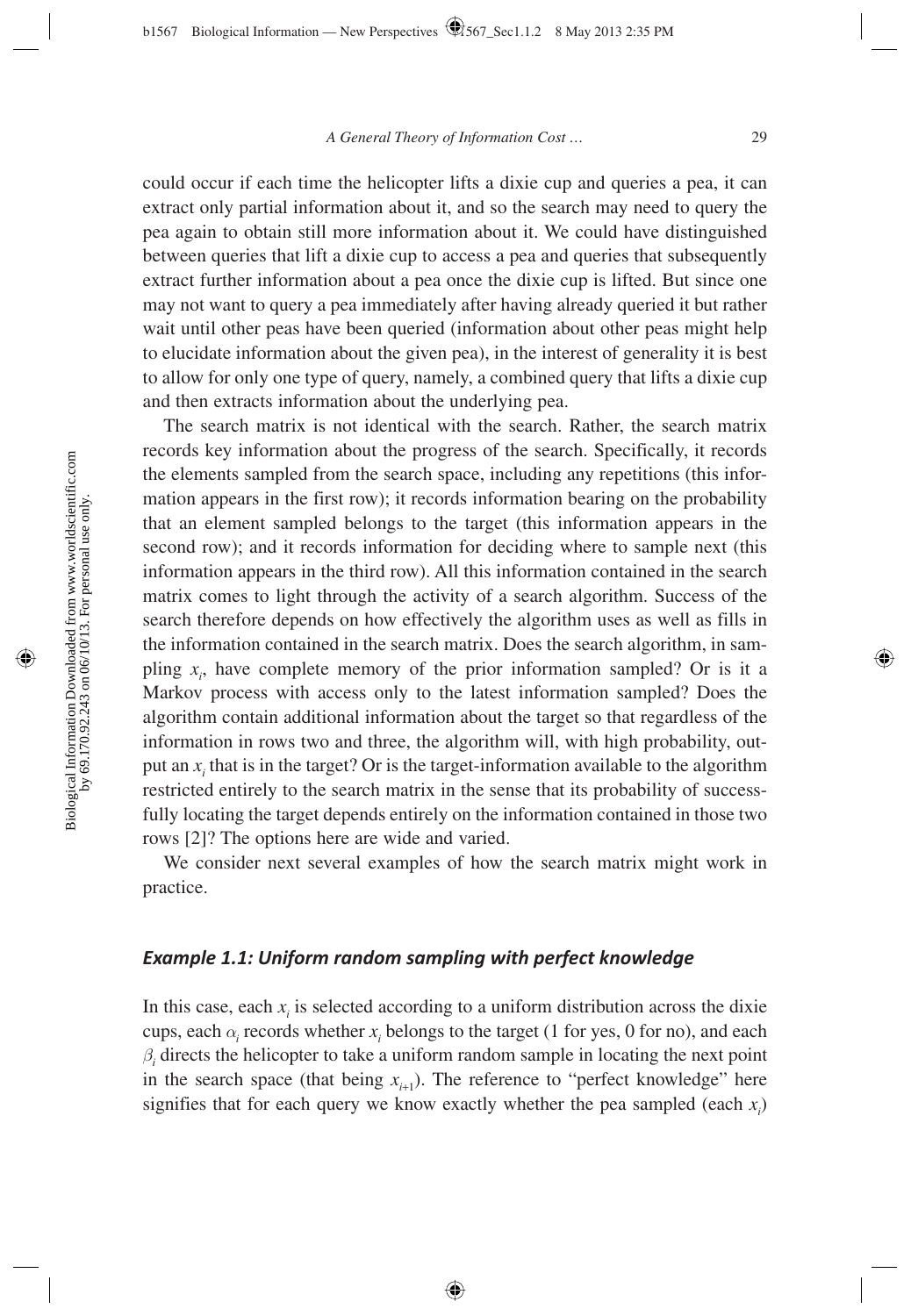could occur if each time the helicopter lifts a dixie cup and queries a pea, it can extract only partial information about it, and so the search may need to query the pea again to obtain still more information about it. We could have distinguished between queries that lift a dixie cup to access a pea and queries that subsequently extract further information about a pea once the dixie cup is lifted. But since one may not want to query a pea immediately after having already queried it but rather wait until other peas have been queried (information about other peas might help to elucidate information about the given pea), in the interest of generality it is best to allow for only one type of query, namely, a combined query that lifts a dixie cup and then extracts information about the underlying pea.

The search matrix is not identical with the search. Rather, the search matrix records key information about the progress of the search. Specifically, it records the elements sampled from the search space, including any repetitions (this information appears in the first row); it records information bearing on the probability that an element sampled belongs to the target (this information appears in the second row); and it records information for deciding where to sample next (this information appears in the third row). All this information contained in the search matrix comes to light through the activity of a search algorithm. Success of the search therefore depends on how effectively the algorithm uses as well as fills in the information contained in the search matrix. Does the search algorithm, in sampling  $x_i$ , have complete memory of the prior information sampled? Or is it a Markov process with access only to the latest information sampled? Does the algorithm contain additional information about the target so that regardless of the information in rows two and three, the algorithm will, with high probability, output an  $x_i$  that is in the target? Or is the target-information available to the algorithm restricted entirely to the search matrix in the sense that its probability of successfully locating the target depends entirely on the information contained in those two rows [2]? The options here are wide and varied.

We consider next several examples of how the search matrix might work in practice.

## *Example 1.1: Uniform random sampling with perfect knowledge*

In this case, each  $x_i$  is selected according to a uniform distribution across the dixie cups, each  $\alpha_i$  records whether  $x_i$  belongs to the target (1 for yes, 0 for no), and each  $\beta$ <sup>*i*</sup> directs the helicopter to take a uniform random sample in locating the next point in the search space (that being  $x_{i+1}$ ). The reference to "perfect knowledge" here signifies that for each query we know exactly whether the pea sampled (each  $x_i$ )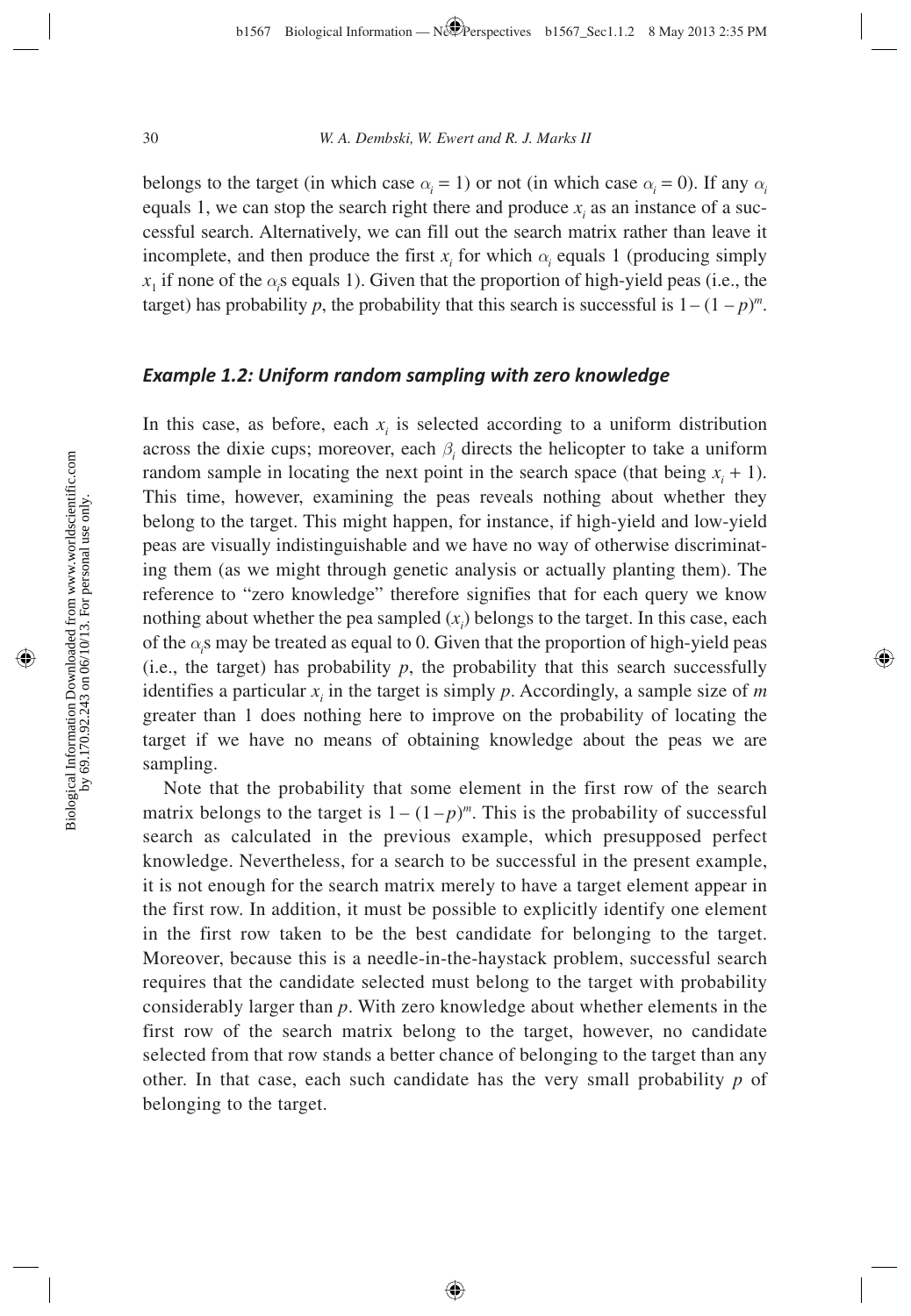belongs to the target (in which case  $\alpha_i = 1$ ) or not (in which case  $\alpha_i = 0$ ). If any  $\alpha_i$ equals 1, we can stop the search right there and produce  $x_i$  as an instance of a successful search. Alternatively, we can fill out the search matrix rather than leave it incomplete, and then produce the first  $x_i$  for which  $\alpha_i$  equals 1 (producing simply  $x_1$  if none of the  $\alpha_i$  sequals 1). Given that the proportion of high-yield peas (i.e., the target) has probability *p*, the probability that this search is successful is  $1 - (1 - p)^m$ .

### *Example 1.2: Uniform random sampling with zero knowledge*

In this case, as before, each  $x_i$  is selected according to a uniform distribution across the dixie cups; moreover, each  $\beta$ <sup>*i*</sup> directs the helicopter to take a uniform random sample in locating the next point in the search space (that being  $x<sub>i</sub> + 1$ ). This time, however, examining the peas reveals nothing about whether they belong to the target. This might happen, for instance, if high-yield and low-yield peas are visually indistinguishable and we have no way of otherwise discriminating them (as we might through genetic analysis or actually planting them). The reference to "zero knowledge" therefore signifies that for each query we know nothing about whether the pea sampled  $(x<sub>i</sub>)$  belongs to the target. In this case, each of the  $\alpha_i$ s may be treated as equal to 0. Given that the proportion of high-yield peas (i.e., the target) has probability  $p$ , the probability that this search successfully identifies a particular  $x_i$  in the target is simply  $p$ . Accordingly, a sample size of  $m$ greater than 1 does nothing here to improve on the probability of locating the target if we have no means of obtaining knowledge about the peas we are sampling.

Note that the probability that some element in the first row of the search matrix belongs to the target is  $1 - (1-p)^m$ . This is the probability of successful search as calculated in the previous example, which presupposed perfect knowledge. Nevertheless, for a search to be successful in the present example, it is not enough for the search matrix merely to have a target element appear in the first row. In addition, it must be possible to explicitly identify one element in the first row taken to be the best candidate for belonging to the target. Moreover, because this is a needle-in-the-haystack problem, successful search requires that the candidate selected must belong to the target with probability considerably larger than *p*. With zero knowledge about whether elements in the first row of the search matrix belong to the target, however, no candidate selected from that row stands a better chance of belonging to the target than any other. In that case, each such candidate has the very small probability *p* of belonging to the target.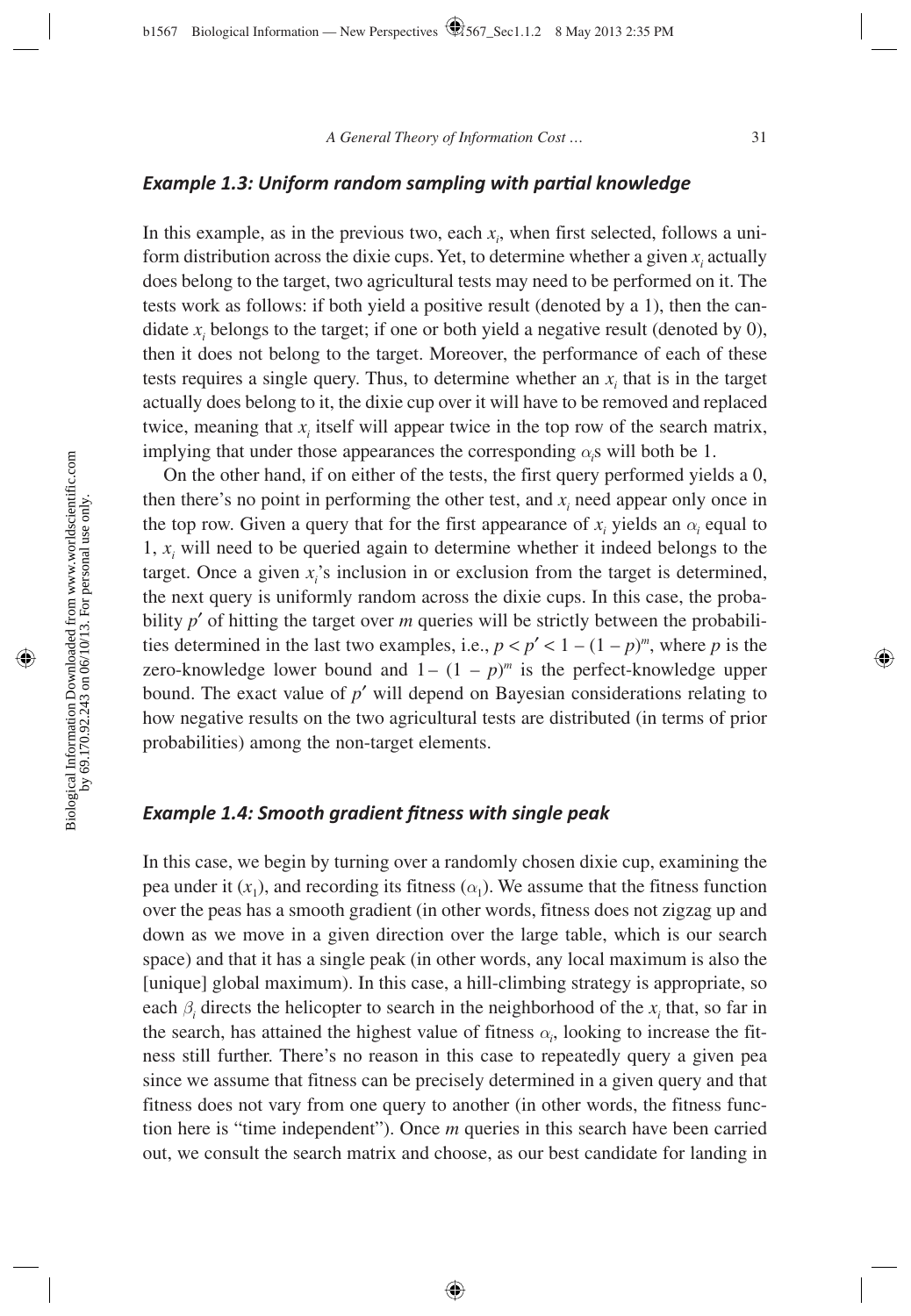### **Example 1.3: Uniform random sampling with partial knowledge**

In this example, as in the previous two, each  $x_i$ , when first selected, follows a uniform distribution across the dixie cups. Yet, to determine whether a given  $x_i$  actually does belong to the target, two agricultural tests may need to be performed on it. The tests work as follows: if both yield a positive result (denoted by a 1), then the candidate  $x_i$  belongs to the target; if one or both yield a negative result (denoted by 0), then it does not belong to the target. Moreover, the performance of each of these tests requires a single query. Thus, to determine whether an  $x_i$  that is in the target actually does belong to it, the dixie cup over it will have to be removed and replaced twice, meaning that  $x_i$  itself will appear twice in the top row of the search matrix, implying that under those appearances the corresponding  $\alpha_i$ s will both be 1.

On the other hand, if on either of the tests, the first query performed yields a 0, then there's no point in performing the other test, and  $x_i$  need appear only once in the top row. Given a query that for the first appearance of  $x_i$  yields an  $\alpha_i$  equal to 1,  $x_i$  will need to be queried again to determine whether it indeed belongs to the target. Once a given  $x_i$ 's inclusion in or exclusion from the target is determined, the next query is uniformly random across the dixie cups. In this case, the probability *p*′ of hitting the target over *m* queries will be strictly between the probabilities determined in the last two examples, i.e.,  $p < p' < 1 - (1 - p)^m$ , where *p* is the zero-knowledge lower bound and  $1 - (1 - p)^m$  is the perfect-knowledge upper bound. The exact value of *p*′ will depend on Bayesian considerations relating to how negative results on the two agricultural tests are distributed (in terms of prior probabilities) among the non-target elements.

#### *Example 1.4: Smooth gradient fi tness with single peak*

In this case, we begin by turning over a randomly chosen dixie cup, examining the pea under it  $(x_1)$ , and recording its fitness  $(\alpha_1)$ . We assume that the fitness function over the peas has a smooth gradient (in other words, fitness does not zigzag up and down as we move in a given direction over the large table, which is our search space) and that it has a single peak (in other words, any local maximum is also the [unique] global maximum). In this case, a hill-climbing strategy is appropriate, so each  $\beta$ <sup>*i*</sup> directs the helicopter to search in the neighborhood of the  $x$ <sup>*i*</sup> that, so far in the search, has attained the highest value of fitness  $\alpha_i$ , looking to increase the fitness still further. There's no reason in this case to repeatedly query a given pea since we assume that fitness can be precisely determined in a given query and that fitness does not vary from one query to another (in other words, the fitness function here is "time independent"). Once *m* queries in this search have been carried out, we consult the search matrix and choose, as our best candidate for landing in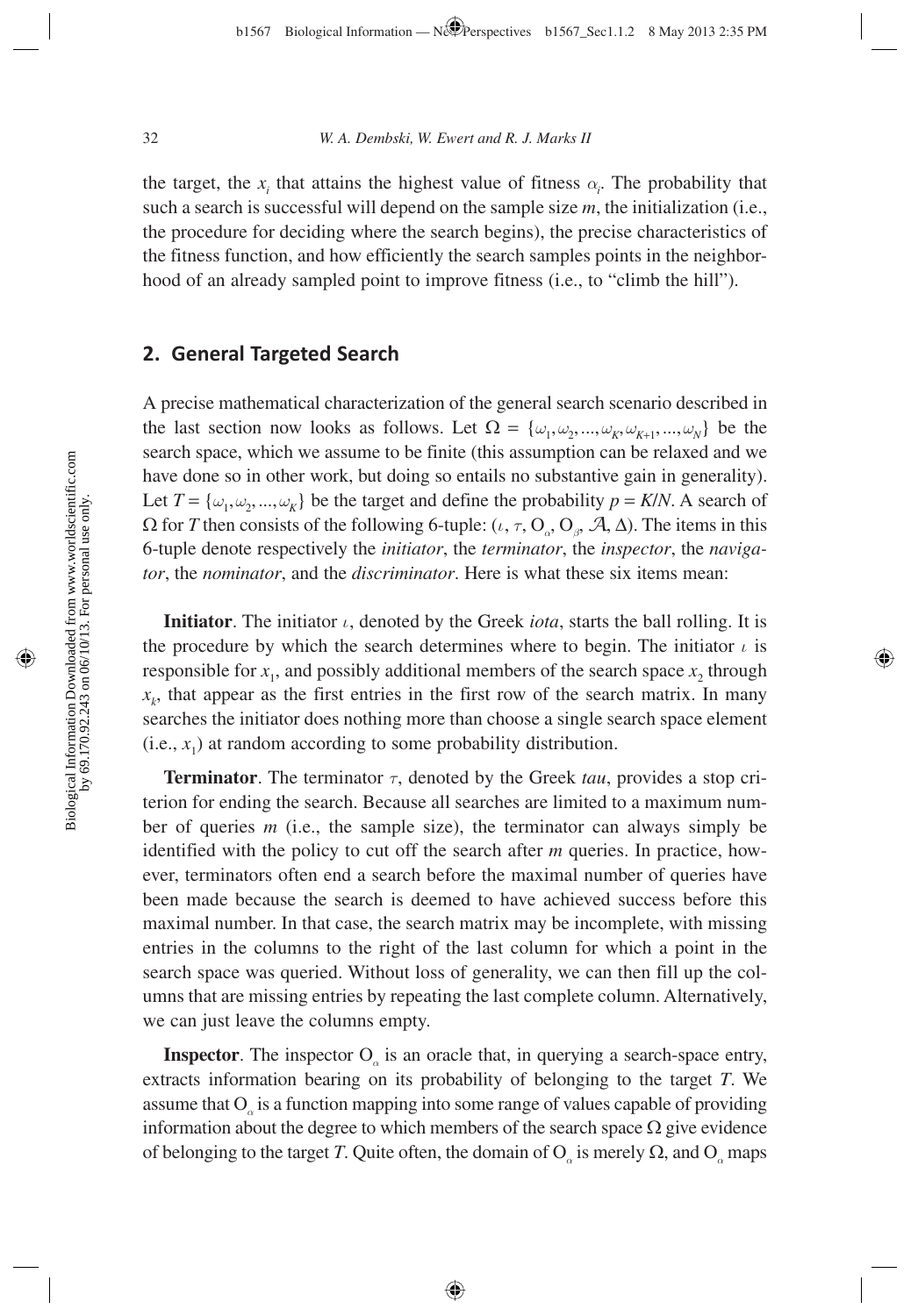the target, the  $x_i$  that attains the highest value of fitness  $\alpha_i$ . The probability that such a search is successful will depend on the sample size *m*, the initialization (i.e., the procedure for deciding where the search begins), the precise characteristics of the fitness function, and how efficiently the search samples points in the neighborhood of an already sampled point to improve fitness (i.e., to "climb the hill").

### **2. General Targeted Search**

A precise mathematical characterization of the general search scenario described in the last section now looks as follows. Let  $\Omega = {\omega_1, \omega_2, ..., \omega_k, \omega_{K+1}, ..., \omega_N}$  be the search space, which we assume to be finite (this assumption can be relaxed and we have done so in other work, but doing so entails no substantive gain in generality). Let  $T = {\omega_1, \omega_2, ..., \omega_K}$  be the target and define the probability  $p = K/N$ . A search of  $Ω$  for *T* then consists of the following 6-tuple: (*ι*, *τ*,  $O_{\alpha}$ ,  $O_{\beta}$ ,  $A$ ,  $Δ$ ). The items in this 6-tuple denote respectively the *initiator*, the *terminator*, the *inspector*, the *navigator*, the *nominator*, and the *discriminator*. Here is what these six items mean:

**Initiator**. The initiator *ι*, denoted by the Greek *iota*, starts the ball rolling. It is the procedure by which the search determines where to begin. The initiator  $\iota$  is responsible for  $x_1$ , and possibly additional members of the search space  $x_2$ , through  $x<sub>k</sub>$ , that appear as the first entries in the first row of the search matrix. In many searches the initiator does nothing more than choose a single search space element  $(i.e.,  $x_1$ ) at random according to some probability distribution.$ 

**Terminator**. The terminator *τ*, denoted by the Greek *tau*, provides a stop criterion for ending the search. Because all searches are limited to a maximum number of queries *m* (i.e., the sample size), the terminator can always simply be identified with the policy to cut off the search after *m* queries. In practice, however, terminators often end a search before the maximal number of queries have been made because the search is deemed to have achieved success before this maximal number. In that case, the search matrix may be incomplete, with missing entries in the columns to the right of the last column for which a point in the search space was queried. Without loss of generality, we can then fill up the columns that are missing entries by repeating the last complete column. Alternatively, we can just leave the columns empty.

**Inspector**. The inspector O<sub>*a*</sub> is an oracle that, in querying a search-space entry, extracts information bearing on its probability of belonging to the target *T*. We assume that O<sub>a</sub> is a function mapping into some range of values capable of providing information about the degree to which members of the search space  $\Omega$  give evidence of belonging to the target *T*. Quite often, the domain of  $O_\alpha$  is merely  $\Omega$ , and  $O_\alpha$  maps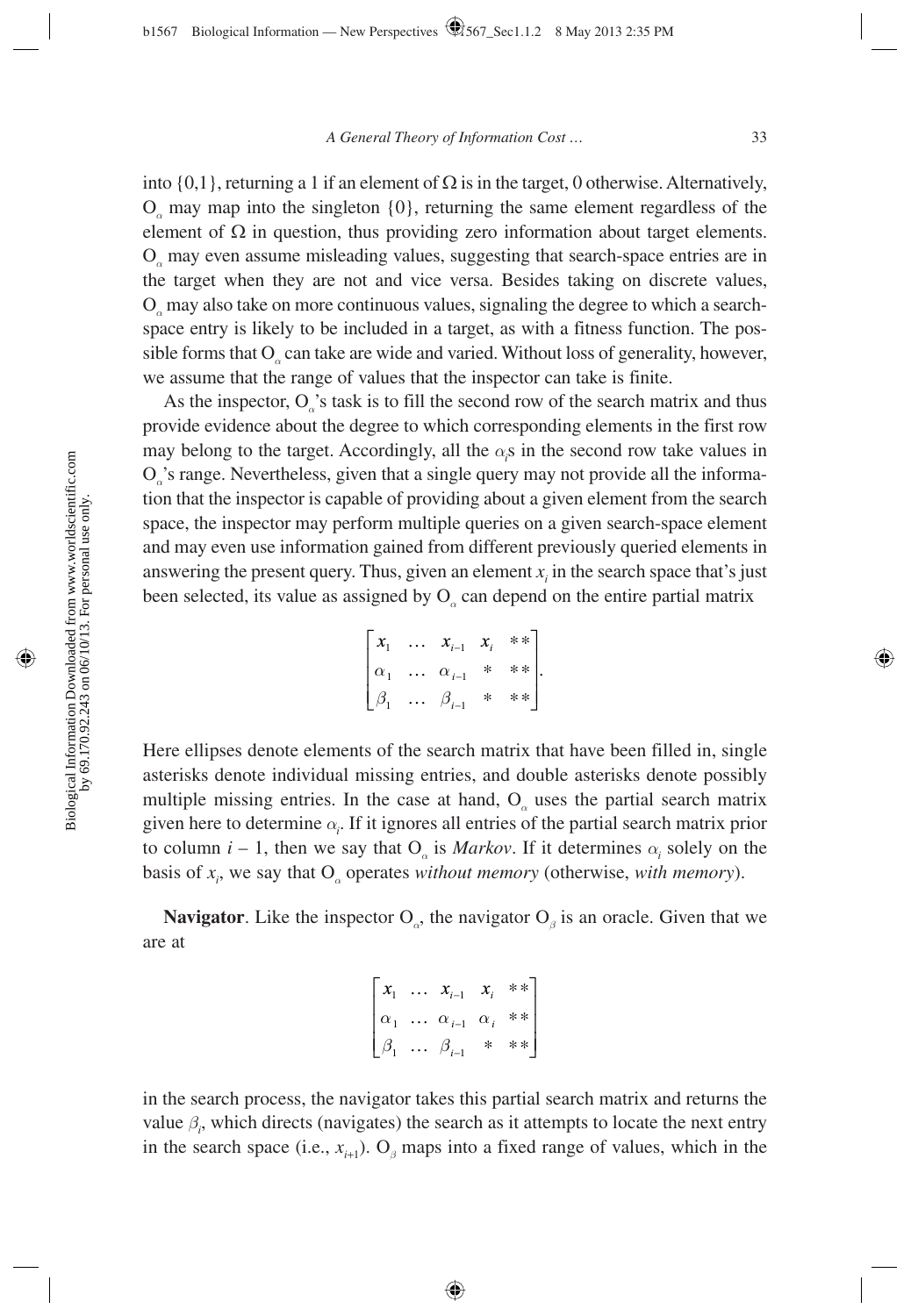into  $\{0,1\}$ , returning a 1 if an element of  $\Omega$  is in the target, 0 otherwise. Alternatively, O*α* may map into the singleton {0}, returning the same element regardless of the element of  $\Omega$  in question, thus providing zero information about target elements. O*α* may even assume misleading values, suggesting that search-space entries are in the target when they are not and vice versa. Besides taking on discrete values, O*α* may also take on more continuous values, signaling the degree to which a searchspace entry is likely to be included in a target, as with a fitness function. The possible forms that O<sub>a</sub> can take are wide and varied. Without loss of generality, however, we assume that the range of values that the inspector can take is finite.

As the inspector, O<sub>a</sub>'s task is to fill the second row of the search matrix and thus provide evidence about the degree to which corresponding elements in the first row may belong to the target. Accordingly, all the  $\alpha_i$ s in the second row take values in O*α*'s range. Nevertheless, given that a single query may not provide all the information that the inspector is capable of providing about a given element from the search space, the inspector may perform multiple queries on a given search-space element and may even use information gained from different previously queried elements in answering the present query. Thus, given an element  $x_i$  in the search space that's just been selected, its value as assigned by O<sub>*a*</sub> can depend on the entire partial matrix

$$
\begin{bmatrix} x_1 & \dots & x_{i-1} & x_i & * \ x_1 & \dots & \alpha_{i-1} & * & * \ x_n & \dots & \alpha_{i-1} & * & * \end{bmatrix}.
$$

Here ellipses denote elements of the search matrix that have been filled in, single asterisks denote individual missing entries, and double asterisks denote possibly multiple missing entries. In the case at hand, O<sub>a</sub> uses the partial search matrix given here to determine *α<sup>i</sup>* . If it ignores all entries of the partial search matrix prior to column  $i - 1$ , then we say that  $O_\alpha$  is *Markov*. If it determines  $\alpha_i$  solely on the basis of  $x_i$ , we say that  $O_\alpha$  operates *without memory* (otherwise, *with memory*).

**Navigator**. Like the inspector  $O_0$ , the navigator  $O_0$  is an oracle. Given that we are at

$$
\begin{bmatrix} x_1 & \dots & x_{i-1} & x_i & * \ast \\ \alpha_1 & \dots & \alpha_{i-1} & \alpha_i & * \ast \\ \beta_1 & \dots & \beta_{i-1} & * & * \ast \end{bmatrix}
$$

in the search process, the navigator takes this partial search matrix and returns the value  $\beta$ <sub>*i*</sub>, which directs (navigates) the search as it attempts to locate the next entry in the search space (i.e.,  $x_{i+1}$ ). O<sub>β</sub> maps into a fixed range of values, which in the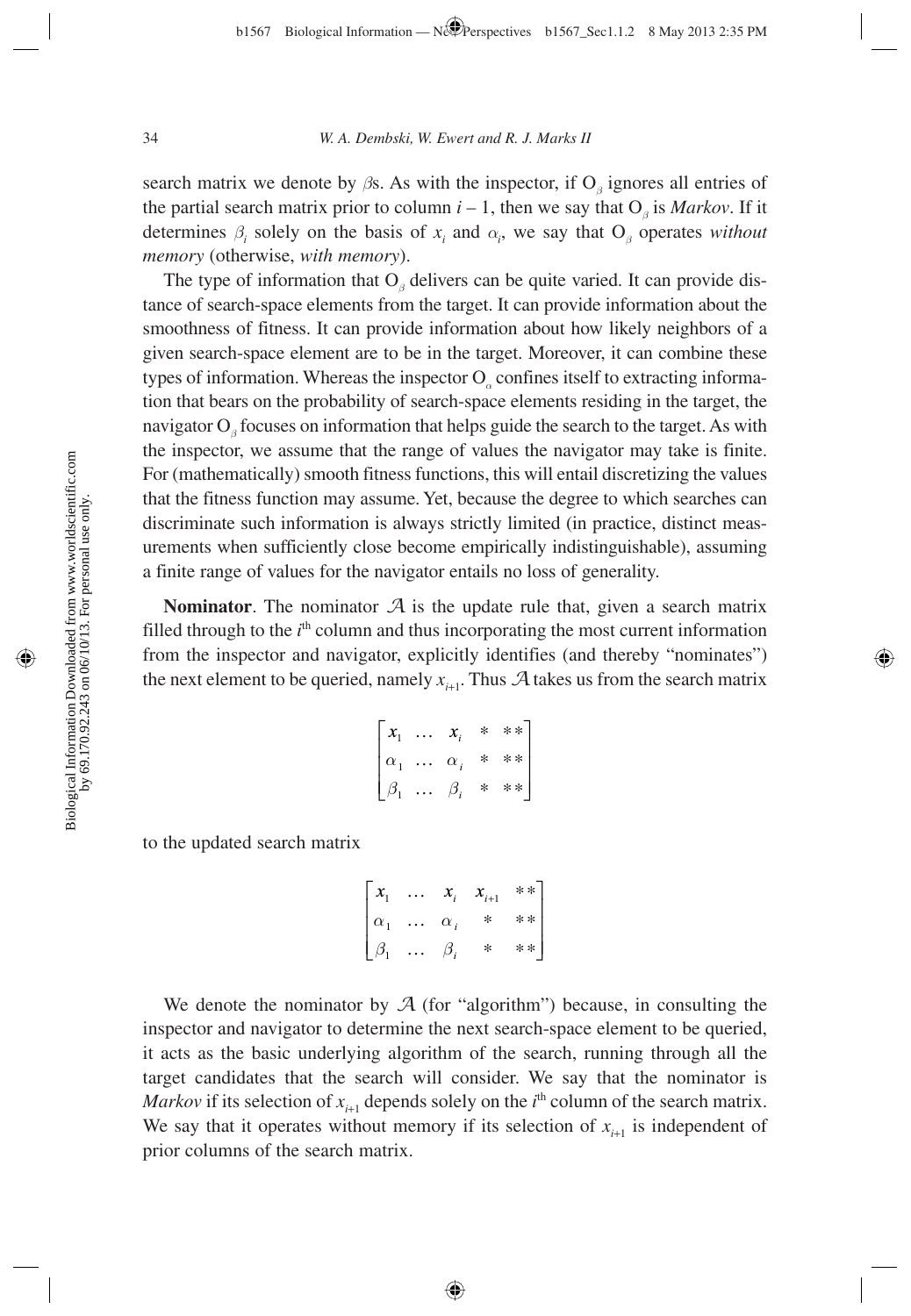search matrix we denote by  $\beta$ s. As with the inspector, if O<sub>β</sub> ignores all entries of the partial search matrix prior to column  $i - 1$ , then we say that  $O_\beta$  is *Markov*. If it determines  $\beta_i$  solely on the basis of  $x_i$  and  $\alpha_i$ , we say that  $O_\beta$  operates *without memory* (otherwise, *with memory*).

The type of information that O<sub>*β*</sub> delivers can be quite varied. It can provide distance of search-space elements from the target. It can provide information about the smoothness of fitness. It can provide information about how likely neighbors of a given search-space element are to be in the target. Moreover, it can combine these types of information. Whereas the inspector O<sub>*a*</sub> confines itself to extracting information that bears on the probability of search-space elements residing in the target, the navigator O<sub>β</sub> focuses on information that helps guide the search to the target. As with the inspector, we assume that the range of values the navigator may take is finite. For (mathematically) smooth fitness functions, this will entail discretizing the values that the fitness function may assume. Yet, because the degree to which searches can discriminate such information is always strictly limited (in practice, distinct measurements when sufficiently close become empirically indistinguishable), assuming a finite range of values for the navigator entails no loss of generality.

**Nominator**. The nominator *A* is the update rule that, given a search matrix filled through to the  $i<sup>th</sup>$  column and thus incorporating the most current information from the inspector and navigator, explicitly identifies (and thereby "nominates") the next element to be queried, namely  $x_{i+1}$ . Thus  $A$  takes us from the search matrix

$$
\begin{bmatrix} x_1 & \dots & x_i & * & ** \\ \alpha_1 & \dots & \alpha_i & * & ** \\ \beta_1 & \dots & \beta_i & * & ** \end{bmatrix}
$$

to the updated search matrix

$$
\begin{bmatrix} x_1 & \dots & x_i & x_{i+1} & * \ast \\ \alpha_1 & \dots & \alpha_i & * & * \ast \\ \beta_1 & \dots & \beta_i & * & * \ast \end{bmatrix}
$$

We denote the nominator by  $A$  (for "algorithm") because, in consulting the inspector and navigator to determine the next search-space element to be queried, it acts as the basic underlying algorithm of the search, running through all the target candidates that the search will consider. We say that the nominator is *Markov* if its selection of  $x_{i+1}$  depends solely on the  $i^{\text{th}}$  column of the search matrix. We say that it operates without memory if its selection of  $x_{i+1}$  is independent of prior columns of the search matrix.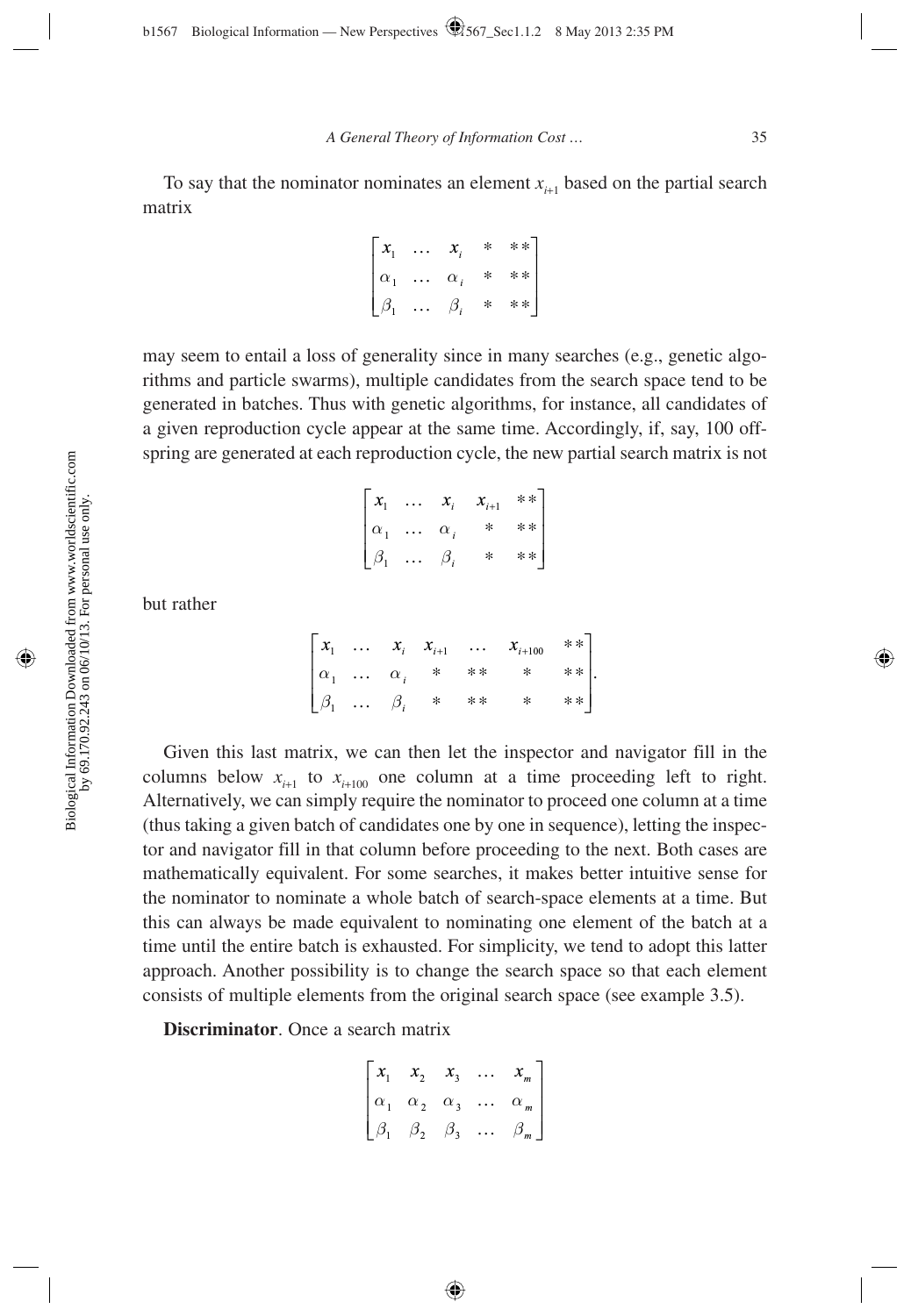To say that the nominator nominates an element  $x_{i+1}$  based on the partial search matrix

| $\vert x_1$ | $\cdots$          | $x_i$     | * **]    |
|-------------|-------------------|-----------|----------|
| $\alpha_1$  | $\cdots \alpha_i$ |           | $*$ $**$ |
| $\beta_1$   | $\ddotsc$         | $\beta_i$ | $*$ $**$ |

may seem to entail a loss of generality since in many searches (e.g., genetic algorithms and particle swarms), multiple candidates from the search space tend to be generated in batches. Thus with genetic algorithms, for instance, all candidates of a given reproduction cycle appear at the same time. Accordingly, if, say, 100 offspring are generated at each reproduction cycle, the new partial search matrix is not

| $\left\lceil x_1 \right\rceil$                      | $\cdots$ $x_i$     |        | $x_{i+1}$ ** |
|-----------------------------------------------------|--------------------|--------|--------------|
| $\begin{bmatrix} \alpha_1 \\ \beta_1 \end{bmatrix}$ | $\cdots \alpha_i$  | $\ast$ | $* *$        |
|                                                     | $\cdots$ $\beta_i$ | $\ast$ | $***$        |

but rather

|  |  |                                                                                                         | $\begin{bmatrix} x_1 & \dots & x_i & x_{i+1} & \dots & x_{i+100} & \dots \end{bmatrix}$ |          |
|--|--|---------------------------------------------------------------------------------------------------------|-----------------------------------------------------------------------------------------|----------|
|  |  |                                                                                                         | $\begin{array}{ccc} * & * \ * \end{array}$ .                                            |          |
|  |  | $\begin{bmatrix} \alpha_1 & \dots & \alpha_i & * & * \ \beta_1 & \dots & \beta_i & * & * \end{bmatrix}$ |                                                                                         | $*$ $**$ |

Given this last matrix, we can then let the inspector and navigator fill in the columns below  $x_{i+1}$  to  $x_{i+100}$  one column at a time proceeding left to right. Alternatively, we can simply require the nominator to proceed one column at a time (thus taking a given batch of candidates one by one in sequence), letting the inspector and navigator fill in that column before proceeding to the next. Both cases are mathematically equivalent. For some searches, it makes better intuitive sense for the nominator to nominate a whole batch of search-space elements at a time. But this can always be made equivalent to nominating one element of the batch at a time until the entire batch is exhausted. For simplicity, we tend to adopt this latter approach. Another possibility is to change the search space so that each element consists of multiple elements from the original search space (see example 3.5).

**Discriminator**. Once a search matrix

$$
\begin{bmatrix} x_1 & x_2 & x_3 & \dots & x_m \\ \alpha_1 & \alpha_2 & \alpha_3 & \dots & \alpha_m \\ \beta_1 & \beta_2 & \beta_3 & \dots & \beta_m \end{bmatrix}
$$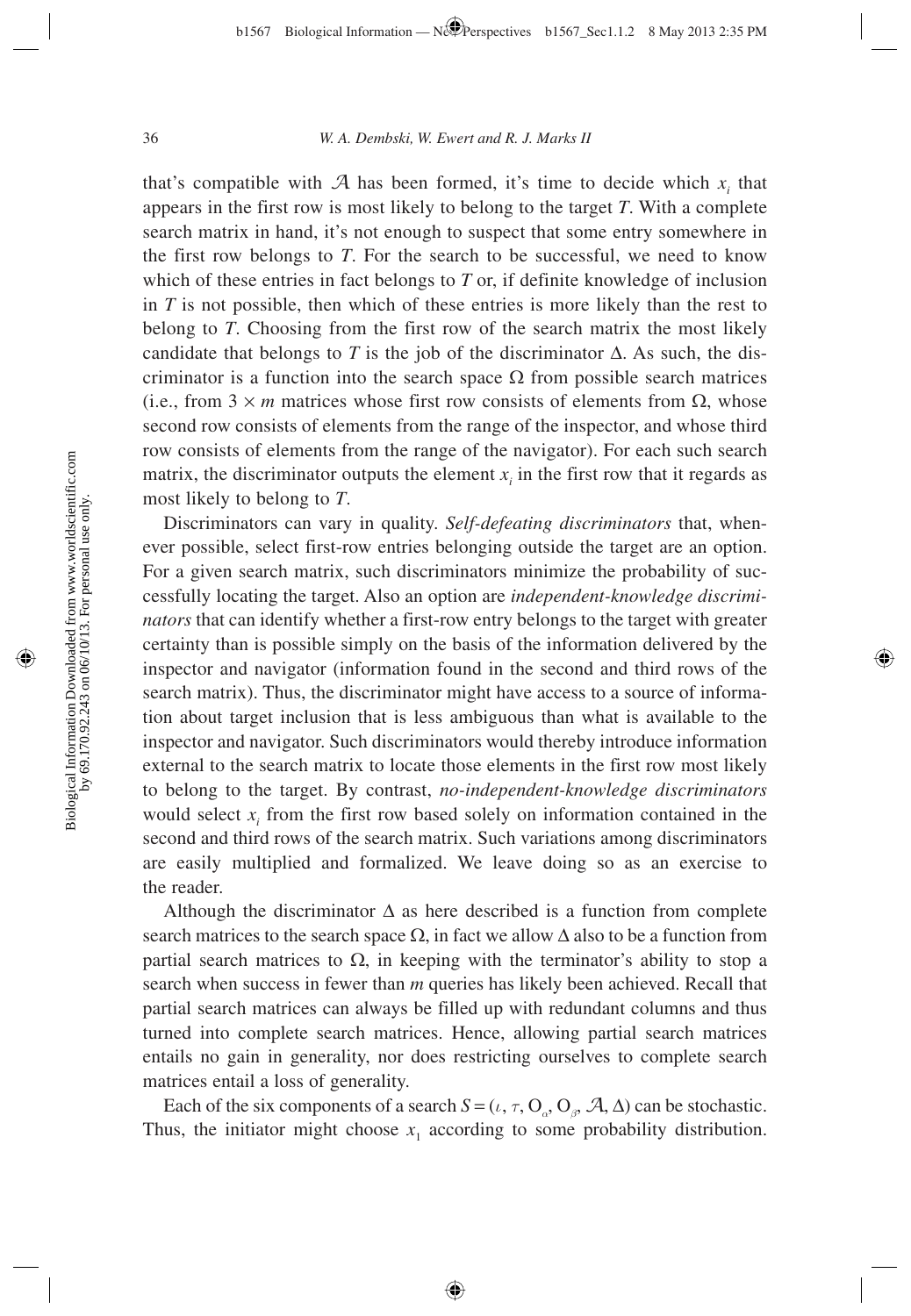that's compatible with  $A$  has been formed, it's time to decide which  $x_i$  that appears in the first row is most likely to belong to the target *T*. With a complete search matrix in hand, it's not enough to suspect that some entry somewhere in the first row belongs to *T*. For the search to be successful, we need to know which of these entries in fact belongs to *T* or, if definite knowledge of inclusion in *T* is not possible, then which of these entries is more likely than the rest to belong to *T*. Choosing from the first row of the search matrix the most likely candidate that belongs to *T* is the job of the discriminator  $\Delta$ . As such, the discriminator is a function into the search space  $\Omega$  from possible search matrices (i.e., from  $3 \times m$  matrices whose first row consists of elements from  $\Omega$ , whose second row consists of elements from the range of the inspector, and whose third row consists of elements from the range of the navigator). For each such search matrix, the discriminator outputs the element  $x_i$  in the first row that it regards as most likely to belong to *T*.

Discriminators can vary in quality. *Self-defeating discriminators* that, whenever possible, select first-row entries belonging outside the target are an option. For a given search matrix, such discriminators minimize the probability of successfully locating the target. Also an option are *independent-knowledge discriminators* that can identify whether a first-row entry belongs to the target with greater certainty than is possible simply on the basis of the information delivered by the inspector and navigator (information found in the second and third rows of the search matrix). Thus, the discriminator might have access to a source of information about target inclusion that is less ambiguous than what is available to the inspector and navigator. Such discriminators would thereby introduce information external to the search matrix to locate those elements in the first row most likely to belong to the target. By contrast, *no-independent-knowledge discriminators* would select  $x_i$  from the first row based solely on information contained in the second and third rows of the search matrix. Such variations among discriminators are easily multiplied and formalized. We leave doing so as an exercise to the reader.

Although the discriminator  $\Delta$  as here described is a function from complete search matrices to the search space  $\Omega$ , in fact we allow  $\Delta$  also to be a function from partial search matrices to  $\Omega$ , in keeping with the terminator's ability to stop a search when success in fewer than *m* queries has likely been achieved. Recall that partial search matrices can always be filled up with redundant columns and thus turned into complete search matrices. Hence, allowing partial search matrices entails no gain in generality, nor does restricting ourselves to complete search matrices entail a loss of generality.

Each of the six components of a search  $S = (\iota, \tau, O_{\alpha}, O_{\beta}, \mathcal{A}, \Delta)$  can be stochastic. Thus, the initiator might choose  $x_1$  according to some probability distribution.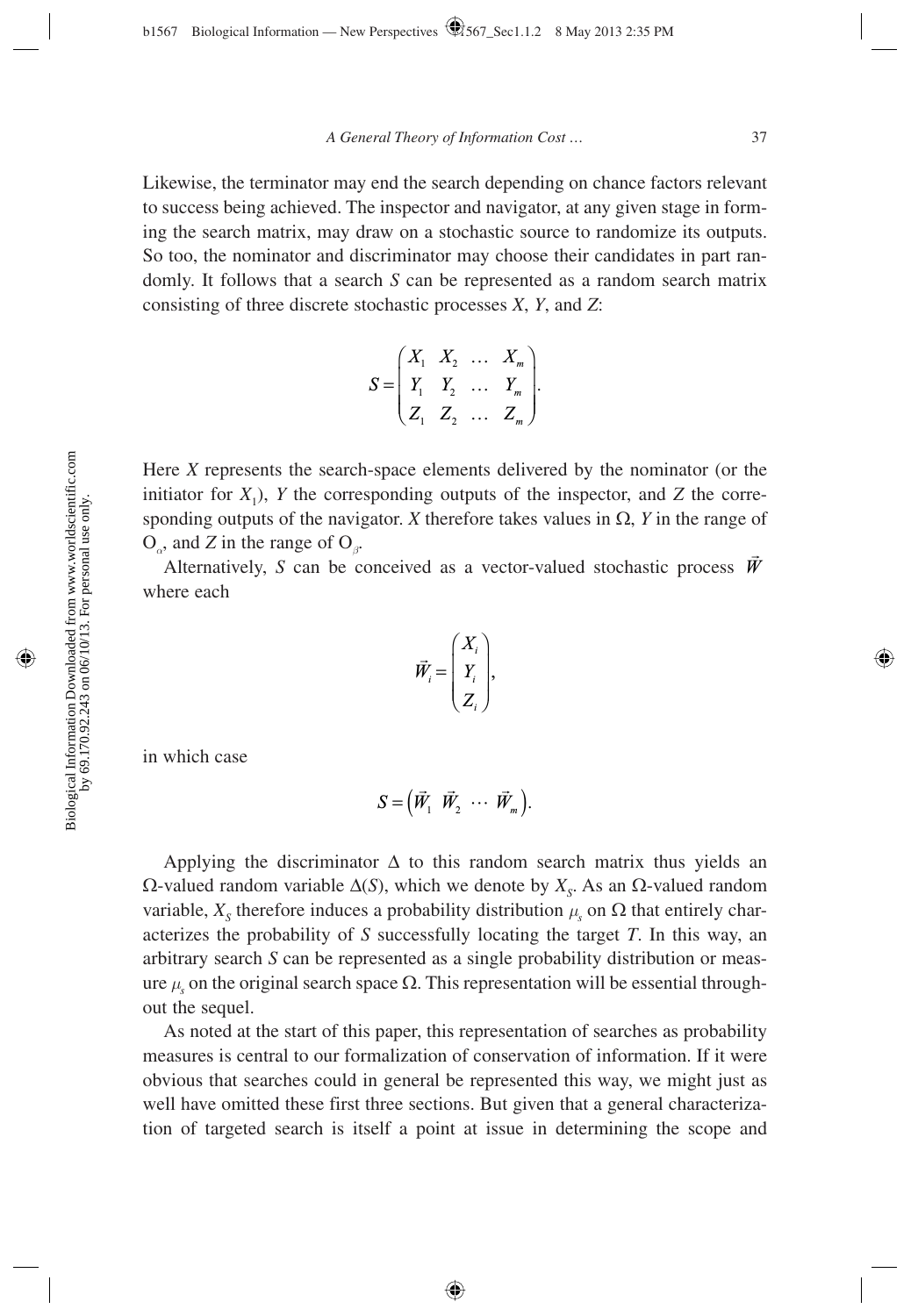Likewise, the terminator may end the search depending on chance factors relevant to success being achieved. The inspector and navigator, at any given stage in forming the search matrix, may draw on a stochastic source to randomize its outputs. So too, the nominator and discriminator may choose their candidates in part randomly. It follows that a search *S* can be represented as a random search matrix consisting of three discrete stochastic processes *X*, *Y*, and *Z*:

$$
S = \begin{pmatrix} X_1 & X_2 & \dots & X_m \\ Y_1 & Y_2 & \dots & Y_m \\ Z_1 & Z_2 & \dots & Z_m \end{pmatrix}.
$$

Here *X* represents the search-space elements delivered by the nominator (or the initiator for  $X_1$ ), *Y* the corresponding outputs of the inspector, and *Z* the corresponding outputs of the navigator. *X* therefore takes values in  $\Omega$ , *Y* in the range of O*α*, and *Z* in the range of O*β*.

Alternatively, *S* can be conceived as a vector-valued stochastic process  $\vec{W}$ where each

$$
\vec{W}_i = \begin{pmatrix} X_i \\ Y_i \\ Z_i \end{pmatrix},
$$

in which case

$$
S=\left(\vec{W}_1 \ \vec{W}_2 \ \cdots \ \vec{W}_m\right).
$$

Applying the discriminator  $\Delta$  to this random search matrix thus yields an  $\Omega$ -valued random variable  $\Delta(S)$ , which we denote by  $X_s$ . As an  $\Omega$ -valued random variable,  $X_s$  therefore induces a probability distribution  $\mu_s$  on  $\Omega$  that entirely characterizes the probability of *S* successfully locating the target *T*. In this way, an arbitrary search *S* can be represented as a single probability distribution or measure  $μ$ <sub>s</sub> on the original search space  $Ω$ . This representation will be essential throughout the sequel.

As noted at the start of this paper, this representation of searches as probability measures is central to our formalization of conservation of information. If it were obvious that searches could in general be represented this way, we might just as well have omitted these first three sections. But given that a general characterization of targeted search is itself a point at issue in determining the scope and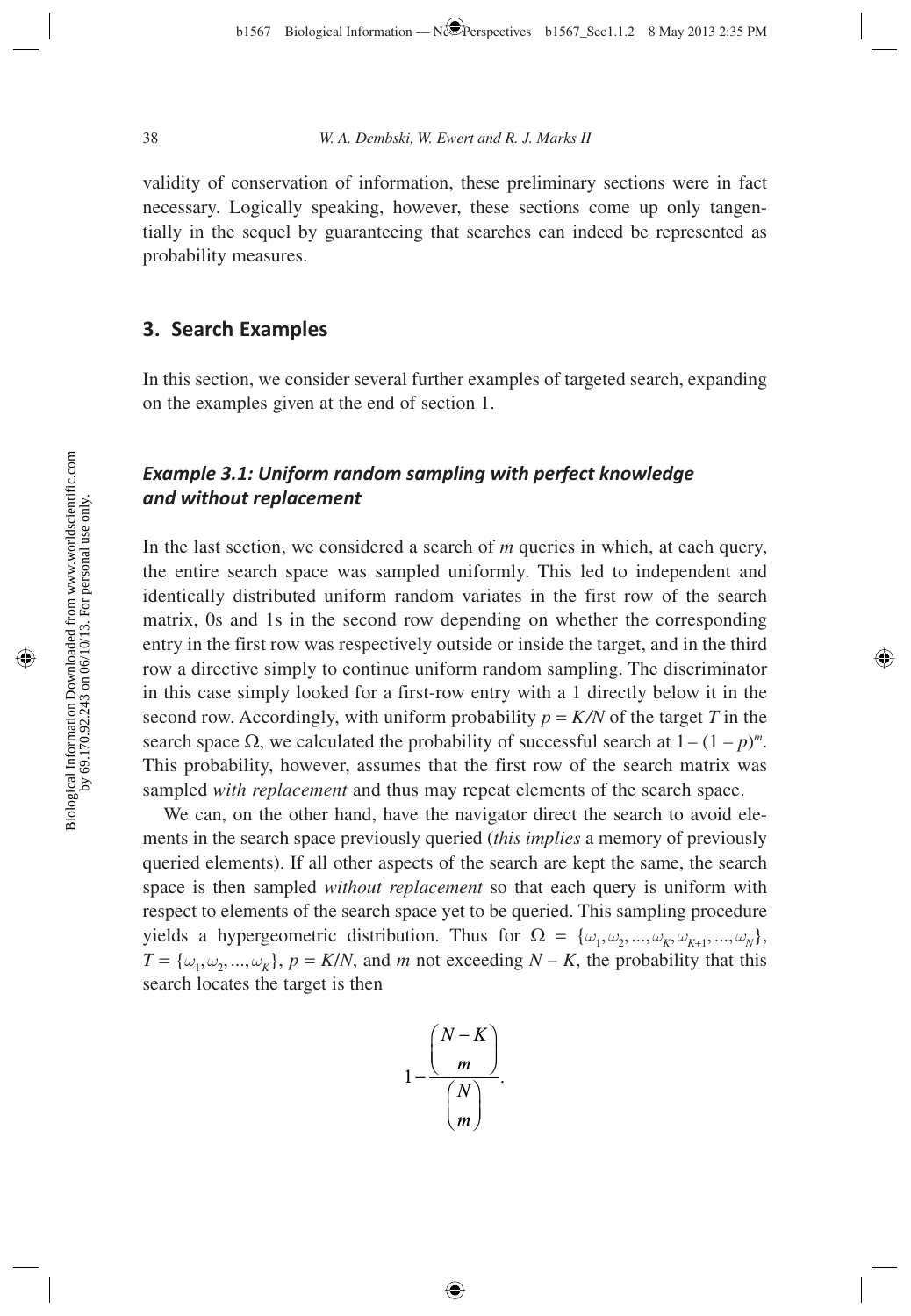validity of conservation of information, these preliminary sections were in fact necessary. Logically speaking, however, these sections come up only tangentially in the sequel by guaranteeing that searches can indeed be represented as probability measures.

# **3. Search Examples**

In this section, we consider several further examples of targeted search, expanding on the examples given at the end of section 1.

# *Example 3.1: Uniform random sampling with perfect knowledge and without replacement*

In the last section, we considered a search of *m* queries in which, at each query, the entire search space was sampled uniformly. This led to independent and identically distributed uniform random variates in the first row of the search matrix, 0s and 1s in the second row depending on whether the corresponding entry in the first row was respectively outside or inside the target, and in the third row a directive simply to continue uniform random sampling. The discriminator in this case simply looked for a first-row entry with a 1 directly below it in the second row. Accordingly, with uniform probability  $p = K/N$  of the target *T* in the search space  $\Omega$ , we calculated the probability of successful search at  $1 - (1 - p)^m$ . This probability, however, assumes that the first row of the search matrix was sampled *with replacement* and thus may repeat elements of the search space.

We can, on the other hand, have the navigator direct the search to avoid elements in the search space previously queried (*this implies* a memory of previously queried elements). If all other aspects of the search are kept the same, the search space is then sampled *without replacement* so that each query is uniform with respect to elements of the search space yet to be queried. This sampling procedure yields a hypergeometric distribution. Thus for  $\Omega = {\omega_1, \omega_2, ..., \omega_K, \omega_{K+1}, ..., \omega_N}$ ,  $T = {\omega_1, \omega_2, ..., \omega_K}, p = K/N$ , and *m* not exceeding  $N - K$ , the probability that this search locates the target is then

$$
1-\frac{\binom{N-K}{m}}{\binom{N}{m}}.
$$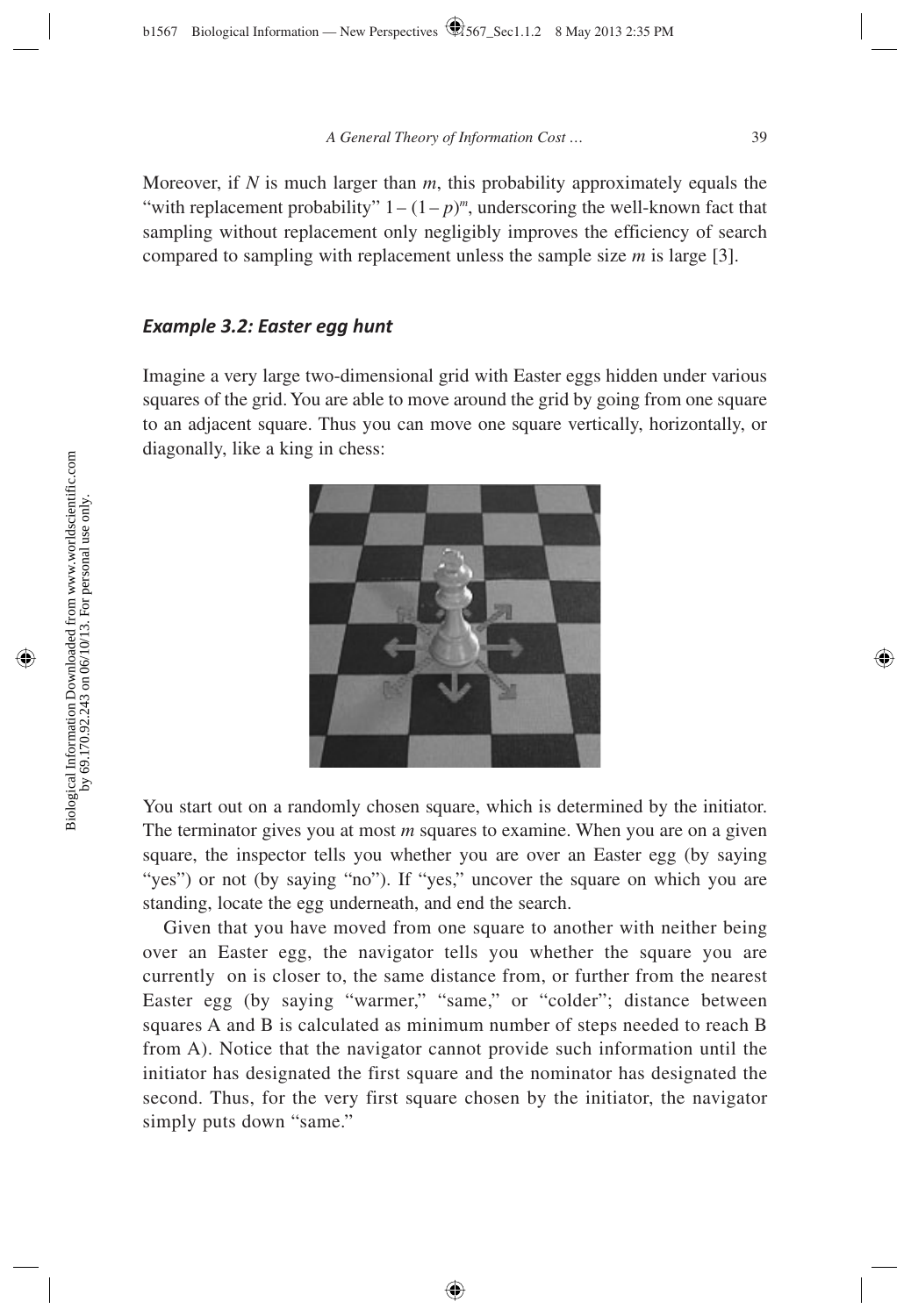Moreover, if *N* is much larger than *m*, this probability approximately equals the "with replacement probability"  $1 - (1 - p)^m$ , underscoring the well-known fact that sampling without replacement only negligibly improves the efficiency of search compared to sampling with replacement unless the sample size *m* is large [3].

### *Example 3.2: Easter egg hunt*

Imagine a very large two-dimensional grid with Easter eggs hidden under various squares of the grid. You are able to move around the grid by going from one square to an adjacent square. Thus you can move one square vertically, horizontally, or diagonally, like a king in chess:



You start out on a randomly chosen square, which is determined by the initiator. The terminator gives you at most *m* squares to examine. When you are on a given square, the inspector tells you whether you are over an Easter egg (by saying "yes") or not (by saying "no"). If "yes," uncover the square on which you are standing, locate the egg underneath, and end the search.

Given that you have moved from one square to another with neither being over an Easter egg, the navigator tells you whether the square you are currently on is closer to, the same distance from, or further from the nearest Easter egg (by saying "warmer," "same," or "colder"; distance between squares A and B is calculated as minimum number of steps needed to reach B from A). Notice that the navigator cannot provide such information until the initiator has designated the first square and the nominator has designated the second. Thus, for the very first square chosen by the initiator, the navigator simply puts down "same."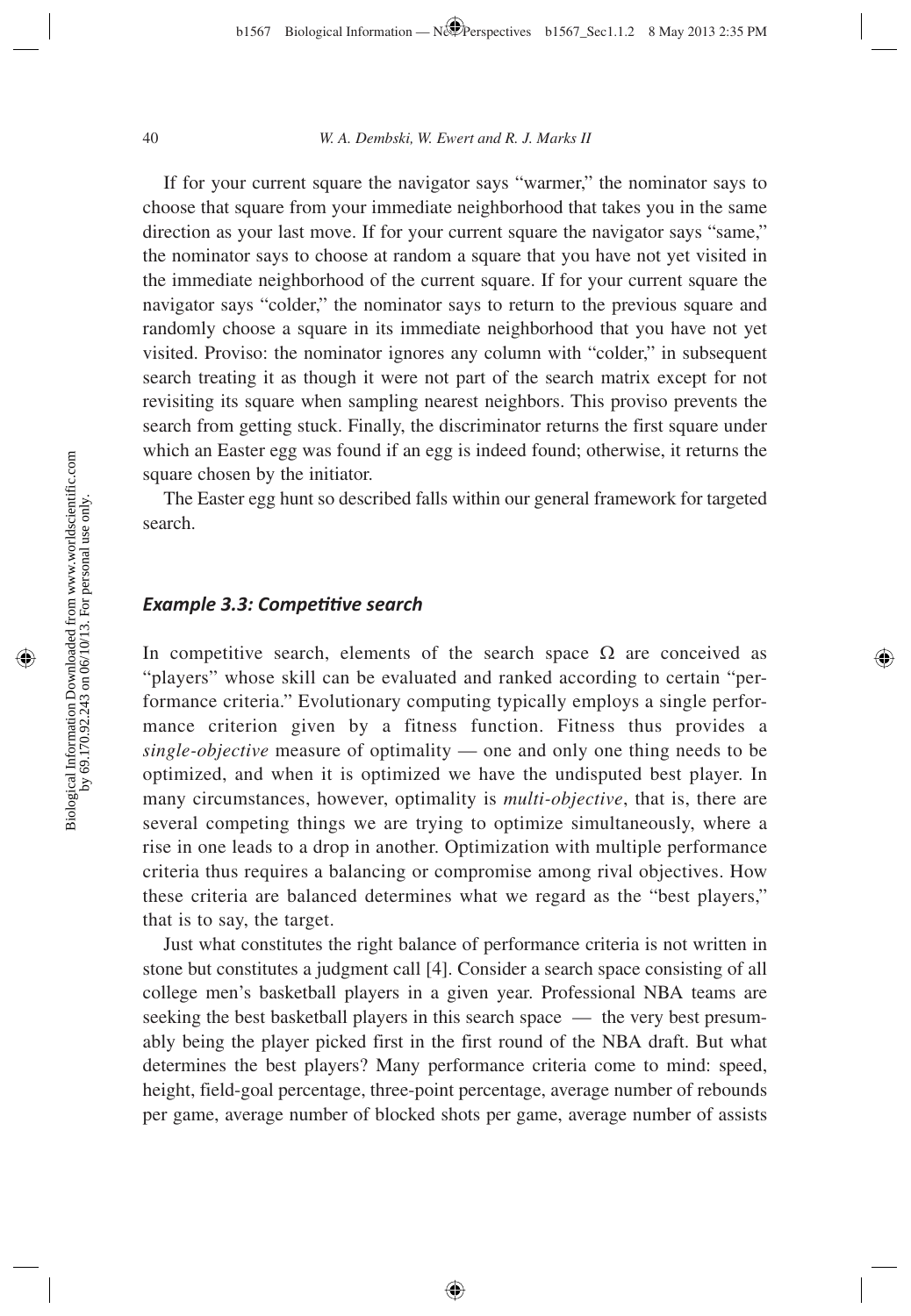If for your current square the navigator says "warmer," the nominator says to choose that square from your immediate neighborhood that takes you in the same direction as your last move. If for your current square the navigator says "same," the nominator says to choose at random a square that you have not yet visited in the immediate neighborhood of the current square. If for your current square the navigator says "colder," the nominator says to return to the previous square and randomly choose a square in its immediate neighborhood that you have not yet visited. Proviso: the nominator ignores any column with "colder," in subsequent search treating it as though it were not part of the search matrix except for not revisiting its square when sampling nearest neighbors. This proviso prevents the search from getting stuck. Finally, the discriminator returns the first square under which an Easter egg was found if an egg is indeed found; otherwise, it returns the square chosen by the initiator.

The Easter egg hunt so described falls within our general framework for targeted search.

### *Example 3.3: Competitive search*

In competitive search, elements of the search space  $\Omega$  are conceived as "players" whose skill can be evaluated and ranked according to certain "performance criteria." Evolutionary computing typically employs a single performance criterion given by a fitness function. Fitness thus provides a *single-objective* measure of optimality — one and only one thing needs to be optimized, and when it is optimized we have the undisputed best player. In many circumstances, however, optimality is *multi-objective*, that is, there are several competing things we are trying to optimize simultaneously, where a rise in one leads to a drop in another. Optimization with multiple performance criteria thus requires a balancing or compromise among rival objectives. How these criteria are balanced determines what we regard as the "best players," that is to say, the target.

Just what constitutes the right balance of performance criteria is not written in stone but constitutes a judgment call [4]. Consider a search space consisting of all college men's basketball players in a given year. Professional NBA teams are seeking the best basketball players in this search space — the very best presumably being the player picked first in the first round of the NBA draft. But what determines the best players? Many performance criteria come to mind: speed, height, field-goal percentage, three-point percentage, average number of rebounds per game, average number of blocked shots per game, average number of assists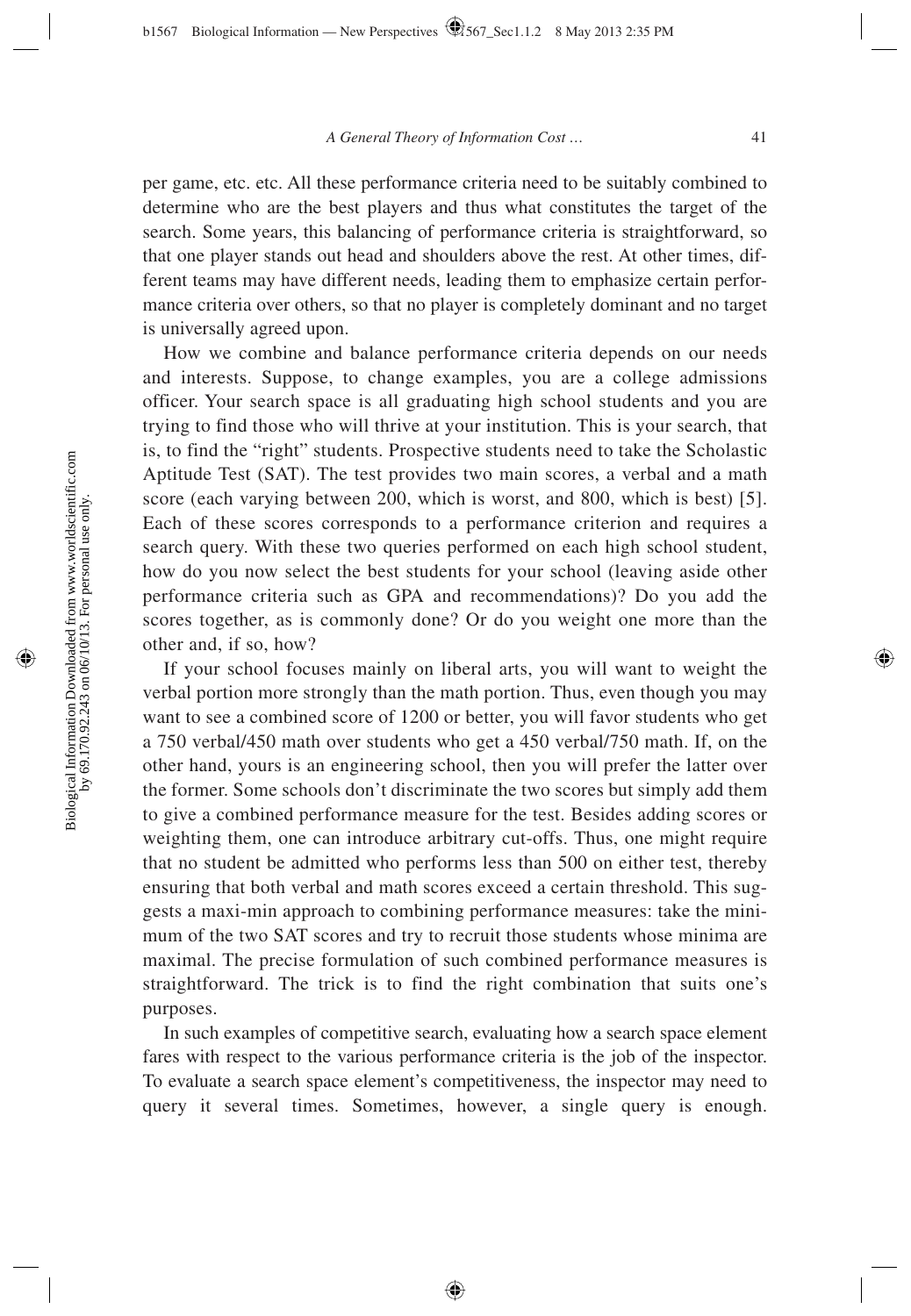per game, etc. etc. All these performance criteria need to be suitably combined to determine who are the best players and thus what constitutes the target of the search. Some years, this balancing of performance criteria is straightforward, so that one player stands out head and shoulders above the rest. At other times, different teams may have different needs, leading them to emphasize certain performance criteria over others, so that no player is completely dominant and no target is universally agreed upon.

How we combine and balance performance criteria depends on our needs and interests. Suppose, to change examples, you are a college admissions officer. Your search space is all graduating high school students and you are trying to find those who will thrive at your institution. This is your search, that is, to find the "right" students. Prospective students need to take the Scholastic Aptitude Test (SAT). The test provides two main scores, a verbal and a math score (each varying between 200, which is worst, and 800, which is best) [5]. Each of these scores corresponds to a performance criterion and requires a search query. With these two queries performed on each high school student, how do you now select the best students for your school (leaving aside other performance criteria such as GPA and recommendations)? Do you add the scores together, as is commonly done? Or do you weight one more than the other and, if so, how?

If your school focuses mainly on liberal arts, you will want to weight the verbal portion more strongly than the math portion. Thus, even though you may want to see a combined score of 1200 or better, you will favor students who get a 750 verbal/450 math over students who get a 450 verbal/750 math. If, on the other hand, yours is an engineering school, then you will prefer the latter over the former. Some schools don't discriminate the two scores but simply add them to give a combined performance measure for the test. Besides adding scores or weighting them, one can introduce arbitrary cut-offs. Thus, one might require that no student be admitted who performs less than 500 on either test, thereby ensuring that both verbal and math scores exceed a certain threshold. This suggests a maxi-min approach to combining performance measures: take the minimum of the two SAT scores and try to recruit those students whose minima are maximal. The precise formulation of such combined performance measures is straightforward. The trick is to find the right combination that suits one's purposes.

In such examples of competitive search, evaluating how a search space element fares with respect to the various performance criteria is the job of the inspector. To evaluate a search space element's competitiveness, the inspector may need to query it several times. Sometimes, however, a single query is enough.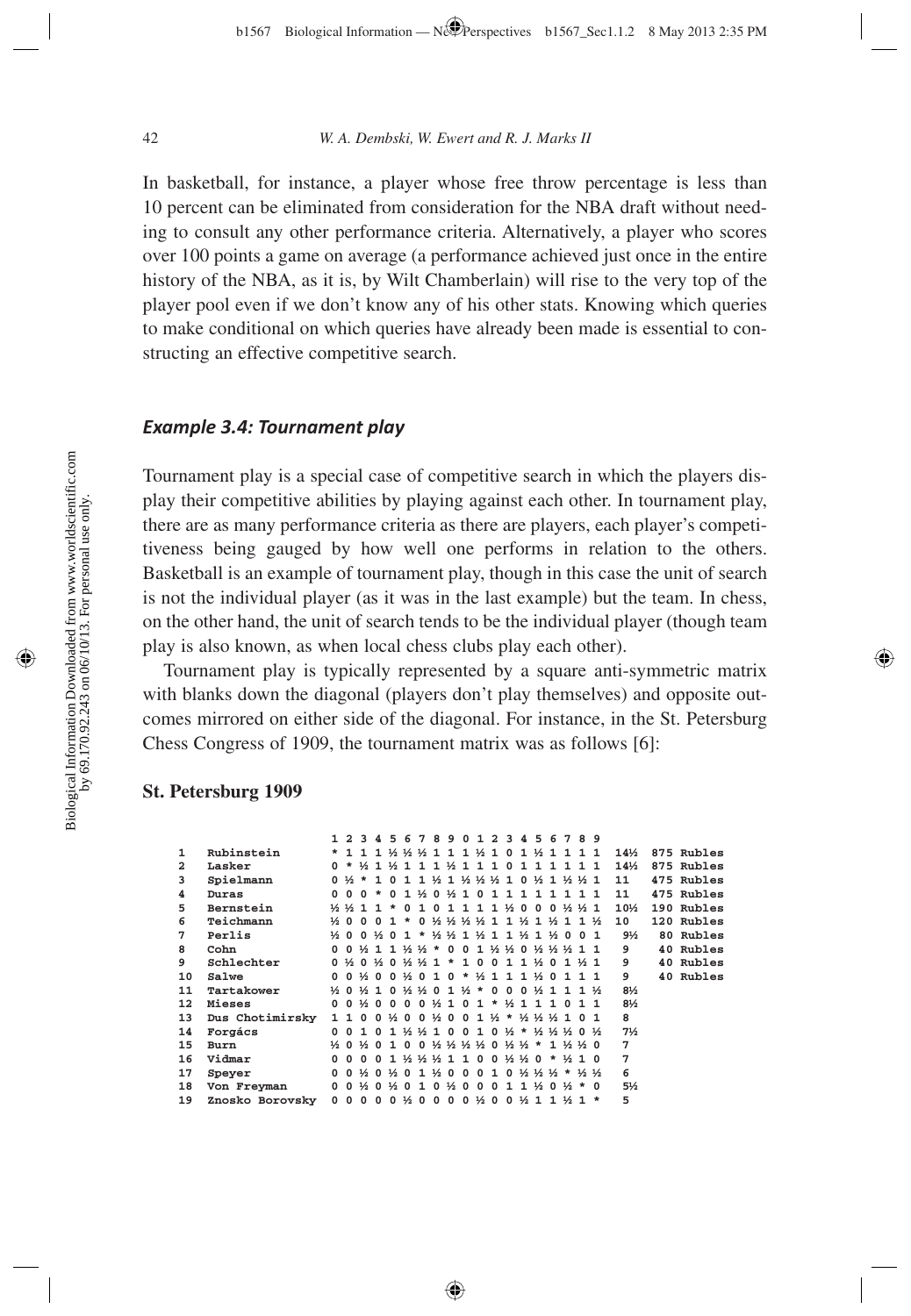In basketball, for instance, a player whose free throw percentage is less than 10 percent can be eliminated from consideration for the NBA draft without needing to consult any other performance criteria. Alternatively, a player who scores over 100 points a game on average (a performance achieved just once in the entire history of the NBA, as it is, by Wilt Chamberlain) will rise to the very top of the player pool even if we don't know any of his other stats. Knowing which queries to make conditional on which queries have already been made is essential to constructing an effective competitive search.

### *Example 3.4: Tournament play*

Tournament play is a special case of competitive search in which the players display their competitive abilities by playing against each other. In tournament play, there are as many performance criteria as there are players, each player's competitiveness being gauged by how well one performs in relation to the others. Basketball is an example of tournament play, though in this case the unit of search is not the individual player (as it was in the last example) but the team. In chess, on the other hand, the unit of search tends to be the individual player (though team play is also known, as when local chess clubs play each other).

Tournament play is typically represented by a square anti-symmetric matrix with blanks down the diagonal (players don't play themselves) and opposite outcomes mirrored on either side of the diagonal. For instance, in the St. Petersburg Chess Congress of 1909, the tournament matrix was as follows [6]:

#### **St. Petersburg 1909**

|                         |                 |              |                               |                               |          |              |                                       |                                                                       |  |                                         |  |                                |   |         | 1 2 3 4 5 6 7 8 9 0 1 2 3 4 5 6 7 8 9                                                                                                                                                                                                                                                                               |                   |                                                                                                                                 |                 |            |
|-------------------------|-----------------|--------------|-------------------------------|-------------------------------|----------|--------------|---------------------------------------|-----------------------------------------------------------------------|--|-----------------------------------------|--|--------------------------------|---|---------|---------------------------------------------------------------------------------------------------------------------------------------------------------------------------------------------------------------------------------------------------------------------------------------------------------------------|-------------------|---------------------------------------------------------------------------------------------------------------------------------|-----------------|------------|
| $\mathbf{1}$            | Rubinstein      |              |                               |                               |          |              |                                       |                                                                       |  |                                         |  |                                |   |         | * 1 1 1 ½ ½ ½ 1 1 1 ½ 1 0 1 ½ 1 1 1 1                                                                                                                                                                                                                                                                               |                   |                                                                                                                                 | $14\%$          | 875 Rubles |
| $\overline{\mathbf{2}}$ | Lasker          |              |                               |                               |          |              |                                       |                                                                       |  |                                         |  |                                |   |         | 0 * ½ 1 ½ 1 1 1 ½ 1 1 1 0 1 1 1 1 1 1 1                                                                                                                                                                                                                                                                             |                   |                                                                                                                                 | $14\frac{1}{2}$ | 875 Rubles |
| 3                       | Spielmann       |              | $0 \frac{1}{2}$ *             |                               | 1        |              |                                       |                                                                       |  |                                         |  |                                |   |         | 0 1 1 ½ 1 ½ ½ ½ 1 0 ½ 1 ½ ½ 1                                                                                                                                                                                                                                                                                       |                   |                                                                                                                                 | 11              | 475 Rubles |
| 4                       | Duras           | $\Omega$     | $\Omega$                      | $\Omega$                      |          | $\Omega$     | 1                                     |                                                                       |  | $\frac{1}{2}$ 0 $\frac{1}{2}$ 1 0 1 1 1 |  |                                | 1 | 1       |                                                                                                                                                                                                                                                                                                                     |                   |                                                                                                                                 | 11              | 475 Rubles |
| 5                       | Bernstein       |              | $\frac{1}{2}$ $\frac{1}{2}$ 1 |                               |          |              | n                                     | 1                                                                     |  | 0 1 1 1 1                               |  |                                |   |         | $\frac{1}{2}$ 0 0 0 $\frac{1}{2}$ $\frac{1}{2}$ 1                                                                                                                                                                                                                                                                   |                   |                                                                                                                                 | $10\%$          | 190 Rubles |
| 6                       | Teichmann       |              |                               | $\frac{1}{2}$ 0 0 0           |          | $\mathbf{1}$ | $\star$                               |                                                                       |  |                                         |  |                                |   |         |                                                                                                                                                                                                                                                                                                                     | $1\frac{1}{2}$    |                                                                                                                                 | 10              | 120 Rubles |
| 7                       | Perlis          |              |                               |                               |          |              | $\frac{1}{2}$ 0 0 $\frac{1}{2}$ 0 1 * |                                                                       |  |                                         |  |                                |   |         | $\frac{1}{2}$ $\frac{1}{2}$ $\frac{1}{2}$ $\frac{1}{2}$ $\frac{1}{2}$ $\frac{1}{2}$ $\frac{1}{2}$ $\frac{1}{2}$ $\frac{1}{2}$ $\frac{1}{2}$ $\frac{1}{2}$ $\frac{1}{2}$ $\frac{1}{2}$ $\frac{1}{2}$ $\frac{1}{2}$ $\frac{1}{2}$ $\frac{1}{2}$ $\frac{1}{2}$ $\frac{1}{2}$ $\frac{1}{2}$ $\frac{1}{2}$ $\frac{1}{2}$ | 0 1               |                                                                                                                                 | $9\frac{1}{2}$  | 80 Rubles  |
| 8                       | Cohn            |              |                               |                               |          |              |                                       |                                                                       |  |                                         |  |                                |   |         | 00½ 11½ ½ * 001½ ½ 0½ ½ ½ 11                                                                                                                                                                                                                                                                                        |                   |                                                                                                                                 | 9               | 40 Rubles  |
| 9                       | Schlechter      |              |                               |                               |          |              |                                       |                                                                       |  |                                         |  |                                |   |         | $0\frac{1}{2}0\frac{1}{2}0\frac{1}{2}0\frac{1}{2}0\frac{1}{2}$ * 10011 $\frac{1}{2}01\frac{1}{2}1$                                                                                                                                                                                                                  |                   |                                                                                                                                 | 9               | 40 Rubles  |
| 10                      | Salwe           |              |                               |                               |          |              |                                       |                                                                       |  |                                         |  |                                |   |         | $0.0\frac{1}{2}0.0\frac{1}{2}0.10*11111201111$                                                                                                                                                                                                                                                                      |                   |                                                                                                                                 | 9               | 40 Rubles  |
| 11                      | Tartakower      |              |                               |                               |          |              |                                       |                                                                       |  |                                         |  |                                |   |         | $\frac{1}{2}$ 0 $\frac{1}{2}$ 1 0 $\frac{1}{2}$ $\frac{1}{2}$ 0 1 $\frac{1}{2}$ * 0 0 0 $\frac{1}{2}$ 1 1 1 $\frac{1}{2}$                                                                                                                                                                                           |                   |                                                                                                                                 | $8\frac{1}{2}$  |            |
| $12 \overline{ }$       | Mieses          |              |                               |                               |          |              |                                       |                                                                       |  |                                         |  |                                |   |         | 0012000012101*1211011                                                                                                                                                                                                                                                                                               |                   |                                                                                                                                 | 81/2            |            |
| 13                      | Dus Chotimirsky | 1            | 1                             |                               |          |              |                                       |                                                                       |  |                                         |  |                                |   |         | 0012001200112*1212121                                                                                                                                                                                                                                                                                               | 0 1               |                                                                                                                                 | 8               |            |
| 14                      | Forgács         | <sup>0</sup> |                               | 0 1                           |          |              |                                       |                                                                       |  |                                         |  |                                |   |         |                                                                                                                                                                                                                                                                                                                     |                   | $0.1$ $\frac{1}{2}$ $\frac{1}{2}$ $1.0$ $0.1$ $0.1$ $\frac{1}{2}$ $\frac{1}{2}$ $\frac{1}{2}$ $\frac{1}{2}$ $\frac{1}{2}$ $0.1$ | $7\frac{1}{2}$  |            |
| 15                      | Burn            |              |                               | $\frac{1}{2}$ 0 $\frac{1}{2}$ | $\Omega$ |              |                                       |                                                                       |  |                                         |  |                                |   |         | $1\;0\;0\;3\;3\;3\;4\;3\;4\;1\;3\;4\;4\;1\;3\;4\;0$                                                                                                                                                                                                                                                                 |                   |                                                                                                                                 | 7               |            |
| 16                      | Vidmar          | 0            | <sup>0</sup>                  | $\Omega$                      | $\Omega$ | 1            |                                       | $\frac{1}{2}$ $\frac{1}{2}$ $\frac{1}{2}$ $\frac{1}{2}$ $\frac{0}{0}$ |  |                                         |  | $0\frac{1}{2}$ $\frac{1}{2}$ 0 |   | $\star$ |                                                                                                                                                                                                                                                                                                                     | $\frac{1}{2}$ 1 0 |                                                                                                                                 | $7\phantom{.0}$ |            |
| 17                      | Speyer          | <sup>0</sup> |                               |                               |          |              |                                       |                                                                       |  |                                         |  |                                |   |         | 0 ½ 0 ½ 0 1 ½ 0 0 0 1 0 ½ ½ ½ * ½ ½                                                                                                                                                                                                                                                                                 |                   |                                                                                                                                 | 6               |            |
| 18                      | Von Freyman     | 0            |                               |                               |          |              |                                       |                                                                       |  |                                         |  |                                |   |         | $0\frac{1}{2}0\frac{1}{2}01010\frac{1}{2}00011300140$                                                                                                                                                                                                                                                               |                   |                                                                                                                                 | 5½              |            |
| 19                      | Znosko Borovsky | $\Omega$     |                               |                               |          |              |                                       |                                                                       |  |                                         |  |                                |   |         | $0.0.0.0\frac{1}{2}0.0.0.0\frac{1}{2}0.0\frac{1}{2}1.1\frac{1}{2}1.$                                                                                                                                                                                                                                                |                   |                                                                                                                                 | 5               |            |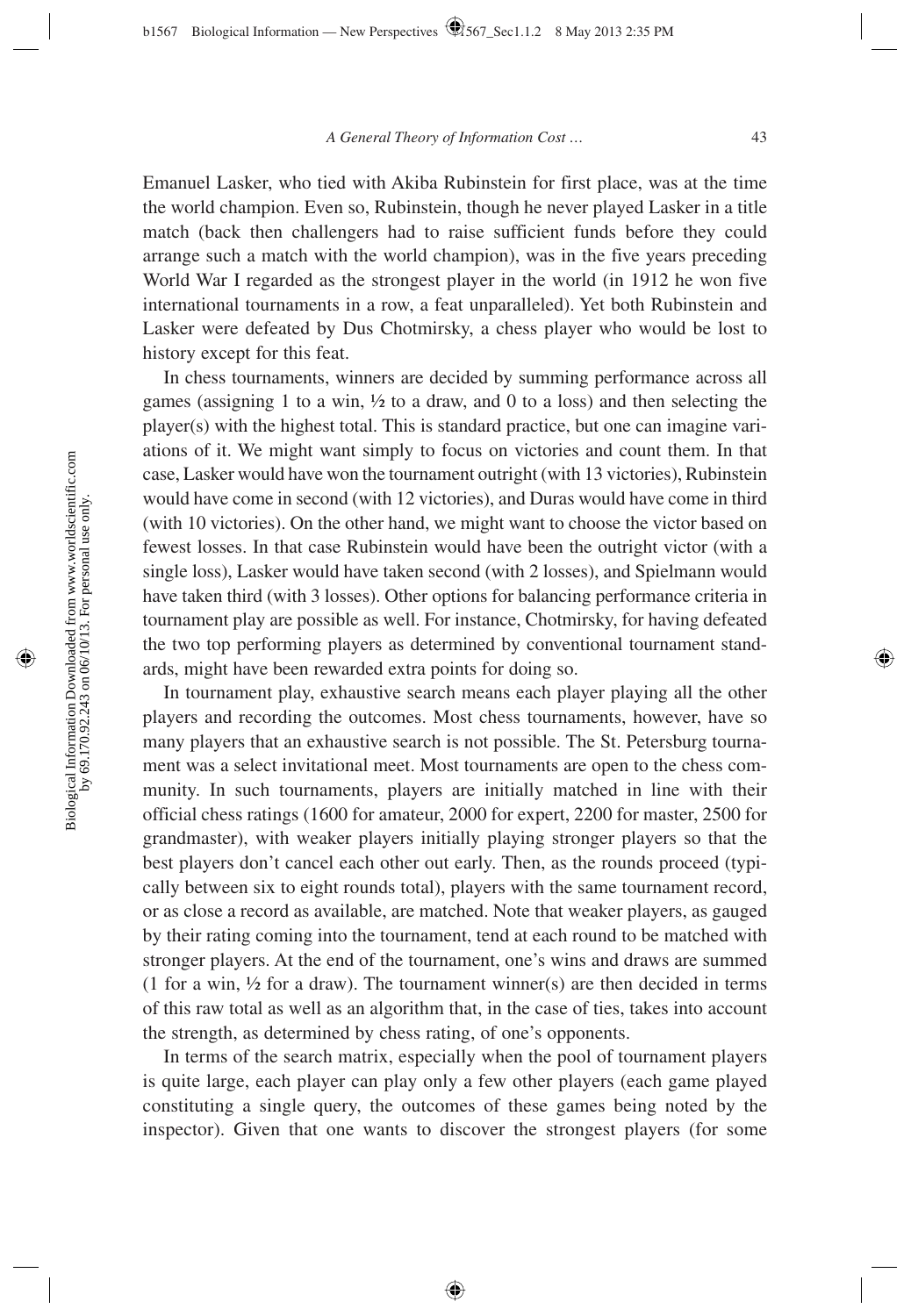Emanuel Lasker, who tied with Akiba Rubinstein for first place, was at the time the world champion. Even so, Rubinstein, though he never played Lasker in a title match (back then challengers had to raise sufficient funds before they could arrange such a match with the world champion), was in the five years preceding World War I regarded as the strongest player in the world (in 1912 he won five international tournaments in a row, a feat unparalleled). Yet both Rubinstein and Lasker were defeated by Dus Chotmirsky, a chess player who would be lost to history except for this feat.

In chess tournaments, winners are decided by summing performance across all games (assigning 1 to a win,  $\frac{1}{2}$  to a draw, and 0 to a loss) and then selecting the player(s) with the highest total. This is standard practice, but one can imagine variations of it. We might want simply to focus on victories and count them. In that case, Lasker would have won the tournament outright (with 13 victories), Rubinstein would have come in second (with 12 victories), and Duras would have come in third (with 10 victories). On the other hand, we might want to choose the victor based on fewest losses. In that case Rubinstein would have been the outright victor (with a single loss), Lasker would have taken second (with 2 losses), and Spielmann would have taken third (with 3 losses). Other options for balancing performance criteria in tournament play are possible as well. For instance, Chotmirsky, for having defeated the two top performing players as determined by conventional tournament standards, might have been rewarded extra points for doing so.

In tournament play, exhaustive search means each player playing all the other players and recording the outcomes. Most chess tournaments, however, have so many players that an exhaustive search is not possible. The St. Petersburg tournament was a select invitational meet. Most tournaments are open to the chess community. In such tournaments, players are initially matched in line with their official chess ratings (1600 for amateur, 2000 for expert, 2200 for master, 2500 for grandmaster), with weaker players initially playing stronger players so that the best players don't cancel each other out early. Then, as the rounds proceed (typically between six to eight rounds total), players with the same tournament record, or as close a record as available, are matched. Note that weaker players, as gauged by their rating coming into the tournament, tend at each round to be matched with stronger players. At the end of the tournament, one's wins and draws are summed (1 for a win,  $\frac{1}{2}$  for a draw). The tournament winner(s) are then decided in terms of this raw total as well as an algorithm that, in the case of ties, takes into account the strength, as determined by chess rating, of one's opponents.

In terms of the search matrix, especially when the pool of tournament players is quite large, each player can play only a few other players (each game played constituting a single query, the outcomes of these games being noted by the inspector). Given that one wants to discover the strongest players (for some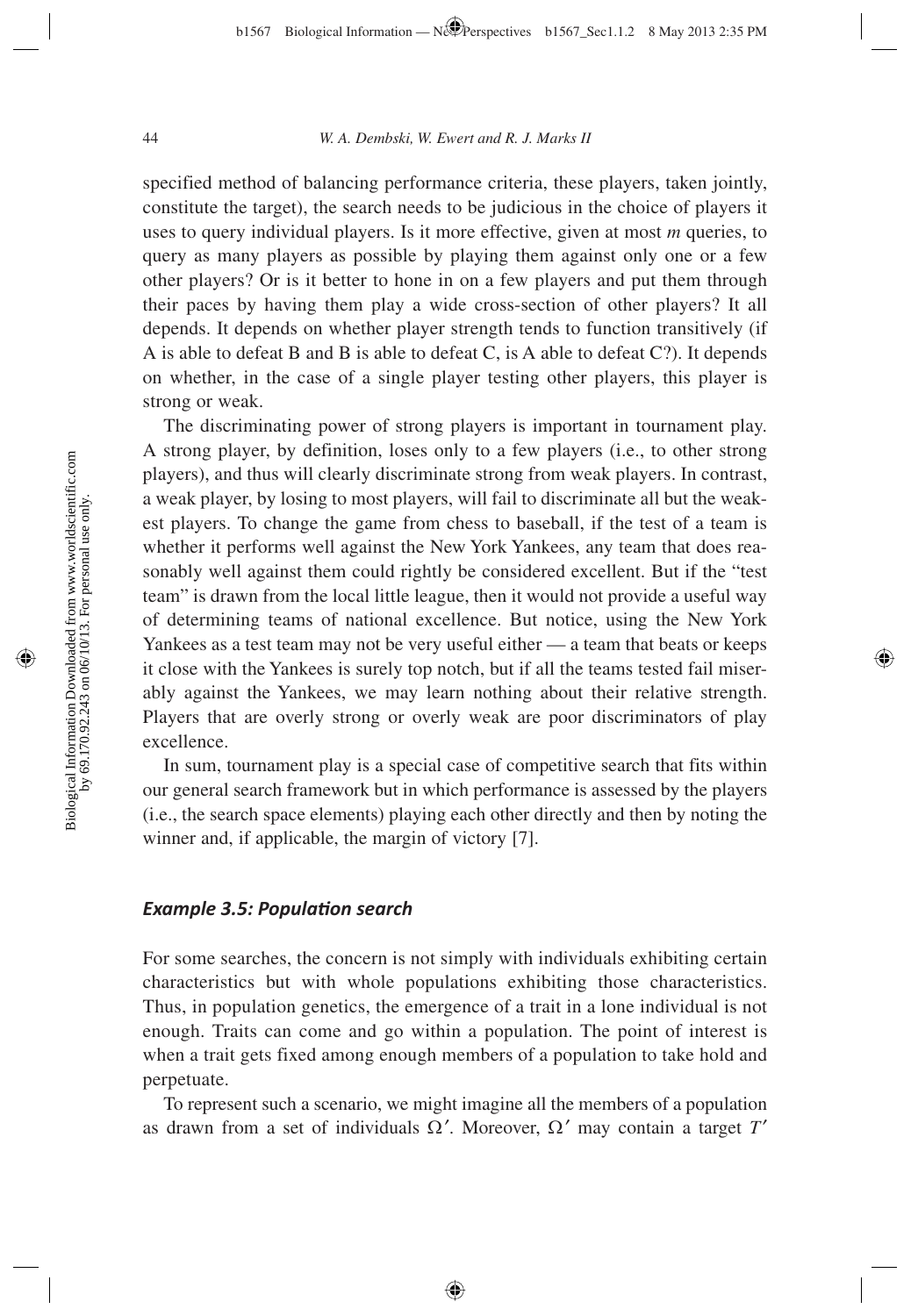specified method of balancing performance criteria, these players, taken jointly, constitute the target), the search needs to be judicious in the choice of players it uses to query individual players. Is it more effective, given at most *m* queries, to query as many players as possible by playing them against only one or a few other players? Or is it better to hone in on a few players and put them through their paces by having them play a wide cross-section of other players? It all depends. It depends on whether player strength tends to function transitively (if A is able to defeat B and B is able to defeat C, is A able to defeat C?). It depends on whether, in the case of a single player testing other players, this player is strong or weak.

The discriminating power of strong players is important in tournament play. A strong player, by definition, loses only to a few players (i.e., to other strong players), and thus will clearly discriminate strong from weak players. In contrast, a weak player, by losing to most players, will fail to discriminate all but the weakest players. To change the game from chess to baseball, if the test of a team is whether it performs well against the New York Yankees, any team that does reasonably well against them could rightly be considered excellent. But if the "test team" is drawn from the local little league, then it would not provide a useful way of determining teams of national excellence. But notice, using the New York Yankees as a test team may not be very useful either — a team that beats or keeps it close with the Yankees is surely top notch, but if all the teams tested fail miserably against the Yankees, we may learn nothing about their relative strength. Players that are overly strong or overly weak are poor discriminators of play excellence.

In sum, tournament play is a special case of competitive search that fits within our general search framework but in which performance is assessed by the players (i.e., the search space elements) playing each other directly and then by noting the winner and, if applicable, the margin of victory [7].

### *Example 3.5: Populati on search*

For some searches, the concern is not simply with individuals exhibiting certain characteristics but with whole populations exhibiting those characteristics. Thus, in population genetics, the emergence of a trait in a lone individual is not enough. Traits can come and go within a population. The point of interest is when a trait gets fixed among enough members of a population to take hold and perpetuate.

To represent such a scenario, we might imagine all the members of a population as drawn from a set of individuals  $\Omega'$ . Moreover,  $\Omega'$  may contain a target *T'*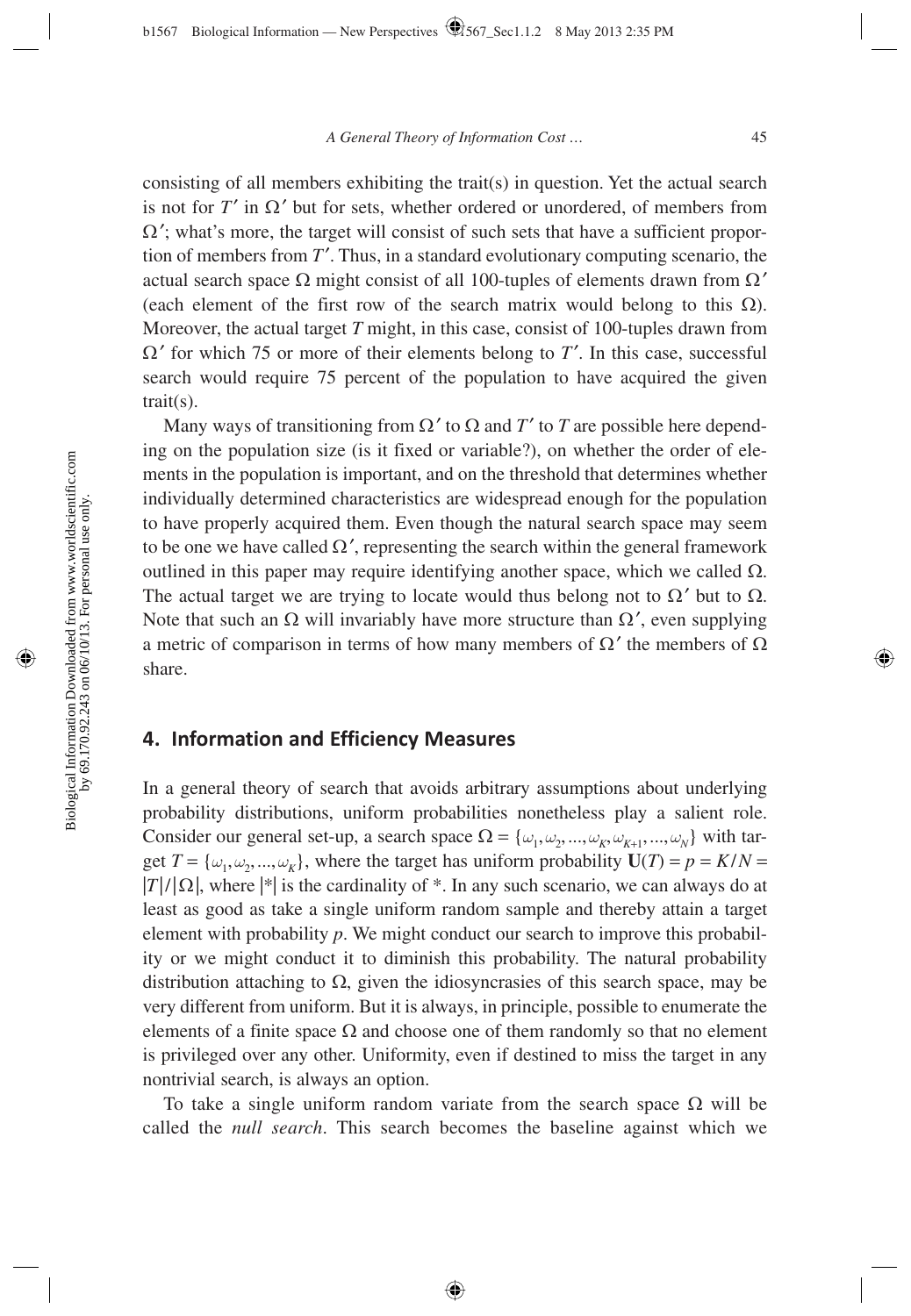consisting of all members exhibiting the trait(s) in question. Yet the actual search is not for  $T'$  in  $\Omega'$  but for sets, whether ordered or unordered, of members from  $\Omega'$ ; what's more, the target will consist of such sets that have a sufficient proportion of members from  $T'$ . Thus, in a standard evolutionary computing scenario, the actual search space  $\Omega$  might consist of all 100-tuples of elements drawn from  $\Omega'$ (each element of the first row of the search matrix would belong to this  $\Omega$ ). Moreover, the actual target *T* might, in this case, consist of 100-tuples drawn from Ω′ for which 75 or more of their elements belong to *T* ′. In this case, successful search would require 75 percent of the population to have acquired the given trait(s).

Many ways of transitioning from  $\Omega'$  to  $\Omega$  and  $T'$  to  $T$  are possible here depending on the population size (is it fixed or variable?), on whether the order of elements in the population is important, and on the threshold that determines whether individually determined characteristics are widespread enough for the population to have properly acquired them. Even though the natural search space may seem to be one we have called  $\Omega'$ , representing the search within the general framework outlined in this paper may require identifying another space, which we called  $Ω$ . The actual target we are trying to locate would thus belong not to  $\Omega'$  but to  $\Omega$ . Note that such an  $\Omega$  will invariably have more structure than  $\Omega'$ , even supplying a metric of comparison in terms of how many members of  $\Omega'$  the members of  $\Omega$ share.

## **4. Information and Efficiency Measures**

In a general theory of search that avoids arbitrary assumptions about underlying probability distributions, uniform probabilities nonetheless play a salient role. Consider our general set-up, a search space  $\Omega = \{\omega_1, \omega_2, ..., \omega_k, \omega_{k+1}, ..., \omega_N\}$  with target  $T = {\omega_1, \omega_2, ..., \omega_K}$ , where the target has uniform probability  $U(T) = p = K/N$  $|T|/|\Omega|$ , where  $|\cdot|$  is the cardinality of  $*$ . In any such scenario, we can always do at least as good as take a single uniform random sample and thereby attain a target element with probability *p*. We might conduct our search to improve this probability or we might conduct it to diminish this probability. The natural probability distribution attaching to  $\Omega$ , given the idiosyncrasies of this search space, may be very different from uniform. But it is always, in principle, possible to enumerate the elements of a finite space  $\Omega$  and choose one of them randomly so that no element is privileged over any other. Uniformity, even if destined to miss the target in any nontrivial search, is always an option.

To take a single uniform random variate from the search space  $\Omega$  will be called the *null search*. This search becomes the baseline against which we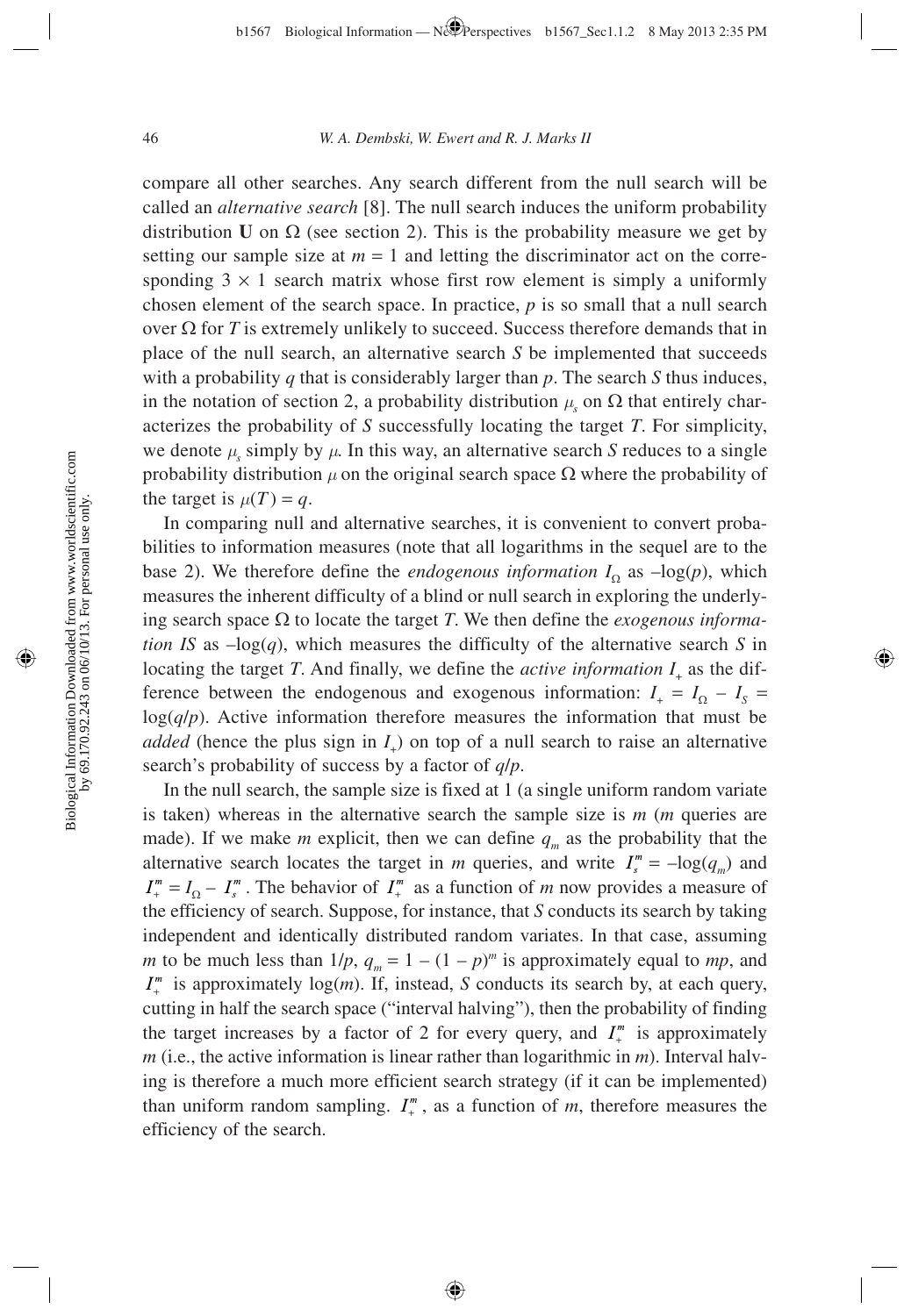compare all other searches. Any search different from the null search will be called an *alternative search* [8]. The null search induces the uniform probability distribution **U** on  $\Omega$  (see section 2). This is the probability measure we get by setting our sample size at  $m = 1$  and letting the discriminator act on the corresponding  $3 \times 1$  search matrix whose first row element is simply a uniformly chosen element of the search space. In practice, *p* is so small that a null search over  $\Omega$  for *T* is extremely unlikely to succeed. Success therefore demands that in place of the null search, an alternative search *S* be implemented that succeeds with a probability *q* that is considerably larger than *p*. The search *S* thus induces, in the notation of section 2, a probability distribution  $\mu_s$  on  $\Omega$  that entirely characterizes the probability of *S* successfully locating the target *T*. For simplicity, we denote  $\mu_s$  simply by  $\mu$ . In this way, an alternative search *S* reduces to a single probability distribution  $\mu$  on the original search space  $\Omega$  where the probability of the target is  $\mu(T) = q$ .

In comparing null and alternative searches, it is convenient to convert probabilities to information measures (note that all logarithms in the sequel are to the base 2). We therefore define the *endogenous information*  $I_0$  as  $-\log(p)$ , which measures the inherent difficulty of a blind or null search in exploring the underlying search space  $\Omega$  to locate the target *T*. We then define the *exogenous information IS* as  $-\log(q)$ , which measures the difficulty of the alternative search *S* in locating the target *T*. And finally, we define the *active information*  $I_{\perp}$  as the difference between the endogenous and exogenous information:  $I_+ = I_\Omega - I_s =$ log(*q*/*p*). Active information therefore measures the information that must be *added* (hence the plus sign in *I*<sub>+</sub>) on top of a null search to raise an alternative search's probability of success by a factor of *q*/*p*.

In the null search, the sample size is fixed at 1 (a single uniform random variate is taken) whereas in the alternative search the sample size is *m* (*m* queries are made). If we make *m* explicit, then we can define  $q_m$  as the probability that the alternative search locates the target in *m* queries, and write  $I_s^m = -\log(q_m)$  and  $I_{+}^{m} = I_{\Omega} - I_{s}^{m}$ . The behavior of  $I_{+}^{m}$  as a function of *m* now provides a measure of the efficiency of search. Suppose, for instance, that *S* conducts its search by taking independent and identically distributed random variates. In that case, assuming *m* to be much less than  $1/p$ ,  $q_m = 1 - (1 - p)^m$  is approximately equal to *mp*, and  $I_{+}^{m}$  is approximately log(*m*). If, instead, *S* conducts its search by, at each query, cutting in half the search space ("interval halving"), then the probability of finding the target increases by a factor of 2 for every query, and  $I_{+}^{m}$  is approximately *m* (i.e., the active information is linear rather than logarithmic in *m*). Interval halving is therefore a much more efficient search strategy (if it can be implemented) than uniform random sampling.  $I_{+}^{m}$ , as a function of *m*, therefore measures the efficiency of the search.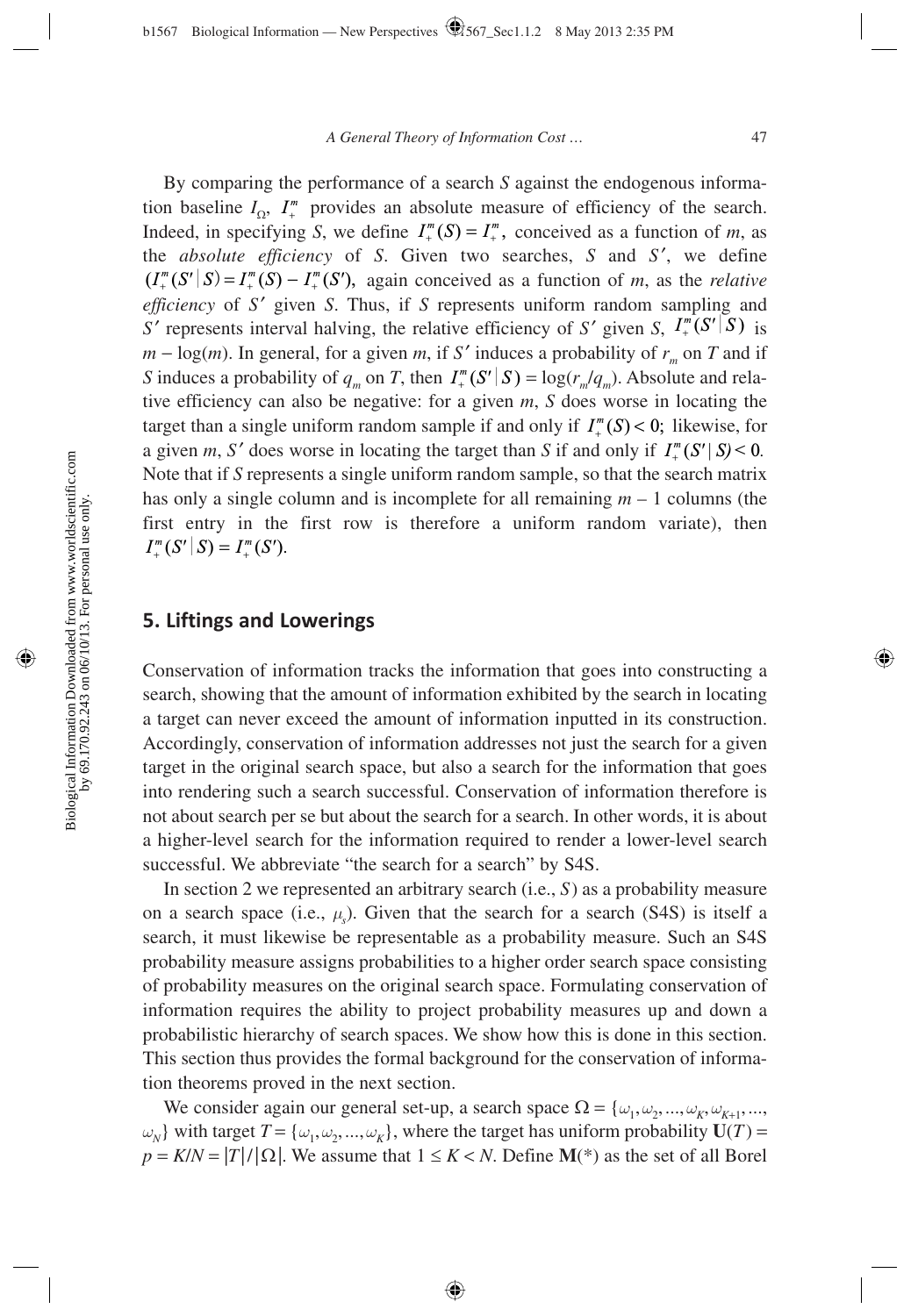By comparing the performance of a search *S* against the endogenous information baseline  $I_{\Omega}$ ,  $I_{+}^{m}$  provides an absolute measure of efficiency of the search. Indeed, in specifying *S*, we define  $I_{+}^{m}(S) = I_{+}^{m}$ , conceived as a function of *m*, as the *absolute efficiency* of *S*. Given two searches, *S* and *S* ′, we define  $(I^m_+(S' | S) = I^m_+(S) - I^m_+(S')$ , again conceived as a function of *m*, as the *relative efficiency* of *S'* given *S*. Thus, if *S* represents uniform random sampling and *S'* represents interval halving, the relative efficiency of *S'* given *S*,  $I^m_*(S' | S)$  is  $m - log(m)$ . In general, for a given *m*, if *S'* induces a probability of  $r_m$  on *T* and if *S* induces a probability of  $q_m$  on *T*, then  $I^m_+(S'|S) = \log(r_m/q_m)$ . Absolute and relative efficiency can also be negative: for a given *m*, *S* does worse in locating the target than a single uniform random sample if and only if  $I^m_+(S) < 0$ ; likewise, for a given *m*, *S'* does worse in locating the target than *S* if and only if  $I^m(\mathcal{S}'|\mathcal{S})$  < 0. Note that if *S* represents a single uniform random sample, so that the search matrix has only a single column and is incomplete for all remaining *m* – 1 columns (the first entry in the first row is therefore a uniform random variate), then  $I^m_+(S' | S) = I^m_+(S').$ 

## **5. Liftings and Lowerings**

 Conservation of information tracks the information that goes into constructing a search, showing that the amount of information exhibited by the search in locating a target can never exceed the amount of information inputted in its construction. Accordingly, conservation of information addresses not just the search for a given target in the original search space, but also a search for the information that goes into rendering such a search successful. Conservation of information therefore is not about search per se but about the search for a search. In other words, it is about a higher-level search for the information required to render a lower-level search successful. We abbreviate "the search for a search" by S4S.

In section 2 we represented an arbitrary search (i.e., *S* ) as a probability measure on a search space (i.e.,  $\mu_s$ ). Given that the search for a search (S4S) is itself a search, it must likewise be representable as a probability measure. Such an S4S probability measure assigns probabilities to a higher order search space consisting of probability measures on the original search space. Formulating conservation of information requires the ability to project probability measures up and down a probabilistic hierarchy of search spaces. We show how this is done in this section. This section thus provides the formal background for the conservation of information theorems proved in the next section.

We consider again our general set-up, a search space  $\Omega = \{\omega_1, \omega_2, ..., \omega_K, \omega_{K+1}, ...\}$ *ω*<sub>*N*</sub>} with target *T* = {*ω*<sub>1</sub>, *ω*<sub>2</sub>, ..., *ω*<sub>*K*</sub>}, where the target has uniform probability **U**(*T*) =  $p = K/N = |T|/|\Omega|$ . We assume that  $1 \le K < N$ . Define **M**(\*) as the set of all Borel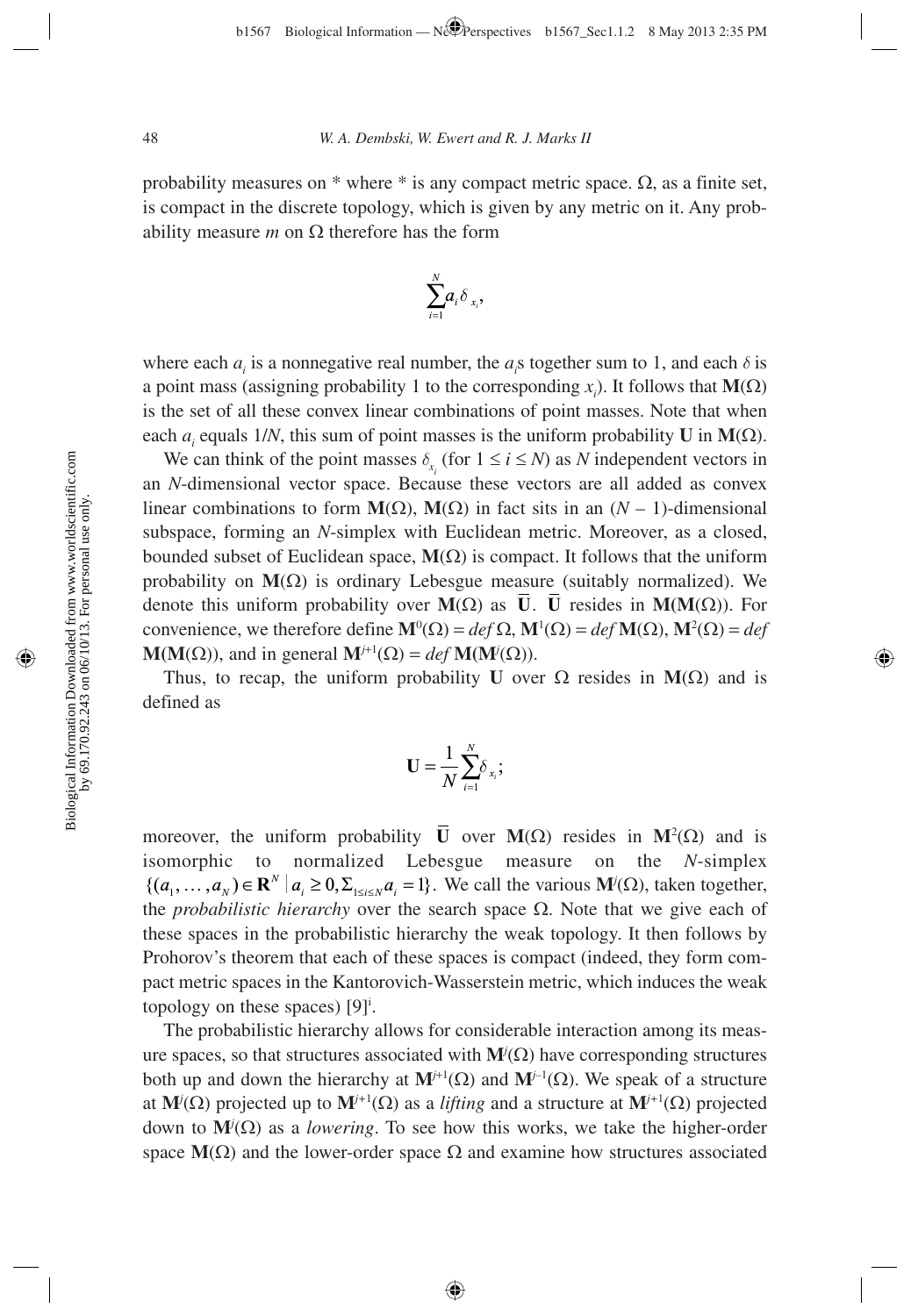probability measures on  $*$  where  $*$  is any compact metric space.  $\Omega$ , as a finite set, is compact in the discrete topology, which is given by any metric on it. Any probability measure *m* on  $Ω$  therefore has the form



where each  $a_i$  is a nonnegative real number, the  $a_i$ s together sum to 1, and each  $\delta$  is a point mass (assigning probability 1 to the corresponding  $x_i$ ). It follows that **M**( $\Omega$ ) is the set of all these convex linear combinations of point masses. Note that when each  $a_i$  equals 1/*N*, this sum of point masses is the uniform probability **U** in **M**( $\Omega$ ).

We can think of the point masses  $\delta_{x_i}$  (for  $1 \le i \le N$ ) as *N* independent vectors in an *N*-dimensional vector space. Because these vectors are all added as convex linear combinations to form  $M(\Omega)$ ,  $M(\Omega)$  in fact sits in an  $(N-1)$ -dimensional subspace, forming an *N*-simplex with Euclidean metric. Moreover, as a closed, bounded subset of Euclidean space,  $M(\Omega)$  is compact. It follows that the uniform probability on  $M(\Omega)$  is ordinary Lebesgue measure (suitably normalized). We denote this uniform probability over **M**(Ω) as **U**. **U** resides in **M(M**(Ω)). For convenience, we therefore define  $\mathbf{M}^0(\Omega) = \text{def }\Omega$ ,  $\mathbf{M}^1(\Omega) = \text{def }\mathbf{M}(\Omega)$ ,  $\mathbf{M}^2(\Omega) = \text{def}$ **M(M(** $\Omega$ **))**, and in general  $\mathbf{M}^{j+1}(\Omega) = \text{def } \mathbf{M}(\mathbf{M}^j(\Omega))$ .

Thus, to recap, the uniform probability **U** over  $\Omega$  resides in  $M(\Omega)$  and is defined as

$$
\mathbf{U}=\frac{1}{N}\sum_{i=1}^N\delta_{x_i};
$$

moreover, the uniform probability **U** over  $M(\Omega)$  resides in  $M^2(\Omega)$  and is isomorphic to normalized Lebesgue measure on the *N*-simplex  $\{(a_1, \ldots, a_N) \in \mathbb{R}^N \mid a_i \geq 0, \sum_{1 \leq i \leq N} a_i = 1\}$ . We call the various  $\mathbf{M}^j(\Omega)$ , taken together, the *probabilistic hierarchy* over the search space Ω. Note that we give each of these spaces in the probabilistic hierarchy the weak topology. It then follows by Prohorov's theorem that each of these spaces is compact (indeed, they form compact metric spaces in the Kantorovich-Wasserstein metric, which induces the weak topology on these spaces)  $[9]$ <sup>i</sup>.

The probabilistic hierarchy allows for considerable interaction among its measure spaces, so that structures associated with  $\mathbf{M}^j(\Omega)$  have corresponding structures both up and down the hierarchy at  $M^{j+1}(\Omega)$  and  $M^{j-1}(\Omega)$ . We speak of a structure at  $\mathbf{M}^j(\Omega)$  projected up to  $\mathbf{M}^{j+1}(\Omega)$  as a *lifting* and a structure at  $\mathbf{M}^{j+1}(\Omega)$  projected down to  $M^{j}(\Omega)$  as a *lowering*. To see how this works, we take the higher-order space  $\mathbf{M}(\Omega)$  and the lower-order space  $\Omega$  and examine how structures associated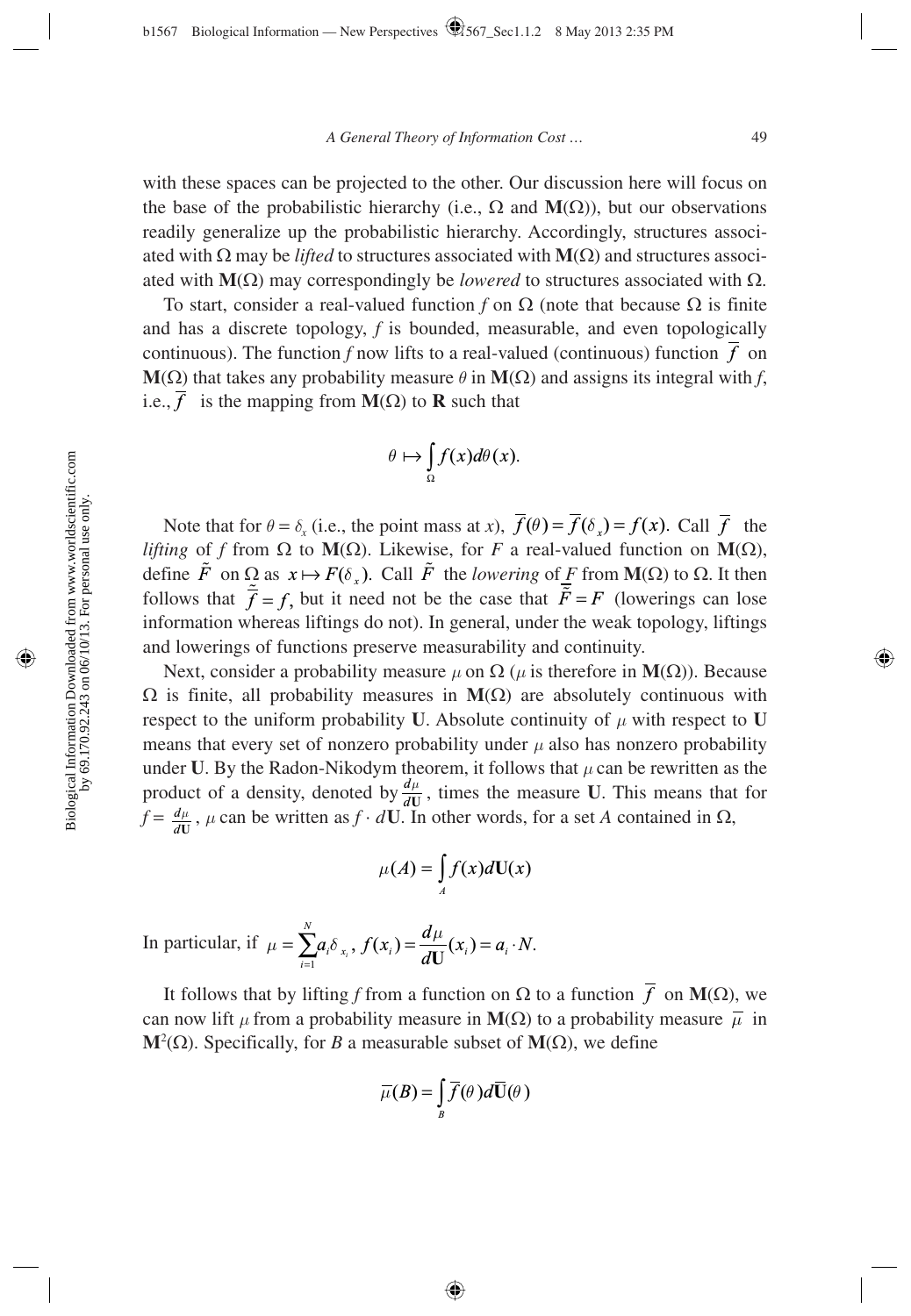with these spaces can be projected to the other. Our discussion here will focus on the base of the probabilistic hierarchy (i.e.,  $\Omega$  and  $M(\Omega)$ ), but our observations readily generalize up the probabilistic hierarchy. Accordingly, structures associated with  $\Omega$  may be *lifted* to structures associated with **M**( $\Omega$ ) and structures associated with  **may correspondingly be** *lowered* **to structures associated with**  $Ω$ **.** 

To start, consider a real-valued function *f* on  $\Omega$  (note that because  $\Omega$  is finite and has a discrete topology, *f* is bounded, measurable, and even topologically continuous). The function *f* now lifts to a real-valued (continuous) function *f* on **M**(Ω) that takes any probability measure  $\theta$  in **M**(Ω) and assigns its integral with *f*, i.e.,  $\overline{f}$  is the mapping from **M**( $\Omega$ ) to **R** such that

$$
\theta \mapsto \int_{\Omega} f(x) d\theta(x).
$$

Note that for  $\theta = \delta_x$  (i.e., the point mass at *x*),  $\overline{f}(\theta) = \overline{f}(\delta_x) = f(x)$ . Call  $\overline{f}$  the *lifting* of *f* from Ω to **M**(Ω). Likewise, for *F* a real-valued function on **M**(Ω), define  $\tilde{F}$  on  $\Omega$  as  $x \mapsto F(\delta)$ . Call  $\tilde{F}$  the *lowering* of *F* from **M**( $\Omega$ ) to  $\Omega$ . It then follows that  $\overline{f} = f$ , but it need not be the case that  $\overline{F} = F$  (lowerings can lose information whereas liftings do not). In general, under the weak topology, liftings and lowerings of functions preserve measurability and continuity.

Next, consider a probability measure  $\mu$  on  $\Omega$  ( $\mu$  is therefore in **M**( $\Omega$ )). Because Ω is finite, all probability measures in **M**(Ω) are absolutely continuous with respect to the uniform probability **U**. Absolute continuity of  $\mu$  with respect to **U** means that every set of nonzero probability under  $\mu$  also has nonzero probability under **U**. By the Radon-Nikodym theorem, it follows that  $\mu$  can be rewritten as the product of a density, denoted by  $\frac{d}{d}$  $\frac{\mu}{\mathbf{U}}$ , times the measure **U**. This means that for  $f = \frac{d}{d}$  $\frac{u}{\mathbf{U}}$ ,  $\mu$  can be written as  $f \cdot d\mathbf{U}$ . In other words, for a set *A* contained in  $\Omega$ ,

$$
\mu(A) = \int_A f(x)d\mathbf{U}(x)
$$

In particular, if  $=\sum_{i=1}a_{i}\delta_{x_{i}},$   $f(x_{i})=\frac{a\mu}{dU}(x_{i})=a_{i}\cdot N.$ *N*  $\mu = \sum_{i=1}^{N} a_i \delta_{x_i}, f(x_i) = \frac{d\mu}{dU}(x_i) = a_i \cdot N$ 

It follows that by lifting *f* from a function on Ω to a function *f* on **M**(Ω), we can now lift  $\mu$  from a probability measure in **M**( $\Omega$ ) to a probability measure  $\bar{\mu}$  in **M**<sup>2</sup>(Ω). Specifically, for *B* a measurable subset of **M**(Ω), we define

$$
\overline{\mu}(B) = \int_{B} \overline{f}(\theta) d\overline{\mathbf{U}}(\theta)
$$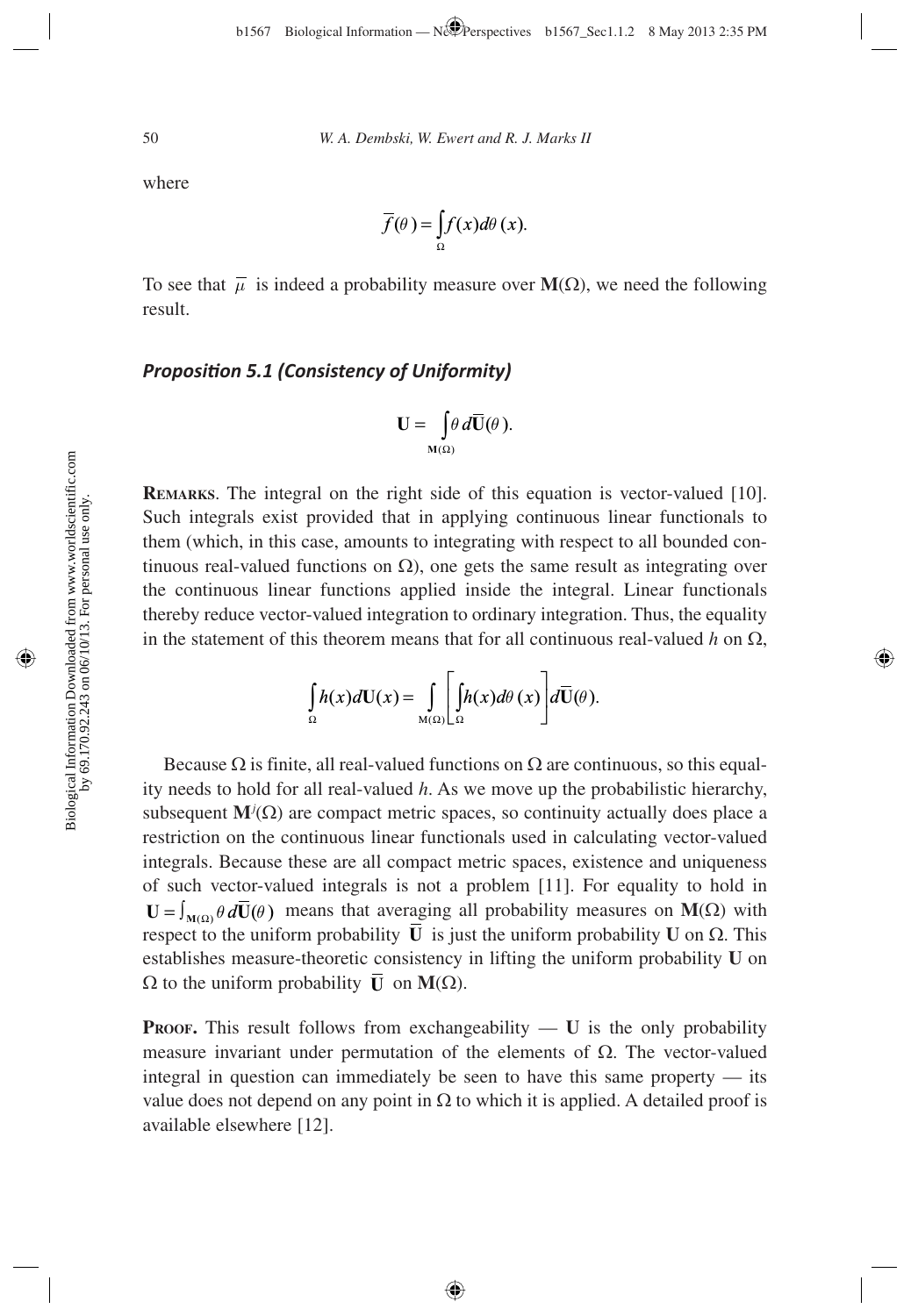where

$$
\overline{f}(\theta) = \int_{\Omega} f(x) d\theta(x).
$$

To see that  $\bar{\mu}$  is indeed a probability measure over **M**( $\Omega$ ), we need the following result.

### **Proposition 5.1 (Consistency of Uniformity)**

$$
\mathbf{U}=\int\limits_{\mathbf{M}(\Omega)}\theta\,d\overline{\mathbf{U}}(\theta).
$$

**REMARKS**. The integral on the right side of this equation is vector-valued [10]. Such integrals exist provided that in applying continuous linear functionals to them (which, in this case, amounts to integrating with respect to all bounded continuous real-valued functions on  $\Omega$ ), one gets the same result as integrating over the continuous linear functions applied inside the integral. Linear functionals thereby reduce vector-valued integration to ordinary integration. Thus, the equality in the statement of this theorem means that for all continuous real-valued  $h$  on  $\Omega$ ,

$$
\int_{\Omega} h(x) d\mathbf{U}(x) = \int_{\mathbf{M}(\Omega)} \left[ \int_{\Omega} h(x) d\theta(x) \right] d\overline{\mathbf{U}}(\theta).
$$

Because  $\Omega$  is finite, all real-valued functions on  $\Omega$  are continuous, so this equality needs to hold for all real-valued *h*. As we move up the probabilistic hierarchy, subsequent  $\mathbf{M}^j(\Omega)$  are compact metric spaces, so continuity actually does place a restriction on the continuous linear functionals used in calculating vector-valued integrals. Because these are all compact metric spaces, existence and uniqueness of such vector-valued integrals is not a problem [11]. For equality to hold in  $U = \int_{M(\Omega)} \theta d\overline{U}(\theta)$  means that averaging all probability measures on  $M(\Omega)$  with respect to the uniform probability  $\overline{\mathbf{U}}$  is just the uniform probability **U** on Ω. This establishes measure-theoretic consistency in lifting the uniform probability **U** on  $\Omega$  to the uniform probability  $\overline{\mathbf{U}}$  on  $\mathbf{M}(\Omega)$ .

**PROOF.** This result follows from exchangeability  $\overline{U}$  is the only probability measure invariant under permutation of the elements of  $\Omega$ . The vector-valued integral in question can immediately be seen to have this same property — its value does not depend on any point in  $\Omega$  to which it is applied. A detailed proof is available elsewhere [12].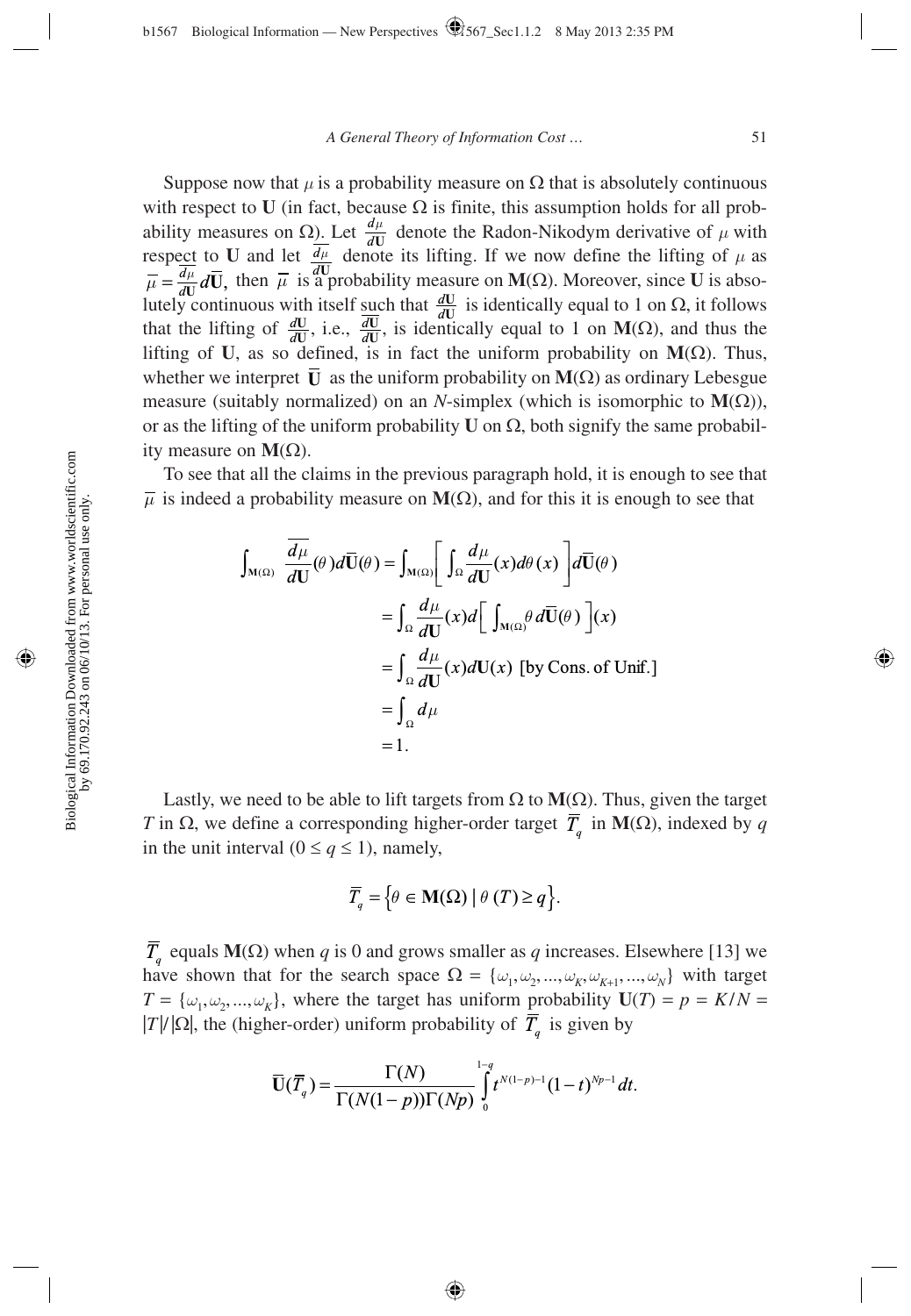Suppose now that  $\mu$  is a probability measure on  $\Omega$  that is absolutely continuous with respect to **U** (in fact, because  $\Omega$  is finite, this assumption holds for all probability measures on  $\Omega$ ). Let  $\frac{d}{d}$  $\frac{u}{\mathbf{U}}$  denote the Radon-Nikodym derivative of  $\mu$  with respect to **U** and let  $\frac{d}{dt}$ *µ* denote its lifting. If we now define the lifting of  $\mu$  as  $\mathbf{U}_{\text{cusp}}$  denotes the mass  $\mathbf{U}(\Omega)$ . Moreover, since  $\mathbf{U}_{\text{cusp}}$  $\overline{\mu} = \frac{\overline{d\mu}}{dU} d\overline{U}$ , then  $\overline{\mu}$  is a probability measure on **M**( $\Omega$ ). Moreover, since **U** is absolutely continuous with itself such that  $\frac{dU}{dU}$  is identically equal to 1 on Ω, it follows that the lifting of  $\frac{dU}{dU}$ , i.e.,  $\frac{dU}{dU}$ , is identically equal to 1 on **M**( $\Omega$ ), and thus the lifting of **U**, as so defined, is in fact the uniform probability on **M**(Ω). Thus, whether we interpret  $\overline{\mathbf{U}}$  as the uniform probability on  $\mathbf{M}(\Omega)$  as ordinary Lebesgue measure (suitably normalized) on an *N*-simplex (which is isomorphic to  $M(\Omega)$ ), or as the lifting of the uniform probability **U** on  $\Omega$ , both signify the same probability measure on  $M(\Omega)$ .

To see that all the claims in the previous paragraph hold, it is enough to see that  $\overline{\mu}$  is indeed a probability measure on **M**( $\Omega$ ), and for this it is enough to see that

$$
\int_{M(\Omega)} \frac{\overline{d\mu}}{dU}(\theta) d\overline{U}(\theta) = \int_{M(\Omega)} \left[ \int_{\Omega} \frac{d\mu}{dU}(x) d\theta(x) \right] d\overline{U}(\theta)
$$

$$
= \int_{\Omega} \frac{d\mu}{dU}(x) d\left[ \int_{M(\Omega)} \theta d\overline{U}(\theta) \right](x)
$$

$$
= \int_{\Omega} \frac{d\mu}{dU}(x) dU(x) \text{ [by Cons. of Unif.]}
$$

$$
= \int_{\Omega} d\mu
$$

$$
= 1.
$$

Lastly, we need to be able to lift targets from  $\Omega$  to  $M(\Omega)$ . Thus, given the target *T* in  $\Omega$ , we define a corresponding higher-order target  $\overline{T}_a$  in **M**( $\Omega$ ), indexed by *q* in the unit interval ( $0 \le q \le 1$ ), namely,

$$
\overline{T}_q = \Big\{ \theta \in \mathbf{M}(\Omega) \mid \theta \left( T \right) \geq q \Big\}.
$$

 $\overline{T}_q$  equals **M**( $\Omega$ ) when *q* is 0 and grows smaller as *q* increases. Elsewhere [13] we have shown that for the search space  $\Omega = {\omega_1, \omega_2, ..., \omega_K, \omega_{K+1}, ..., \omega_N}$  with target  $T = {\omega_1, \omega_2, ..., \omega_K}$ , where the target has uniform probability  $U(T) = p = K/N =$  $|T|/|\Omega|$ , the (higher-order) uniform probability of  $\overline{T}_q$  is given by

$$
\overline{\mathbf{U}}(\overline{T}_q)=\frac{\Gamma(N)}{\Gamma(N(1-p))\Gamma(Np)}\int\limits_{0}^{1-q}t^{N(1-p)-1}(1-t)^{Np-1}dt.
$$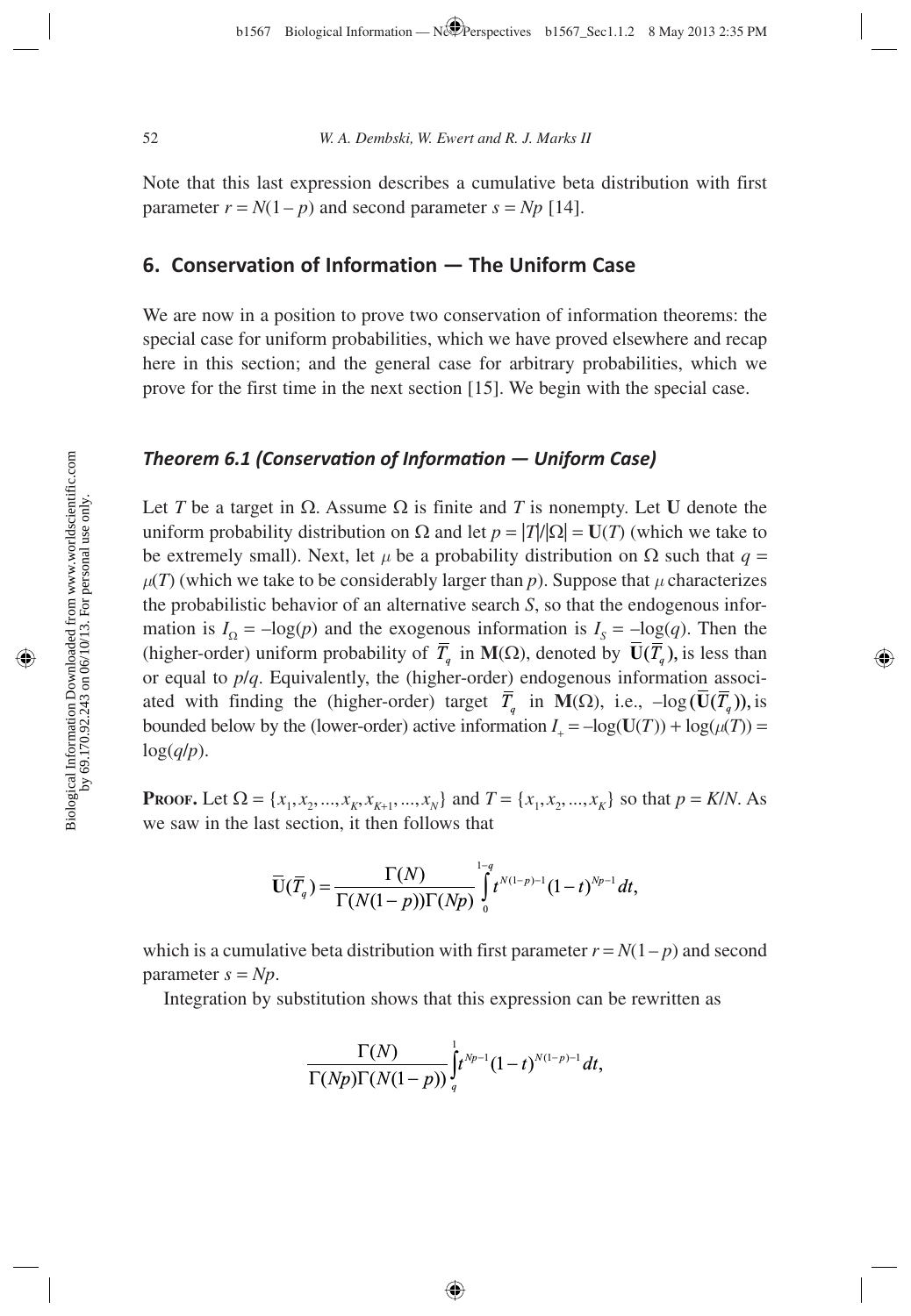Note that this last expression describes a cumulative beta distribution with first parameter  $r = N(1 - p)$  and second parameter  $s = Np$  [14].

# **6. Conservation of Information — The Uniform Case**

We are now in a position to prove two conservation of information theorems: the special case for uniform probabilities, which we have proved elsewhere and recap here in this section; and the general case for arbitrary probabilities, which we prove for the first time in the next section [15]. We begin with the special case.

### *Theorem 6.1 (Conservati on of Informati on — Uniform Case)*

Let *T* be a target in  $\Omega$ . Assume  $\Omega$  is finite and *T* is nonempty. Let **U** denote the uniform probability distribution on  $\Omega$  and let  $p = |T|/|\Omega| = U(T)$  (which we take to be extremely small). Next, let *µ* be a probability distribution on Ω such that *q* =  $\mu(T)$  (which we take to be considerably larger than *p*). Suppose that  $\mu$  characterizes the probabilistic behavior of an alternative search *S*, so that the endogenous information is  $I_{\Omega} = -\log(p)$  and the exogenous information is  $I_{S} = -\log(q)$ . Then the (higher-order) uniform probability of  $\overline{T}_q$  in **M**( $\Omega$ ), denoted by  $\overline{U}(\overline{T}_q)$ , is less than or equal to *p*/*q*. Equivalently, the (higher-order) endogenous information associated with finding the (higher-order) target  $\overline{T}_q$  in M( $\Omega$ ), i.e.,  $-\log(\overline{U}(\overline{T}_q))$ , is bounded below by the (lower-order) active information  $I_+ = -\log(U(T)) + \log(\mu(T)) =$ log(*q*/*p*).

**PROOF.** Let  $\Omega = \{x_1, x_2, ..., x_K, x_{K+1}, ..., x_N\}$  and  $T = \{x_1, x_2, ..., x_K\}$  so that  $p = K/N$ . As we saw in the last section, it then follows that

$$
\overline{\mathbf{U}}(\overline{T}_q)=\frac{\Gamma(N)}{\Gamma(N(1-p))\Gamma(Np)}\int\limits_{0}^{1-q}t^{N(1-p)-1}(1-t)^{Np-1}dt,
$$

which is a cumulative beta distribution with first parameter  $r = N(1-p)$  and second parameter  $s = Np$ .

Integration by substitution shows that this expression can be rewritten as

$$
\frac{\Gamma(N)}{\Gamma(Np)\Gamma(N(1-p))}\int_q^1 t^{Np-1}(1-t)^{N(1-p)-1}dt,
$$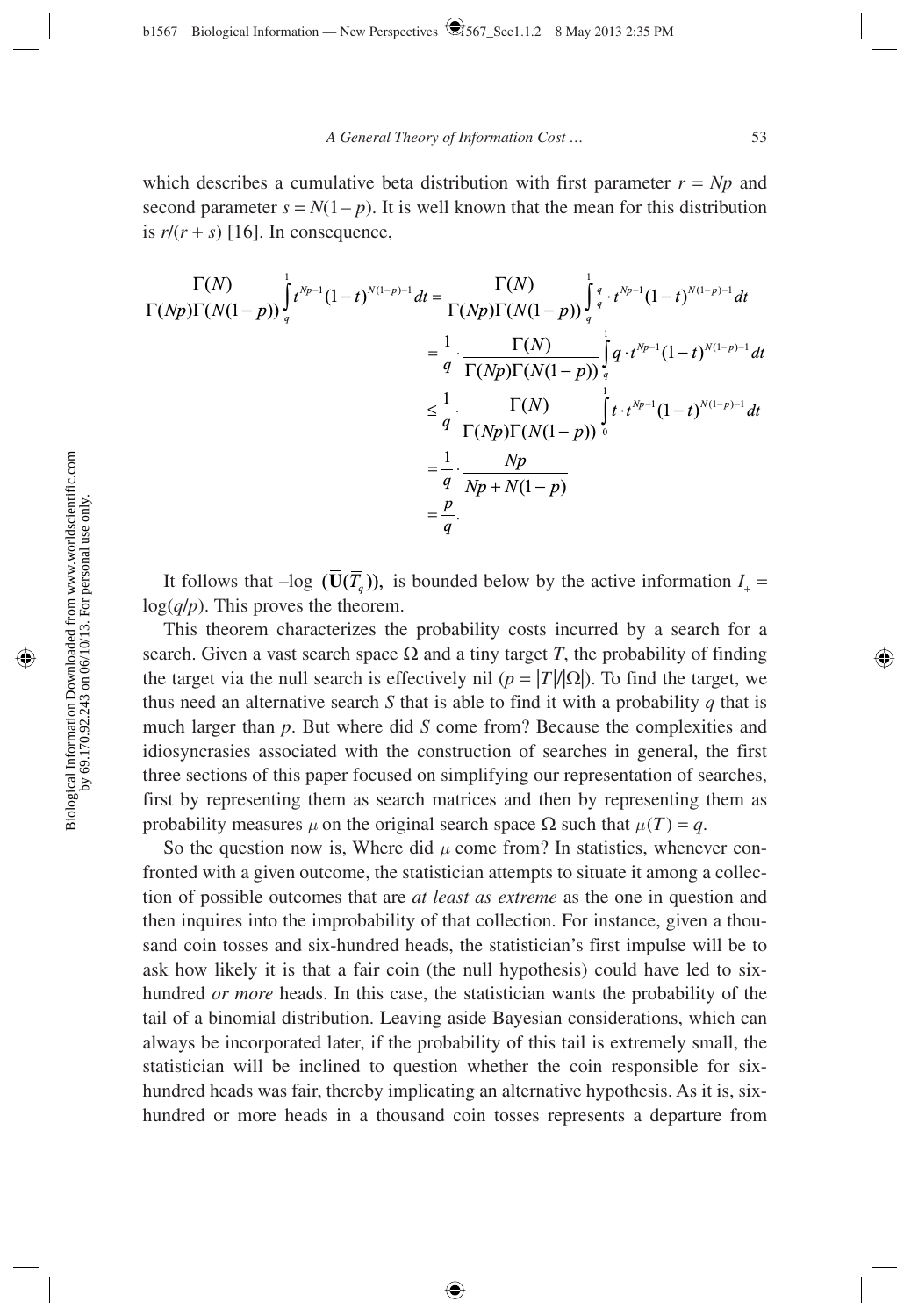which describes a cumulative beta distribution with first parameter  $r = Np$  and second parameter  $s = N(1 - p)$ . It is well known that the mean for this distribution is  $r/(r + s)$  [16]. In consequence,

$$
\frac{\Gamma(N)}{\Gamma(Np)\Gamma(N(1-p))}\int_{q}^{1} t^{Np-1}(1-t)^{N(1-p)-1}dt = \frac{\Gamma(N)}{\Gamma(Np)\Gamma(N(1-p))}\int_{q}^{1} \frac{q}{q} \cdot t^{Np-1}(1-t)^{N(1-p)-1}dt
$$
\n
$$
= \frac{1}{q} \cdot \frac{\Gamma(N)}{\Gamma(Np)\Gamma(N(1-p))}\int_{q}^{1} q \cdot t^{Np-1}(1-t)^{N(1-p)-1}dt
$$
\n
$$
\leq \frac{1}{q} \cdot \frac{\Gamma(N)}{\Gamma(Np)\Gamma(N(1-p))}\int_{0}^{1} t \cdot t^{Np-1}(1-t)^{N(1-p)-1}dt
$$
\n
$$
= \frac{1}{q} \cdot \frac{Np}{Np+N(1-p)}
$$
\n
$$
= \frac{p}{q}.
$$

It follows that  $-\log (\overline{U}(\overline{T}_q))$ , is bounded below by the active information  $I_+$  = log(*q*/*p*). This proves the theorem.

This theorem characterizes the probability costs incurred by a search for a search. Given a vast search space  $\Omega$  and a tiny target *T*, the probability of finding the target via the null search is effectively nil ( $p = |T|/|Q|$ ). To find the target, we thus need an alternative search *S* that is able to find it with a probability *q* that is much larger than *p*. But where did *S* come from? Because the complexities and idiosyncrasies associated with the construction of searches in general, the first three sections of this paper focused on simplifying our representation of searches, first by representing them as search matrices and then by representing them as probability measures  $\mu$  on the original search space  $\Omega$  such that  $\mu(T) = q$ .

So the question now is, Where did  $\mu$  come from? In statistics, whenever confronted with a given outcome, the statistician attempts to situate it among a collection of possible outcomes that are *at least as extreme* as the one in question and then inquires into the improbability of that collection. For instance, given a thousand coin tosses and six-hundred heads, the statistician's first impulse will be to ask how likely it is that a fair coin (the null hypothesis) could have led to sixhundred *or more* heads. In this case, the statistician wants the probability of the tail of a binomial distribution. Leaving aside Bayesian considerations, which can always be incorporated later, if the probability of this tail is extremely small, the statistician will be inclined to question whether the coin responsible for sixhundred heads was fair, thereby implicating an alternative hypothesis. As it is, sixhundred or more heads in a thousand coin tosses represents a departure from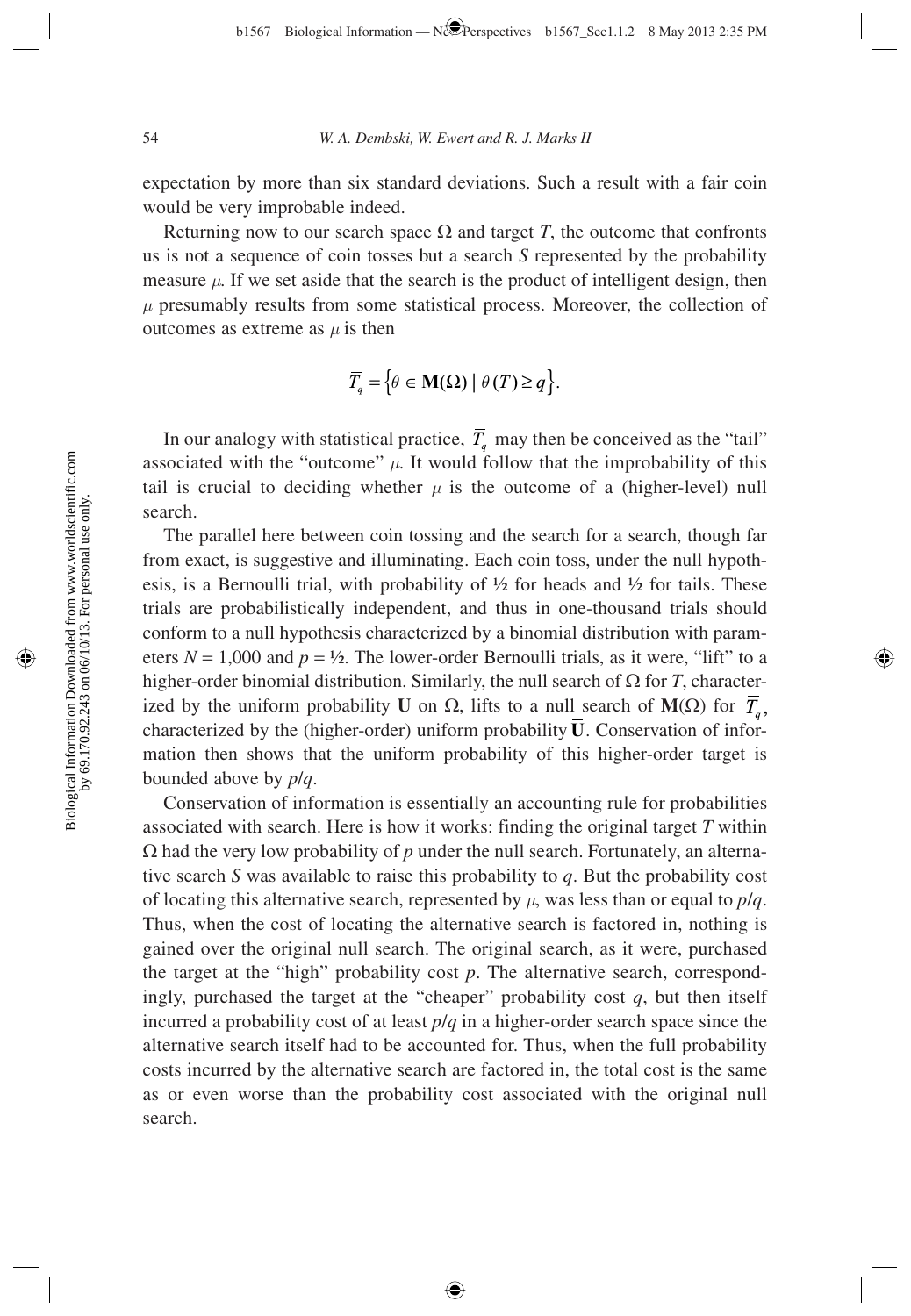expectation by more than six standard deviations. Such a result with a fair coin would be very improbable indeed.

Returning now to our search space  $\Omega$  and target *T*, the outcome that confronts us is not a sequence of coin tosses but a search *S* represented by the probability measure  $\mu$ . If we set aside that the search is the product of intelligent design, then  $\mu$  presumably results from some statistical process. Moreover, the collection of outcomes as extreme as *µ* is then

$$
\overline{T}_q = \Big\{ \theta \in \mathbf{M}(\Omega) \mid \theta(T) \ge q \Big\}.
$$

In our analogy with statistical practice,  $\overline{T}_q$  may then be conceived as the "tail" associated with the "outcome"  $\mu$ . It would follow that the improbability of this tail is crucial to deciding whether  $\mu$  is the outcome of a (higher-level) null search.

The parallel here between coin tossing and the search for a search, though far from exact, is suggestive and illuminating. Each coin toss, under the null hypothesis, is a Bernoulli trial, with probability of  $\frac{1}{2}$  for heads and  $\frac{1}{2}$  for tails. These trials are probabilistically independent, and thus in one-thousand trials should conform to a null hypothesis characterized by a binomial distribution with parameters  $N = 1,000$  and  $p = \frac{1}{2}$ . The lower-order Bernoulli trials, as it were, "lift" to a higher-order binomial distribution. Similarly, the null search of Ω for *T*, characterized by the uniform probability **U** on  $\Omega$ , lifts to a null search of **M**( $\Omega$ ) for  $\overline{T}_q$ , characterized by the (higher-order) uniform probability  $\overline{U}$ . Conservation of information then shows that the uniform probability of this higher-order target is bounded above by *p*/*q*.

Conservation of information is essentially an accounting rule for probabilities associated with search. Here is how it works: finding the original target *T* within  $\Omega$  had the very low probability of p under the null search. Fortunately, an alternative search *S* was available to raise this probability to *q*. But the probability cost of locating this alternative search, represented by  $\mu$ , was less than or equal to  $p/q$ . Thus, when the cost of locating the alternative search is factored in, nothing is gained over the original null search. The original search, as it were, purchased the target at the "high" probability cost *p*. The alternative search, correspondingly, purchased the target at the "cheaper" probability cost *q*, but then itself incurred a probability cost of at least *p*/*q* in a higher-order search space since the alternative search itself had to be accounted for. Thus, when the full probability costs incurred by the alternative search are factored in, the total cost is the same as or even worse than the probability cost associated with the original null search.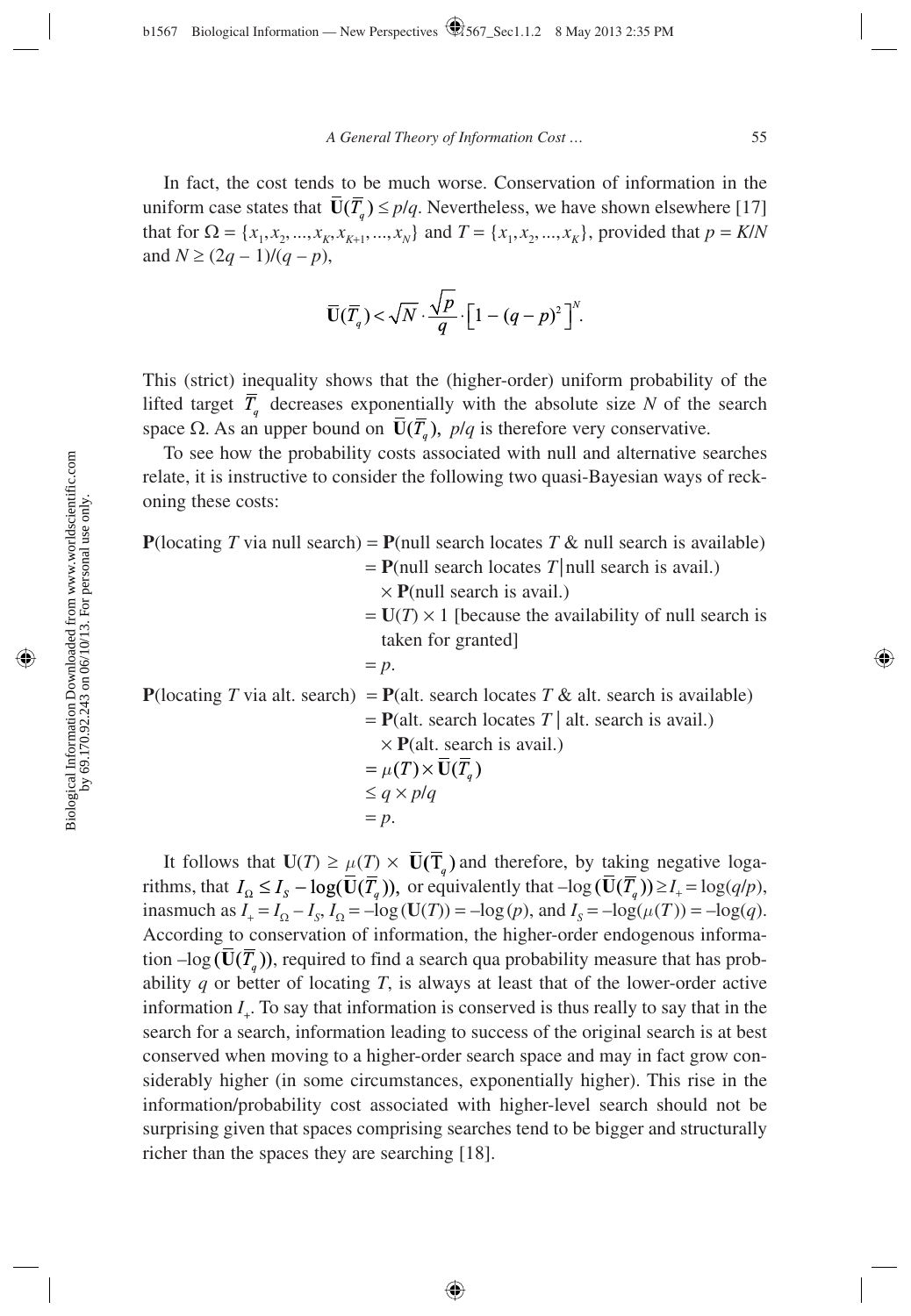In fact, the cost tends to be much worse. Conservation of information in the uniform case states that  $\overline{U}(\overline{T}_a) \leq p/q$ . Nevertheless, we have shown elsewhere [17] that for  $\Omega = \{x_1, x_2, ..., x_K, x_{K+1}, ..., x_N\}$  and  $T = \{x_1, x_2, ..., x_K\}$ , provided that  $p = K/N$ and  $N \ge (2q - 1)/(q - p)$ ,

$$
\overline{\mathbf{U}}(\overline{T}_q)<\sqrt{N}\cdot\frac{\sqrt{p}}{q}\cdot\left[1-(q-p)^2\right]^N.
$$

This (strict) inequality shows that the (higher-order) uniform probability of the lifted target  $\overline{T}_q$  decreases exponentially with the absolute size *N* of the search space  $\Omega$ . As an upper bound on  $\overline{U}(\overline{T}_q)$ ,  $p/q$  is therefore very conservative.

To see how the probability costs associated with null and alternative searches relate, it is instructive to consider the following two quasi-Bayesian ways of reckoning these costs:

| <b>P</b> (locating T via null search) = <b>P</b> (null search locates T & null search is available) |
|-----------------------------------------------------------------------------------------------------|
| $=$ <b>P</b> (null search locates T   null search is avail.)                                        |
| $\times$ <b>P</b> (null search is avail.)                                                           |
| $= U(T) \times 1$ [because the availability of null search is                                       |
| taken for granted]                                                                                  |
| $= p.$                                                                                              |
| <b>P</b> (locating T via alt. search) = <b>P</b> (alt. search locates T & alt. search is available) |
| $=$ <b>P</b> (alt. search locates T   alt. search is avail.)                                        |
| $\times$ <b>P</b> (alt. search is avail.)                                                           |
| $= \mu(T) \times \overline{\mathbf{U}}(\overline{T}_a)$                                             |
| $\leq q \times p/q$                                                                                 |
| $= p.$                                                                                              |

It follows that  $U(T) \ge \mu(T) \times \overline{U}(\overline{T}_a)$  and therefore, by taking negative logarithms, that  $I_0 \leq I_s - \log(\overline{\mathbf{U}}(\overline{T}_a))$ , or equivalently that  $-\log(\overline{\mathbf{U}}(\overline{T}_a)) \geq I_+ = \log(q/p)$ , inasmuch as  $I_+ = I_\Omega - I_s$ ,  $I_\Omega = -\log(U(T)) = -\log(p)$ , and  $I_s = -\log(\mu(T)) = -\log(q)$ . According to conservation of information, the higher-order endogenous information  $-\log(\overline{U}(\overline{T}_a))$ , required to find a search qua probability measure that has probability  $q$  or better of locating  $T$ , is always at least that of the lower-order active information  $I_{\perp}$ . To say that information is conserved is thus really to say that in the search for a search, information leading to success of the original search is at best conserved when moving to a higher-order search space and may in fact grow considerably higher (in some circumstances, exponentially higher). This rise in the information/probability cost associated with higher-level search should not be surprising given that spaces comprising searches tend to be bigger and structurally richer than the spaces they are searching [18].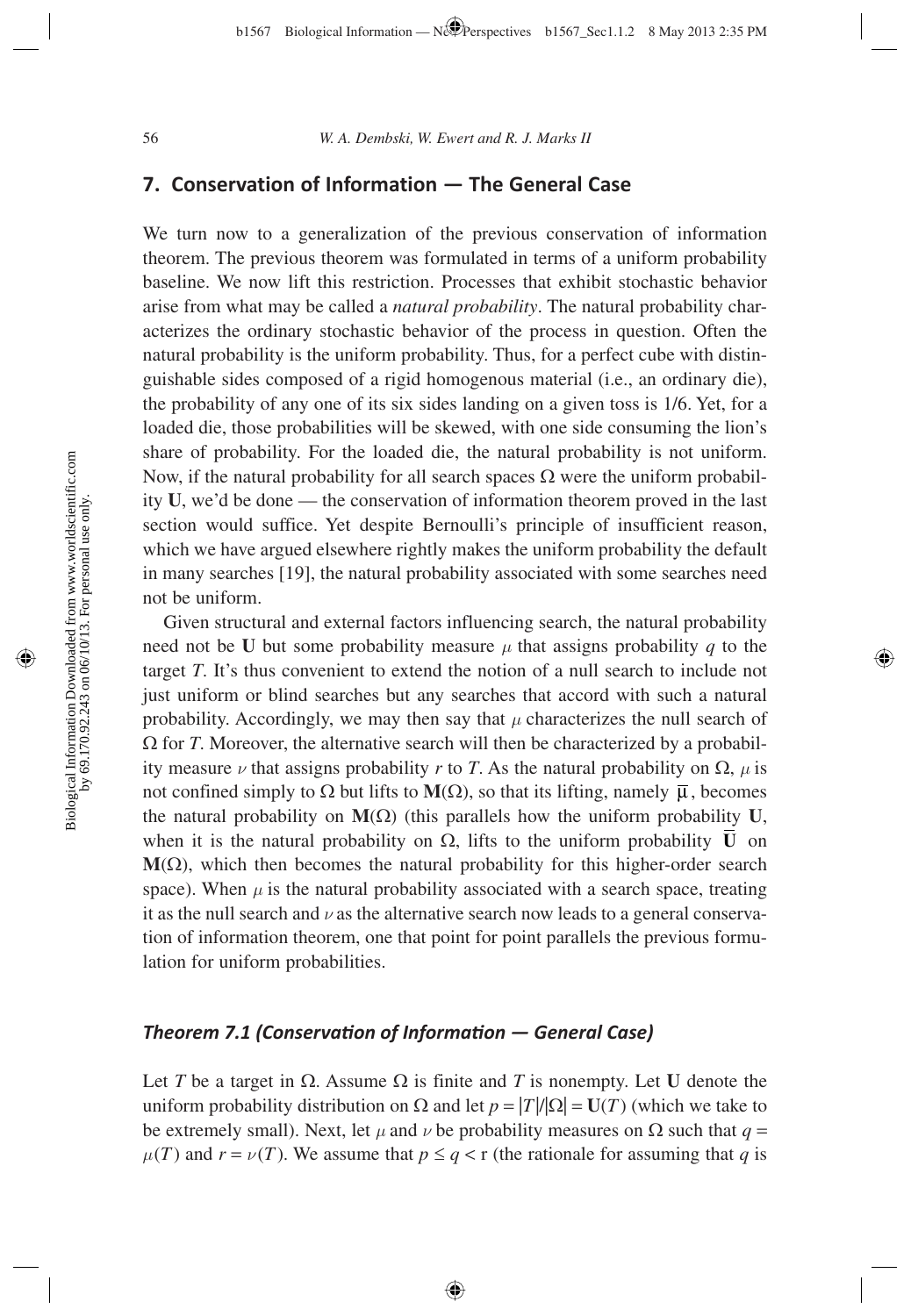### **7. Conservation of Information — The General Case**

We turn now to a generalization of the previous conservation of information theorem. The previous theorem was formulated in terms of a uniform probability baseline. We now lift this restriction. Processes that exhibit stochastic behavior arise from what may be called a *natural probability*. The natural probability characterizes the ordinary stochastic behavior of the process in question. Often the natural probability is the uniform probability. Thus, for a perfect cube with distinguishable sides composed of a rigid homogenous material (i.e., an ordinary die), the probability of any one of its six sides landing on a given toss is 1/6. Yet, for a loaded die, those probabilities will be skewed, with one side consuming the lion's share of probability. For the loaded die, the natural probability is not uniform. Now, if the natural probability for all search spaces  $\Omega$  were the uniform probability **U**, we'd be done — the conservation of information theorem proved in the last section would suffice. Yet despite Bernoulli's principle of insufficient reason, which we have argued elsewhere rightly makes the uniform probability the default in many searches [19], the natural probability associated with some searches need not be uniform.

Given structural and external factors influencing search, the natural probability need not be **U** but some probability measure  $\mu$  that assigns probability q to the target *T*. It's thus convenient to extend the notion of a null search to include not just uniform or blind searches but any searches that accord with such a natural probability. Accordingly, we may then say that  $\mu$  characterizes the null search of  $\Omega$  for *T*. Moreover, the alternative search will then be characterized by a probability measure  $\nu$  that assigns probability *r* to *T*. As the natural probability on  $\Omega$ ,  $\mu$  is not confined simply to  $\Omega$  but lifts to  $M(\Omega)$ , so that its lifting, namely  $\overline{\mu}$ , becomes the natural probability on **M**(Ω) (this parallels how the uniform probability **U**, when it is the natural probability on  $\Omega$ , lifts to the uniform probability  $\overline{\mathbf{U}}$  on  $M(\Omega)$ , which then becomes the natural probability for this higher-order search space). When  $\mu$  is the natural probability associated with a search space, treating it as the null search and  $\nu$  as the alternative search now leads to a general conservation of information theorem, one that point for point parallels the previous formulation for uniform probabilities.

## *Theorem 7.1 (Conservati on of Informati on — General Case)*

Let *T* be a target in  $\Omega$ . Assume  $\Omega$  is finite and *T* is nonempty. Let **U** denote the uniform probability distribution on Ω and let  $p = |T|/|Ω| = U(T)$  (which we take to be extremely small). Next, let  $\mu$  and  $\nu$  be probability measures on  $\Omega$  such that *q* =  $\mu(T)$  and  $r = \nu(T)$ . We assume that  $p \leq q < r$  (the rationale for assuming that *q* is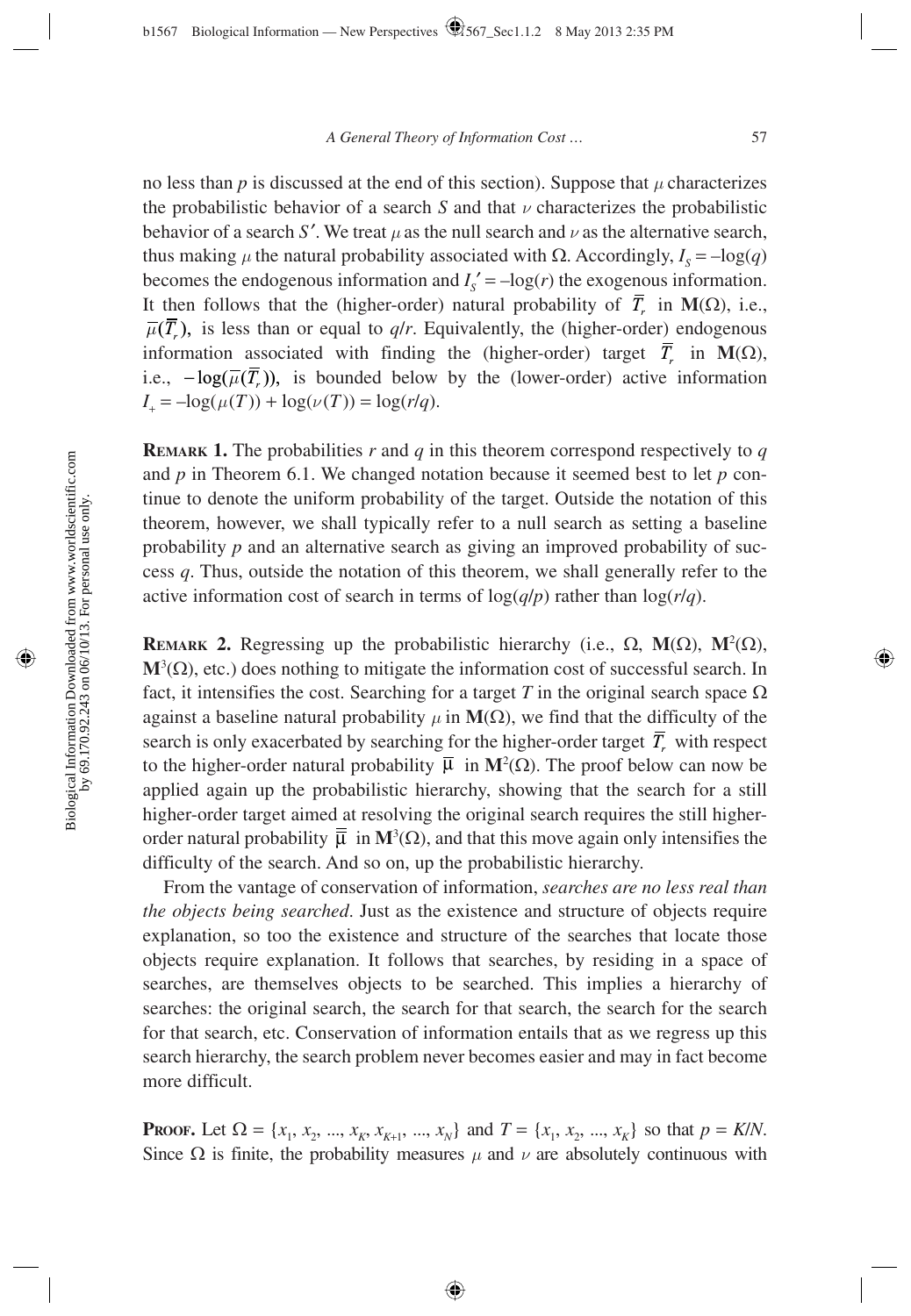no less than  $p$  is discussed at the end of this section). Suppose that  $\mu$  characterizes the probabilistic behavior of a search *S* and that  $\nu$  characterizes the probabilistic behavior of a search *S'*. We treat  $\mu$  as the null search and  $\nu$  as the alternative search, thus making  $\mu$  the natural probability associated with  $\Omega$ . Accordingly,  $I_s = -\log(q)$ becomes the endogenous information and  $I_s' = -\log(r)$  the exogenous information. It then follows that the (higher-order) natural probability of  $\overline{T}$  in **M**( $\Omega$ ), i.e.,  $\overline{\mu}(\overline{T}_{r})$ , is less than or equal to *q/r*. Equivalently, the (higher-order) endogenous information associated with finding the (higher-order) target  $\overline{T}_r$  in **M**( $\Omega$ ), i.e.,  $-\log(\overline{\mu}(\overline{T}_r))$ , is bounded below by the (lower-order) active information  $I_+ = -\log(\mu(T)) + \log(\nu(T)) = \log(r/q).$ 

**REMARK 1.** The probabilities *r* and *q* in this theorem correspond respectively to *q* and *p* in Theorem 6.1. We changed notation because it seemed best to let *p* continue to denote the uniform probability of the target. Outside the notation of this theorem, however, we shall typically refer to a null search as setting a baseline probability *p* and an alternative search as giving an improved probability of success *q*. Thus, outside the notation of this theorem, we shall generally refer to the active information cost of search in terms of  $log(q/p)$  rather than  $log(r/q)$ .

**REMARK 2.** Regressing up the probabilistic hierarchy (i.e.,  $\Omega$ ,  $M(\Omega)$ ,  $M^2(\Omega)$ ,  $M^3(\Omega)$ , etc.) does nothing to mitigate the information cost of successful search. In fact, it intensifies the cost. Searching for a target *T* in the original search space  $\Omega$ against a baseline natural probability  $\mu$  in  $M(\Omega)$ , we find that the difficulty of the search is only exacerbated by searching for the higher-order target  $\overline{T}$ , with respect to the higher-order natural probability  $\bar{\mu}$  in  $M^2(\Omega)$ . The proof below can now be applied again up the probabilistic hierarchy, showing that the search for a still higher-order target aimed at resolving the original search requires the still higherorder natural probability  $\bar{\mu}$  in  $M^3(\Omega)$ , and that this move again only intensifies the difficulty of the search. And so on, up the probabilistic hierarchy.

From the vantage of conservation of information, *searches are no less real than the objects being searched*. Just as the existence and structure of objects require explanation, so too the existence and structure of the searches that locate those objects require explanation. It follows that searches, by residing in a space of searches, are themselves objects to be searched. This implies a hierarchy of searches: the original search, the search for that search, the search for the search for that search, etc. Conservation of information entails that as we regress up this search hierarchy, the search problem never becomes easier and may in fact become more difficult.

**PROOF.** Let  $\Omega = \{x_1, x_2, ..., x_K, x_{K+1}, ..., x_N\}$  and  $T = \{x_1, x_2, ..., x_K\}$  so that  $p = K/N$ . Since  $\Omega$  is finite, the probability measures  $\mu$  and  $\nu$  are absolutely continuous with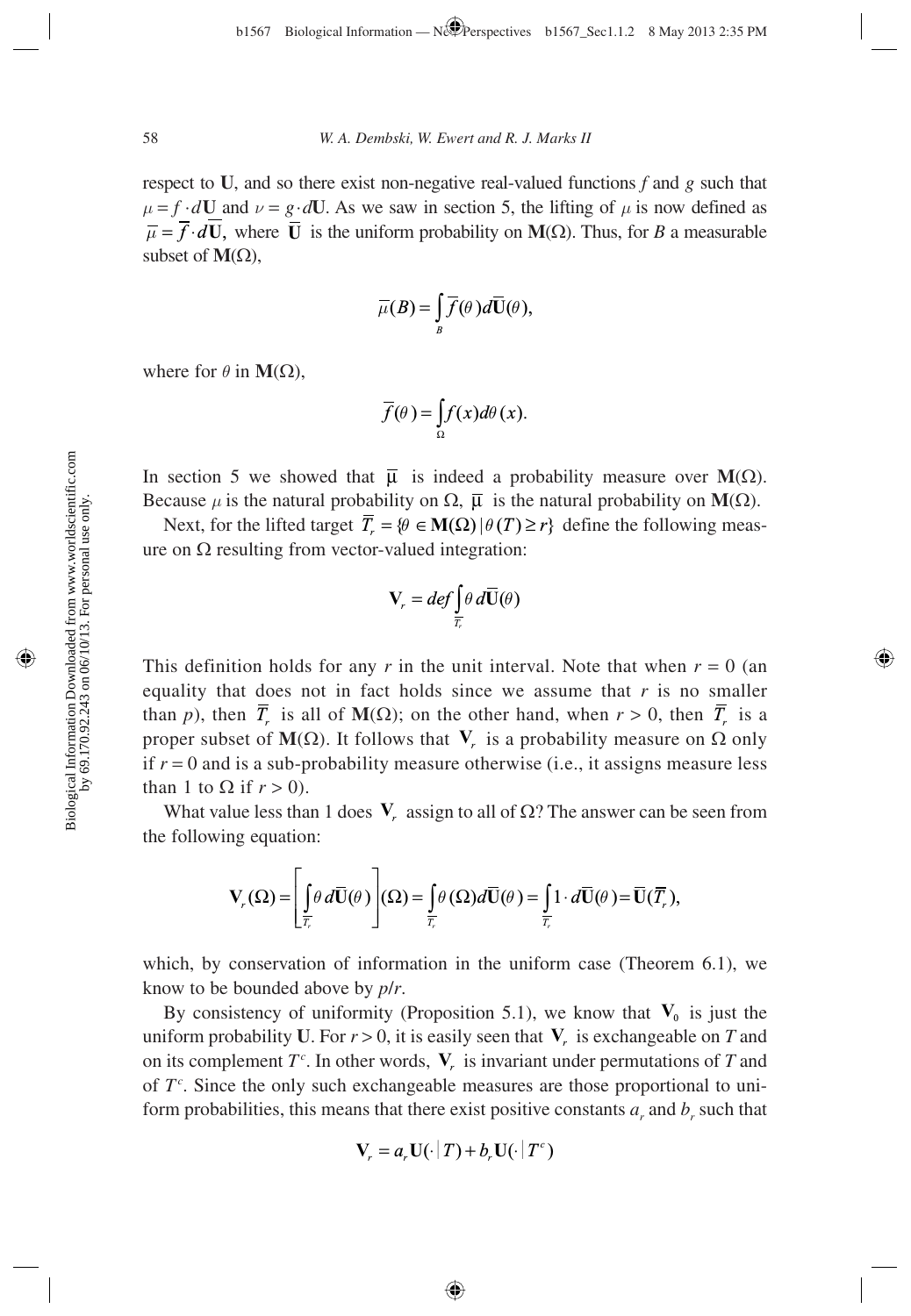respect to **U**, and so there exist non-negative real-valued functions *f* and *g* such that  $\mu = f \cdot dU$  and  $\nu = g \cdot dU$ . As we saw in section 5, the lifting of  $\mu$  is now defined as  $\overline{\mu} = \overline{f} \cdot d\mathbf{U}$ , where  $\overline{\mathbf{U}}$  is the uniform probability on **M**( $\Omega$ ). Thus, for *B* a measurable subset of  $M(\Omega)$ ,

$$
\overline{\mu}(B) = \int\limits_B \overline{f}(\theta) d\overline{\mathbf{U}}(\theta),
$$

where for  $\theta$  in **M**( $\Omega$ ),

$$
\overline{f}(\theta) = \int_{\Omega} f(x) d\theta(x).
$$

In section 5 we showed that  $\bar{\mu}$  is indeed a probability measure over  $M(\Omega)$ . Because  $\mu$  is the natural probability on  $\Omega$ ,  $\bar{\mu}$  is the natural probability on **M**( $\Omega$ ).

Next, for the lifted target  $\overline{T}_r = \{ \theta \in M(\Omega) | \theta(T) \ge r \}$  define the following measure on  $Ω$  resulting from vector-valued integration:

$$
\mathbf{V}_r = def \int_{\overline{T}_r} \theta \, d\overline{\mathbf{U}}(\theta)
$$

This definition holds for any *r* in the unit interval. Note that when  $r = 0$  (an equality that does not in fact holds since we assume that  $r$  is no smaller than *p*), then  $\overline{T_r}$  is all of **M**( $\Omega$ ); on the other hand, when  $r > 0$ , then  $\overline{T_r}$  is a proper subset of **M**(Ω). It follows that **V**<sub>*r*</sub> is a probability measure on Ω only if  $r = 0$  and is a sub-probability measure otherwise (i.e., it assigns measure less than 1 to  $\Omega$  if  $r > 0$ ).

What value less than 1 does  $V$ , assign to all of  $\Omega$ ? The answer can be seen from the following equation:

$$
\mathbf{V}_r(\Omega) = \left[ \oint_{\overline{r}_r} \theta \, d\overline{\mathbf{U}}(\theta) \right] (\Omega) = \oint_{\overline{r}_r} \theta \left( \Omega \right) d\overline{\mathbf{U}}(\theta) = \oint_{\overline{r}_r} 1 \cdot d\overline{\mathbf{U}}(\theta) = \overline{\mathbf{U}}(\overline{r}_r),
$$

which, by conservation of information in the uniform case (Theorem 6.1), we know to be bounded above by *p*/*r*.

By consistency of uniformity (Proposition 5.1), we know that  $V_0$  is just the uniform probability **U**. For  $r > 0$ , it is easily seen that **V**<sub>*r*</sub> is exchangeable on *T* and on its complement  $T^c$ . In other words,  $V_r$  is invariant under permutations of *T* and of  $T<sup>c</sup>$ . Since the only such exchangeable measures are those proportional to uniform probabilities, this means that there exist positive constants  $a_r$  and  $b_r$  such that

$$
\mathbf{V}_r = a_r \mathbf{U}(\cdot | T) + b_r \mathbf{U}(\cdot | T^c)
$$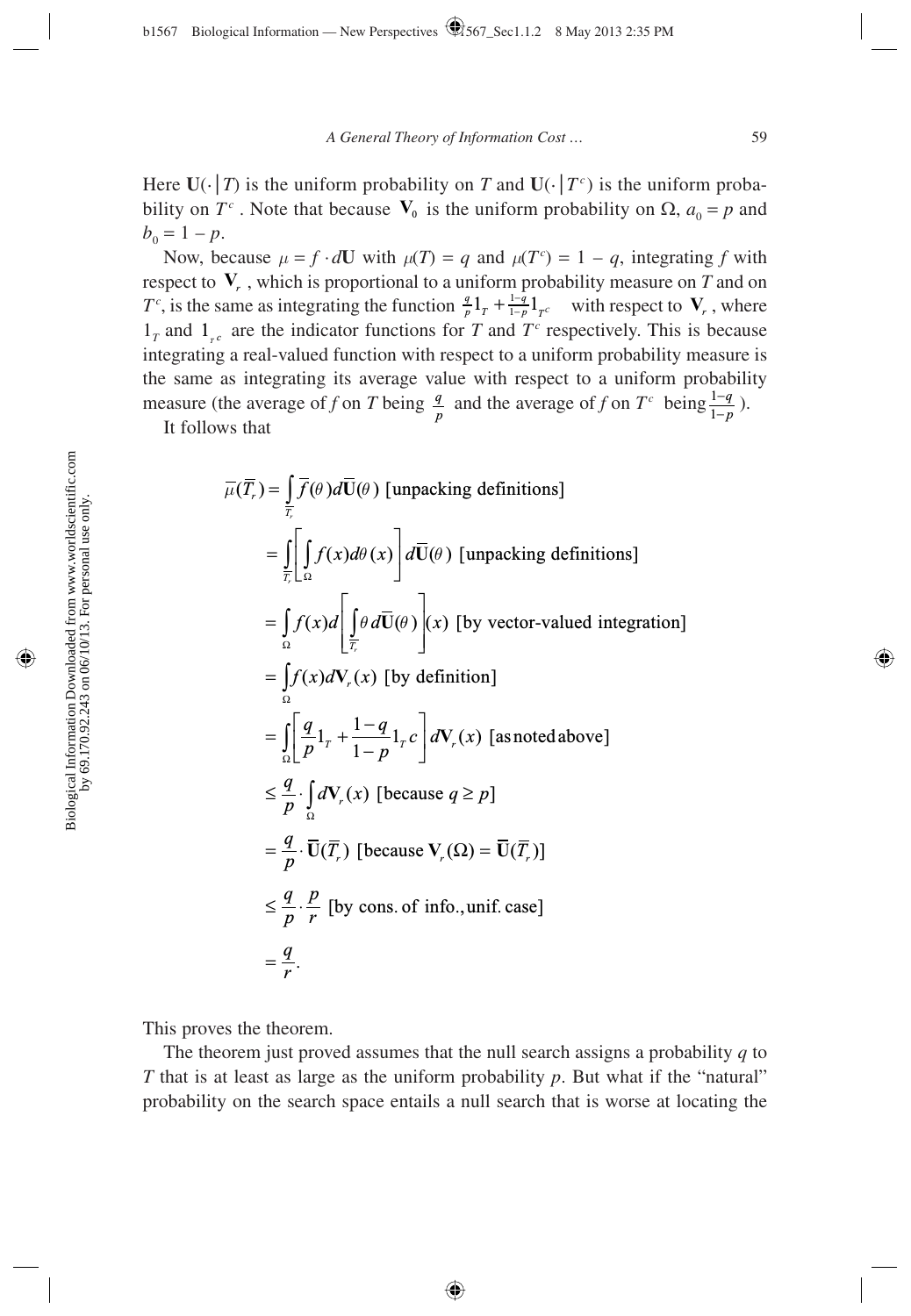Here  $U(\cdot | T)$  is the uniform probability on *T* and  $U(\cdot | T^c)$  is the uniform probability on  $T^c$ . Note that because  $\mathbf{V}_0$  is the uniform probability on  $\Omega$ ,  $a_0 = p$  and  $b_0 = 1 - p$ .

Now, because  $\mu = f \cdot dU$  with  $\mu(T) = q$  and  $\mu(T^c) = 1 - q$ , integrating f with respect to  $V_r$ , which is proportional to a uniform probability measure on  $T$  and on  $T^c$ , is the same as integrating the function  $\frac{q}{p} 1_T + \frac{1-q}{1-p} 1_{T^c}$  with respect to  $V_r$ , where  $1_T$  and  $1_{T_c}$  are the indicator functions for *T* and  $T_c$  respectively. This is because integrating a real-valued function with respect to a uniform probability measure is the same as integrating its average value with respect to a uniform probability measure (the average of *f* on *T* being  $\frac{q}{p}$  and the average of *f* on  $T^c$  being  $\frac{1}{1}$ *q p*  $\frac{-q}{-p}$ ).

It follows that

$$
\overline{\mu}(\overline{T}_r) = \int_{\overline{T}} \overline{f}(\theta) d\overline{U}(\theta) \text{ [unpacking definitions]}
$$
\n
$$
= \int_{\overline{T}} \left[ \int_{\Omega} f(x) d\theta(x) \right] d\overline{U}(\theta) \text{ [unpacking definitions]}
$$
\n
$$
= \int_{\Omega} f(x) d\left[ \int_{\overline{T}} \theta d\overline{U}(\theta) \right](x) \text{ [by vector-valued integration]}
$$
\n
$$
= \int_{\Omega} f(x) dV_r(x) \text{ [by definition]}
$$
\n
$$
= \int_{\Omega} \left[ \frac{q}{p} 1_r + \frac{1-q}{1-p} 1_r c \right] dV_r(x) \text{ [as noted above]}
$$
\n
$$
\leq \frac{q}{p} \cdot \int_{\Omega} dV_r(x) \text{ [because } q \geq p]
$$
\n
$$
= \frac{q}{p} \cdot \overline{U}(\overline{T}_r) \text{ [because } V_r(\Omega) = \overline{U}(\overline{T}_r) \text{]}
$$
\n
$$
\leq \frac{q}{p} \cdot \frac{p}{r} \text{ [by cons. of info., unif. case]}
$$
\n
$$
= \frac{q}{r}.
$$

This proves the theorem.

The theorem just proved assumes that the null search assigns a probability *q* to *T* that is at least as large as the uniform probability *p*. But what if the "natural" probability on the search space entails a null search that is worse at locating the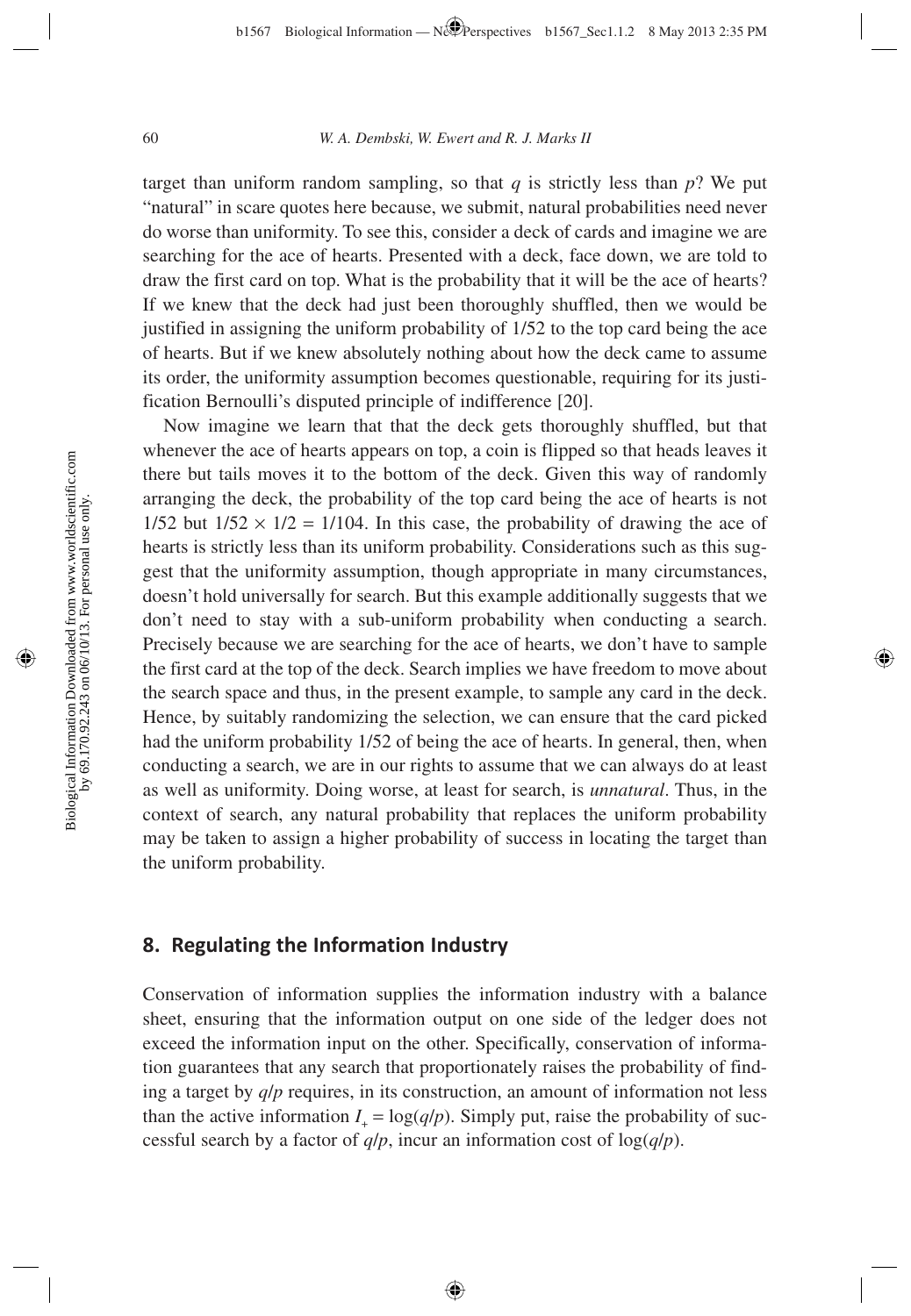target than uniform random sampling, so that  $q$  is strictly less than  $p$ ? We put "natural" in scare quotes here because, we submit, natural probabilities need never do worse than uniformity. To see this, consider a deck of cards and imagine we are searching for the ace of hearts. Presented with a deck, face down, we are told to draw the first card on top. What is the probability that it will be the ace of hearts? If we knew that the deck had just been thoroughly shuffled, then we would be justified in assigning the uniform probability of 1/52 to the top card being the ace of hearts. But if we knew absolutely nothing about how the deck came to assume its order, the uniformity assumption becomes questionable, requiring for its justification Bernoulli's disputed principle of indifference [20].

Now imagine we learn that that the deck gets thoroughly shuffled, but that whenever the ace of hearts appears on top, a coin is flipped so that heads leaves it there but tails moves it to the bottom of the deck. Given this way of randomly arranging the deck, the probability of the top card being the ace of hearts is not  $1/52$  but  $1/52 \times 1/2 = 1/104$ . In this case, the probability of drawing the ace of hearts is strictly less than its uniform probability. Considerations such as this suggest that the uniformity assumption, though appropriate in many circumstances, doesn't hold universally for search. But this example additionally suggests that we don't need to stay with a sub-uniform probability when conducting a search. Precisely because we are searching for the ace of hearts, we don't have to sample the first card at the top of the deck. Search implies we have freedom to move about the search space and thus, in the present example, to sample any card in the deck. Hence, by suitably randomizing the selection, we can ensure that the card picked had the uniform probability 1/52 of being the ace of hearts. In general, then, when conducting a search, we are in our rights to assume that we can always do at least as well as uniformity. Doing worse, at least for search, is *unnatural*. Thus, in the context of search, any natural probability that replaces the uniform probability may be taken to assign a higher probability of success in locating the target than the uniform probability.

# **8. Regulating the Information Industry**

 Conservation of information supplies the information industry with a balance sheet, ensuring that the information output on one side of the ledger does not exceed the information input on the other. Specifically, conservation of information guarantees that any search that proportionately raises the probability of finding a target by *q*/*p* requires, in its construction, an amount of information not less than the active information  $I_+ = \log(q/p)$ . Simply put, raise the probability of successful search by a factor of  $q/p$ , incur an information cost of  $log(q/p)$ .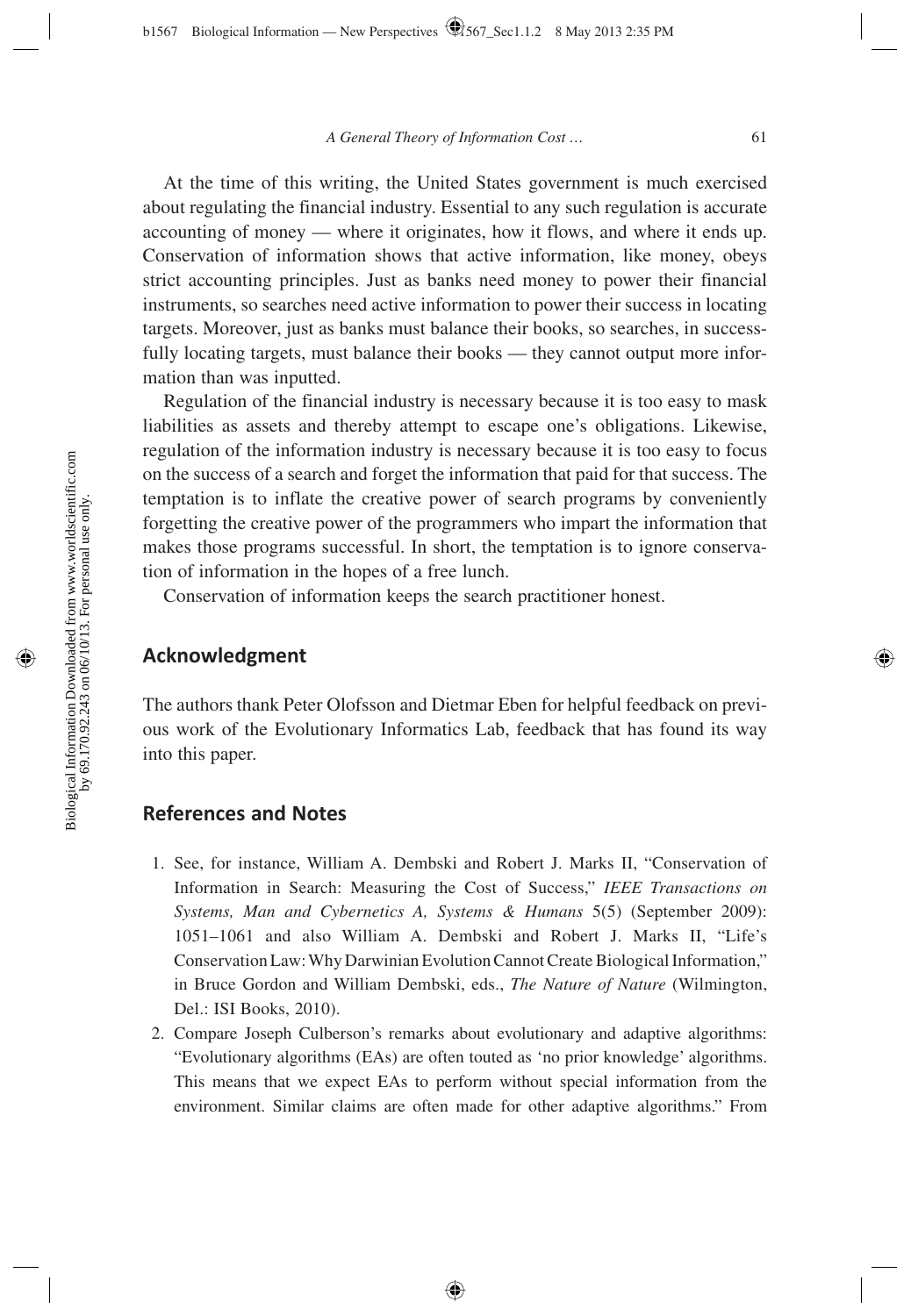At the time of this writing, the United States government is much exercised about regulating the financial industry. Essential to any such regulation is accurate accounting of money — where it originates, how it flows, and where it ends up. Conservation of information shows that active information, like money, obeys strict accounting principles. Just as banks need money to power their financial instruments, so searches need active information to power their success in locating targets. Moreover, just as banks must balance their books, so searches, in successfully locating targets, must balance their books — they cannot output more information than was inputted.

Regulation of the financial industry is necessary because it is too easy to mask liabilities as assets and thereby attempt to escape one's obligations. Likewise, regulation of the information industry is necessary because it is too easy to focus on the success of a search and forget the information that paid for that success. The temptation is to inflate the creative power of search programs by conveniently forgetting the creative power of the programmers who impart the information that makes those programs successful. In short, the temptation is to ignore conservation of information in the hopes of a free lunch.

Conservation of information keeps the search practitioner honest.

### **Acknowledgment**

The authors thank Peter Olofsson and Dietmar Eben for helpful feedback on previous work of the Evolutionary Informatics Lab, feedback that has found its way into this paper.

## **References and Notes**

- 1. See, for instance, William A. Dembski and Robert J. Marks II, "Conservation of Information in Search: Measuring the Cost of Success," *IEEE Transactions on Systems, Man and Cybernetics A, Systems & Humans* 5(5) (September 2009): 1051–1061 and also William A. Dembski and Robert J. Marks II, "Life's Conservation Law: Why Darwinian Evolution Cannot Create Biological Information," in Bruce Gordon and William Dembski, eds., *The Nature of Nature* (Wilmington, Del.: ISI Books, 2010).
- 2. Compare Joseph Culberson's remarks about evolutionary and adaptive algorithms: "Evolutionary algorithms (EAs) are often touted as 'no prior knowledge' algorithms. This means that we expect EAs to perform without special information from the environment. Similar claims are often made for other adaptive algorithms." From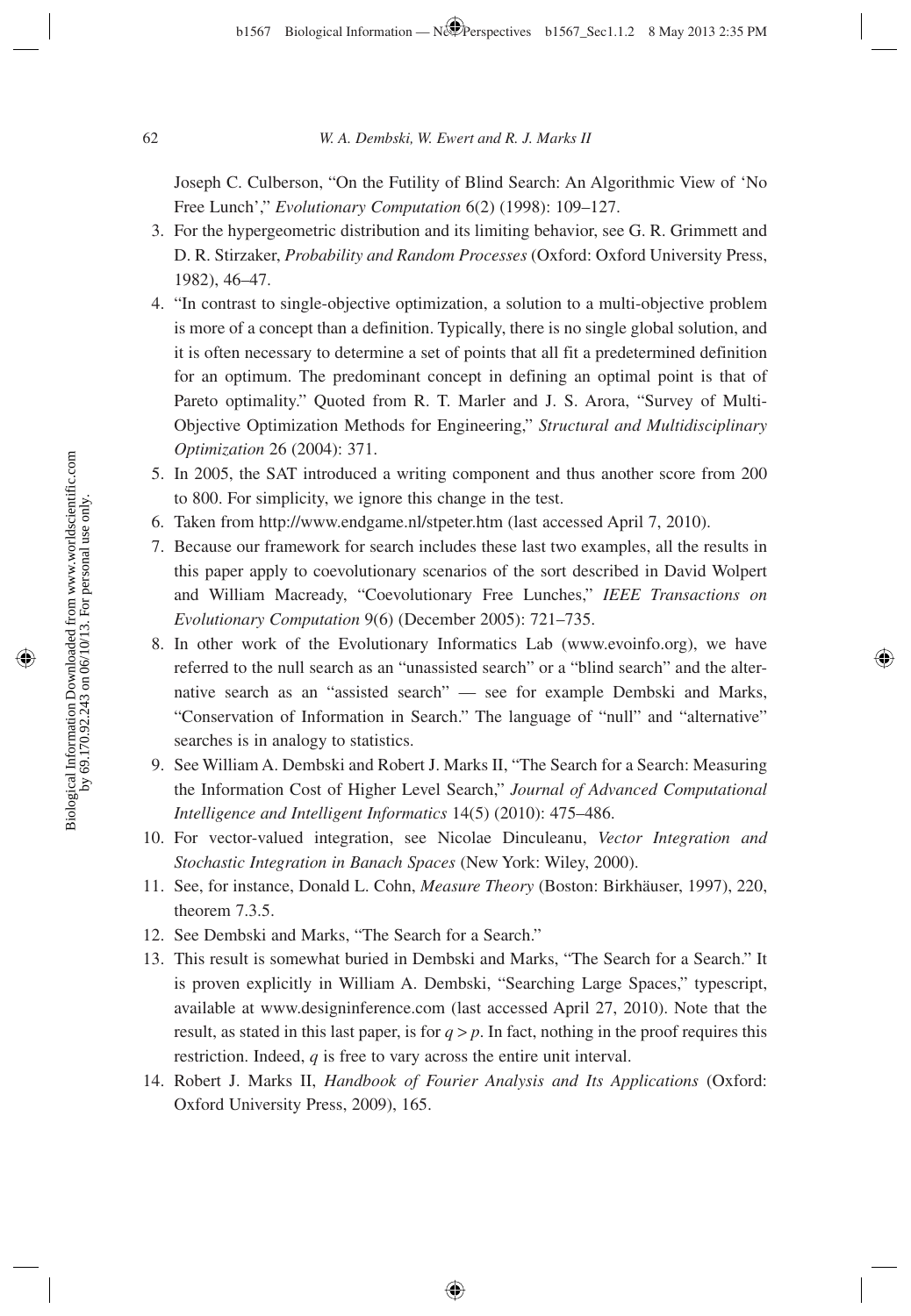Joseph C. Culberson, "On the Futility of Blind Search: An Algorithmic View of 'No Free Lunch'," *Evolutionary Computation* 6(2) (1998): 109–127.

- 3. For the hypergeometric distribution and its limiting behavior, see G. R. Grimmett and D. R. Stirzaker, *Probability and Random Processes* (Oxford: Oxford University Press, 1982), 46–47.
- 4. "In contrast to single-objective optimization, a solution to a multi-objective problem is more of a concept than a definition. Typically, there is no single global solution, and it is often necessary to determine a set of points that all fit a predetermined definition for an optimum. The predominant concept in defining an optimal point is that of Pareto optimality." Quoted from R. T. Marler and J. S. Arora, "Survey of Multi-Objective Optimization Methods for Engineering," *Structural and Multidisciplinary Optimization* 26 (2004): 371.
- 5. In 2005, the SAT introduced a writing component and thus another score from 200 to 800. For simplicity, we ignore this change in the test.
- 6. Taken from http://www.endgame.nl/stpeter.htm (last accessed April 7, 2010).
- 7. Because our framework for search includes these last two examples, all the results in this paper apply to coevolutionary scenarios of the sort described in David Wolpert and William Macready, "Coevolutionary Free Lunches," *IEEE Transactions on Evolutionary Computation* 9(6) (December 2005): 721–735.
- 8. In other work of the Evolutionary Informatics Lab (www.evoinfo.org), we have referred to the null search as an "unassisted search" or a "blind search" and the alternative search as an "assisted search" — see for example Dembski and Marks, "Conservation of Information in Search." The language of "null" and "alternative" searches is in analogy to statistics.
- 9. See William A. Dembski and Robert J. Marks II, "The Search for a Search: Measuring the Information Cost of Higher Level Search," *Journal of Advanced Computational Intelligence and Intelligent Informatics* 14(5) (2010): 475–486.
- 10. For vector-valued integration, see Nicolae Dinculeanu, *Vector Integration and Stochastic Integration in Banach Spaces* (New York: Wiley, 2000).
- 11. See, for instance, Donald L. Cohn, *Measure Theory* (Boston: Birkhäuser, 1997), 220, theorem 7.3.5.
- 12. See Dembski and Marks, "The Search for a Search."
- 13. This result is somewhat buried in Dembski and Marks, "The Search for a Search." It is proven explicitly in William A. Dembski, "Searching Large Spaces," typescript, available at www.designinference.com (last accessed April 27, 2010). Note that the result, as stated in this last paper, is for  $q > p$ . In fact, nothing in the proof requires this restriction. Indeed, *q* is free to vary across the entire unit interval.
- 14. Robert J. Marks II, *Handbook of Fourier Analysis and Its Applications* (Oxford: Oxford University Press, 2009), 165.